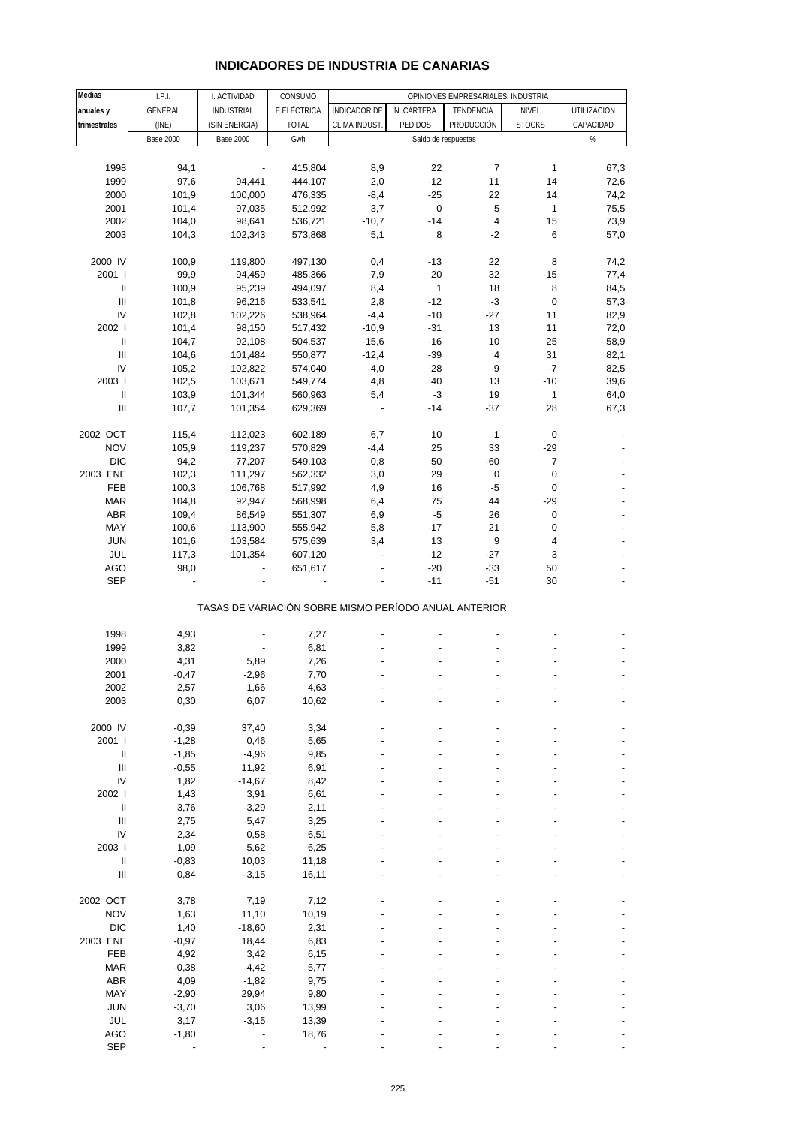| Medias                                    | I.P.I.           | I. ACTIVIDAD                                          | CONSUMO      |                |              | OPINIONES EMPRESARIALES: INDUSTRIA |                |             |
|-------------------------------------------|------------------|-------------------------------------------------------|--------------|----------------|--------------|------------------------------------|----------------|-------------|
| anuales y                                 | GENERAL          | <b>INDUSTRIAL</b>                                     | E.ELÉCTRICA  | INDICADOR DE   | N. CARTERA   | TENDENCIA                          | NIVEL          | UTILIZACIÓN |
| trimestrales                              | (INE)            | (SIN ENERGIA)                                         | <b>TOTAL</b> | CLIMA INDUST.  | PEDIDOS      | PRODUCCIÓN                         | <b>STOCKS</b>  | CAPACIDAD   |
|                                           | <b>Base 2000</b> | <b>Base 2000</b>                                      | Gwh          |                |              | Saldo de respuestas                |                | $\%$        |
|                                           |                  |                                                       |              |                |              |                                    |                |             |
|                                           |                  |                                                       |              |                |              |                                    |                |             |
| 1998                                      | 94,1             |                                                       | 415,804      | 8,9            | 22           | $\overline{7}$                     | $\mathbf{1}$   | 67,3        |
| 1999                                      | 97,6             | 94,441                                                | 444,107      | $-2,0$         | $-12$        | 11                                 | 14             | 72,6        |
| 2000                                      | 101,9            | 100,000                                               | 476,335      | $-8,4$         | $-25$        | 22                                 | 14             | 74,2        |
| 2001                                      | 101,4            | 97,035                                                | 512,992      | 3,7            | $\pmb{0}$    | 5                                  | 1              | 75,5        |
| 2002                                      | 104,0            | 98,641                                                | 536,721      | $-10,7$        | $-14$        | $\overline{\mathbf{4}}$            | 15             | 73,9        |
| 2003                                      | 104,3            | 102,343                                               | 573,868      | 5,1            | 8            | $-2$                               | 6              | 57,0        |
|                                           |                  |                                                       |              |                |              |                                    |                |             |
| 2000 IV                                   | 100,9            | 119,800                                               | 497,130      | 0,4            | $-13$        | 22                                 | 8              | 74,2        |
| 2001 l                                    | 99,9             | 94,459                                                | 485,366      | 7,9            | 20           | 32                                 | $-15$          | 77,4        |
| $\, \parallel$                            | 100,9            | 95,239                                                | 494,097      | 8,4            | $\mathbf{1}$ | 18                                 | 8              | 84,5        |
| $\ensuremath{\mathsf{III}}\xspace$        |                  |                                                       |              |                | $-12$        | $-3$                               | $\mathbf 0$    |             |
|                                           | 101,8            | 96,216                                                | 533,541      | 2,8            |              |                                    |                | 57,3        |
| IV                                        | 102,8            | 102,226                                               | 538,964      | $-4,4$         | $-10$        | $-27$                              | 11             | 82,9        |
| 2002                                      | 101,4            | 98,150                                                | 517,432      | $-10,9$        | $-31$        | 13                                 | 11             | 72,0        |
| $\ensuremath{\mathsf{II}}$                | 104,7            | 92,108                                                | 504,537      | $-15,6$        | $-16$        | 10                                 | 25             | 58,9        |
| $\mathbf{III}$                            | 104,6            | 101,484                                               | 550,877      | $-12,4$        | $-39$        | 4                                  | 31             | 82,1        |
| IV                                        | 105,2            | 102,822                                               | 574,040      | $-4,0$         | 28           | -9                                 | $-7$           | 82,5        |
| 2003                                      | 102,5            | 103,671                                               | 549,774      | 4,8            | 40           | 13                                 | $-10$          | 39,6        |
| Ш                                         | 103,9            | 101,344                                               | 560,963      | 5,4            | $-3$         | 19                                 | $\mathbf{1}$   | 64,0        |
| $\label{eq:1} \prod_{i=1}^n \mathbb{I}_i$ | 107,7            | 101,354                                               | 629,369      |                | $-14$        | $-37$                              | 28             | 67,3        |
|                                           |                  |                                                       |              |                |              |                                    |                |             |
| 2002 OCT                                  | 115,4            | 112,023                                               | 602,189      | $-6,7$         | 10           | $-1$                               | $\pmb{0}$      |             |
| <b>NOV</b>                                | 105,9            | 119,237                                               | 570,829      | $-4,4$         | 25           | 33                                 | $-29$          |             |
| <b>DIC</b>                                | 94,2             | 77,207                                                |              | $-0,8$         | 50           | $-60$                              | $\overline{7}$ |             |
|                                           |                  |                                                       | 549,103      |                |              |                                    |                |             |
| 2003 ENE                                  | 102,3            | 111,297                                               | 562,332      | 3,0            | 29           | 0                                  | $\mathbf 0$    |             |
| FEB                                       | 100,3            | 106,768                                               | 517,992      | 4,9            | 16           | $-5$                               | $\pmb{0}$      |             |
| <b>MAR</b>                                | 104,8            | 92,947                                                | 568,998      | 6,4            | 75           | 44                                 | $-29$          |             |
| ABR                                       | 109,4            | 86,549                                                | 551,307      | 6,9            | $-5$         | 26                                 | $\pmb{0}$      |             |
| MAY                                       | 100,6            | 113,900                                               | 555,942      | 5,8            | $-17$        | 21                                 | $\pmb{0}$      |             |
| <b>JUN</b>                                | 101,6            | 103,584                                               | 575,639      | 3,4            | 13           | 9                                  | 4              |             |
| JUL                                       | 117,3            | 101,354                                               | 607,120      | $\overline{a}$ | $-12$        | $-27$                              | 3              |             |
| <b>AGO</b>                                | 98,0             |                                                       | 651,617      |                | $-20$        | $-33$                              | 50             |             |
| <b>SEP</b>                                |                  |                                                       |              |                | $-11$        | $-51$                              | 30             |             |
|                                           |                  | TASAS DE VARIACIÓN SOBRE MISMO PERÍODO ANUAL ANTERIOR |              |                |              |                                    |                |             |
| 1998                                      | 4,93             |                                                       | 7,27         |                |              |                                    |                |             |
| 1999                                      | 3,82             |                                                       | 6,81         |                |              |                                    |                |             |
|                                           |                  |                                                       |              |                |              |                                    |                |             |
| 2000                                      | 4,31             | 5,89                                                  | 7,26         |                |              |                                    |                |             |
| 2001                                      | $-0,47$          | $-2,96$                                               | 7,70         |                |              |                                    |                |             |
| 2002                                      | 2,57             | 1,66                                                  | 4,63         |                |              |                                    |                |             |
| 2003                                      | 0,30             | 6,07                                                  | 10,62        |                |              |                                    |                |             |
|                                           |                  |                                                       |              |                |              |                                    |                |             |
| 2000 IV                                   | $-0,39$          | 37,40                                                 | 3,34         |                |              |                                    |                |             |
| 2001 l                                    | $-1,28$          | 0,46                                                  | 5,65         |                |              |                                    |                |             |
| Ш                                         | $-1,85$          | $-4,96$                                               | 9,85         |                |              |                                    |                |             |
| $\ensuremath{\mathsf{III}}\xspace$        | $-0,55$          | 11,92                                                 | 6,91         |                |              |                                    |                |             |
| IV                                        | 1,82             | $-14,67$                                              | 8,42         |                |              |                                    |                |             |
| 2002                                      | 1,43             | 3,91                                                  | 6,61         |                |              |                                    |                |             |
| $\, \parallel$                            | 3,76             | $-3,29$                                               | 2,11         |                |              |                                    |                |             |
| Ш                                         | 2,75             | 5,47                                                  | 3,25         |                |              |                                    |                |             |
| IV                                        |                  |                                                       |              |                |              |                                    |                |             |
|                                           | 2,34             | 0,58                                                  | 6,51         |                |              |                                    |                |             |
| 2003                                      | 1,09             | 5,62                                                  | 6,25         |                |              |                                    |                |             |
| $\, \parallel$                            | $-0,83$          | 10,03                                                 | 11,18        |                |              |                                    |                |             |
| $\ensuremath{\mathsf{III}}\xspace$        | 0,84             | $-3,15$                                               | 16,11        |                |              |                                    |                |             |
|                                           |                  |                                                       |              |                |              |                                    |                |             |
| 2002 OCT                                  | 3,78             | 7,19                                                  | 7,12         |                |              |                                    |                |             |
| <b>NOV</b>                                | 1,63             | 11,10                                                 | 10,19        |                |              |                                    |                |             |
| <b>DIC</b>                                | 1,40             | $-18,60$                                              | 2,31         |                |              |                                    |                |             |
| 2003 ENE                                  | $-0,97$          | 18,44                                                 | 6,83         |                |              |                                    |                |             |
| FEB                                       | 4,92             | 3,42                                                  | 6,15         |                |              |                                    |                |             |
| <b>MAR</b>                                | $-0,38$          | $-4,42$                                               | 5,77         |                |              |                                    |                |             |
| ABR                                       | 4,09             | $-1,82$                                               | 9,75         |                |              |                                    |                |             |
| MAY                                       | $-2,90$          | 29,94                                                 | 9,80         |                |              |                                    |                |             |
| <b>JUN</b>                                |                  | 3,06                                                  |              |                |              |                                    |                |             |
|                                           | $-3,70$          |                                                       | 13,99        |                |              |                                    |                |             |
| JUL                                       | 3,17             | $-3,15$                                               | 13,39        |                |              |                                    |                |             |
| AGO                                       | $-1,80$          |                                                       | 18,76        |                |              |                                    |                |             |
| <b>SEP</b>                                |                  |                                                       |              |                |              |                                    |                |             |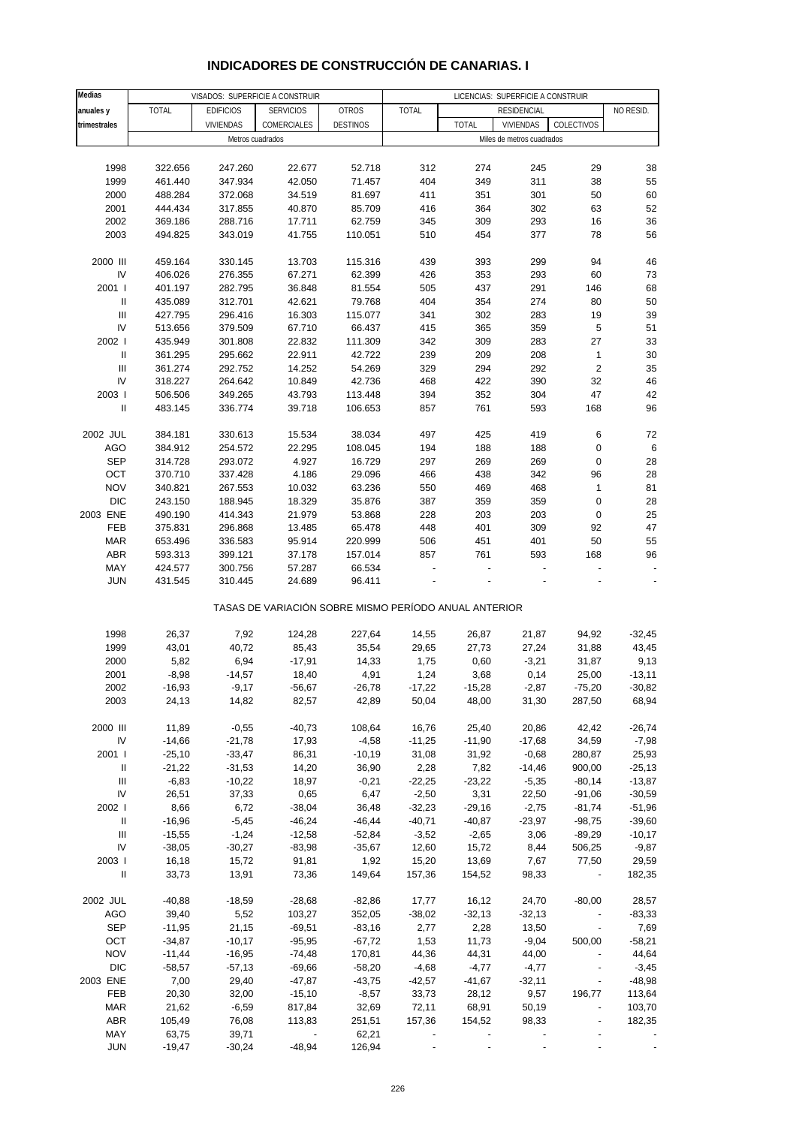| Medias                             |              |                  | VISADOS: SUPERFICIE A CONSTRUIR                       |                 | LICENCIAS: SUPERFICIE A CONSTRUIR |              |                           |                          |           |
|------------------------------------|--------------|------------------|-------------------------------------------------------|-----------------|-----------------------------------|--------------|---------------------------|--------------------------|-----------|
| anuales y                          | <b>TOTAL</b> | <b>EDIFICIOS</b> | <b>SERVICIOS</b>                                      | <b>OTROS</b>    | <b>TOTAL</b>                      |              | <b>RESIDENCIAL</b>        |                          | NO RESID. |
| trimestrales                       |              | <b>VIVIENDAS</b> | COMERCIALES                                           | <b>DESTINOS</b> |                                   | <b>TOTAL</b> | <b>VIVIENDAS</b>          | COLECTIVOS               |           |
|                                    |              |                  |                                                       |                 |                                   |              |                           |                          |           |
|                                    |              | Metros cuadrados |                                                       |                 |                                   |              | Miles de metros cuadrados |                          |           |
|                                    |              |                  |                                                       |                 |                                   |              |                           |                          |           |
| 1998                               | 322.656      | 247.260          | 22.677                                                | 52.718          | 312                               | 274          | 245                       | 29                       | 38        |
| 1999                               | 461.440      | 347.934          | 42.050                                                | 71.457          | 404                               | 349          | 311                       | 38                       | 55        |
| 2000                               | 488.284      | 372.068          | 34.519                                                | 81.697          | 411                               | 351          | 301                       | 50                       | 60        |
| 2001                               | 444.434      | 317.855          | 40.870                                                | 85.709          | 416                               | 364          | 302                       | 63                       | 52        |
| 2002                               | 369.186      | 288.716          | 17.711                                                | 62.759          | 345                               | 309          | 293                       | 16                       | 36        |
|                                    |              |                  |                                                       |                 |                                   |              |                           |                          |           |
| 2003                               | 494.825      | 343.019          | 41.755                                                | 110.051         | 510                               | 454          | 377                       | 78                       | 56        |
|                                    |              |                  |                                                       |                 |                                   |              |                           |                          |           |
| 2000 III                           | 459.164      | 330.145          | 13.703                                                | 115.316         | 439                               | 393          | 299                       | 94                       | 46        |
| IV                                 | 406.026      | 276.355          | 67.271                                                | 62.399          | 426                               | 353          | 293                       | 60                       | 73        |
| 2001 l                             | 401.197      | 282.795          | 36.848                                                | 81.554          | 505                               | 437          | 291                       | 146                      | 68        |
| Ш                                  | 435.089      | 312.701          | 42.621                                                | 79.768          | 404                               | 354          | 274                       | 80                       | 50        |
| $\begin{array}{c} \Pi \end{array}$ | 427.795      | 296.416          | 16.303                                                | 115.077         | 341                               | 302          | 283                       | 19                       | 39        |
| IV                                 |              |                  |                                                       |                 | 415                               | 365          |                           |                          |           |
|                                    | 513.656      | 379.509          | 67.710                                                | 66.437          |                                   |              | 359                       | 5                        | 51        |
| 2002 l                             | 435.949      | 301.808          | 22.832                                                | 111.309         | 342                               | 309          | 283                       | 27                       | 33        |
| $\ensuremath{\mathsf{II}}$         | 361.295      | 295.662          | 22.911                                                | 42.722          | 239                               | 209          | 208                       | $\mathbf{1}$             | 30        |
| Ш                                  | 361.274      | 292.752          | 14.252                                                | 54.269          | 329                               | 294          | 292                       | 2                        | 35        |
| IV                                 | 318.227      | 264.642          | 10.849                                                | 42.736          | 468                               | 422          | 390                       | 32                       | 46        |
| 2003                               | 506.506      | 349.265          | 43.793                                                | 113.448         | 394                               | 352          | 304                       | 47                       | 42        |
| Ш                                  | 483.145      | 336.774          | 39.718                                                | 106.653         | 857                               | 761          | 593                       | 168                      | 96        |
|                                    |              |                  |                                                       |                 |                                   |              |                           |                          |           |
|                                    |              |                  |                                                       |                 |                                   |              |                           |                          |           |
| 2002 JUL                           | 384.181      | 330.613          | 15.534                                                | 38.034          | 497                               | 425          | 419                       | 6                        | 72        |
| AGO                                | 384.912      | 254.572          | 22.295                                                | 108.045         | 194                               | 188          | 188                       | 0                        | 6         |
| <b>SEP</b>                         | 314.728      | 293.072          | 4.927                                                 | 16.729          | 297                               | 269          | 269                       | 0                        | 28        |
| OCT                                | 370.710      | 337.428          | 4.186                                                 | 29.096          | 466                               | 438          | 342                       | 96                       | 28        |
| <b>NOV</b>                         | 340.821      | 267.553          | 10.032                                                | 63.236          | 550                               | 469          | 468                       | $\mathbf{1}$             | 81        |
| <b>DIC</b>                         | 243.150      | 188.945          | 18.329                                                | 35.876          | 387                               | 359          | 359                       | $\mathbf 0$              | 28        |
| 2003 ENE                           | 490.190      | 414.343          | 21.979                                                | 53.868          | 228                               | 203          | 203                       | $\mathbf 0$              | 25        |
| FEB                                | 375.831      | 296.868          | 13.485                                                | 65.478          | 448                               | 401          | 309                       | 92                       | 47        |
|                                    |              |                  |                                                       |                 |                                   |              |                           |                          |           |
| <b>MAR</b>                         | 653.496      | 336.583          | 95.914                                                | 220.999         | 506                               | 451          | 401                       | 50                       | 55        |
| <b>ABR</b>                         | 593.313      | 399.121          | 37.178                                                | 157.014         | 857                               | 761          | 593                       | 168                      | 96        |
| MAY                                | 424.577      | 300.756          | 57.287                                                | 66.534          |                                   |              |                           |                          |           |
| <b>JUN</b>                         | 431.545      | 310.445          | 24.689                                                | 96.411          |                                   |              |                           |                          |           |
|                                    |              |                  | TASAS DE VARIACIÓN SOBRE MISMO PERÍODO ANUAL ANTERIOR |                 |                                   |              |                           |                          |           |
| 1998                               | 26,37        | 7,92             | 124,28                                                | 227,64          | 14,55                             | 26,87        | 21,87                     | 94,92                    | $-32,45$  |
| 1999                               | 43,01        | 40,72            | 85,43                                                 | 35,54           | 29,65                             | 27,73        | 27,24                     | 31,88                    | 43,45     |
|                                    |              |                  |                                                       |                 |                                   |              |                           |                          |           |
| 2000                               | 5,82         | 6,94             | $-17,91$                                              | 14,33           | 1,75                              | 0,60         | $-3,21$                   | 31,87                    | 9,13      |
| 2001                               | $-8,98$      | $-14,57$         | 18,40                                                 | 4,91            | 1,24                              | 3,68         | 0,14                      | 25,00                    | $-13,11$  |
| 2002                               | $-16,93$     | $-9,17$          | $-56,67$                                              | $-26,78$        | $-17,22$                          | $-15,28$     | $-2,87$                   | $-75,20$                 | $-30,82$  |
| 2003                               | 24,13        | 14,82            | 82,57                                                 | 42,89           | 50,04                             | 48,00        | 31,30                     | 287,50                   | 68,94     |
|                                    |              |                  |                                                       |                 |                                   |              |                           |                          |           |
| 2000 III                           | 11,89        | $-0,55$          | $-40,73$                                              | 108,64          | 16,76                             | 25,40        | 20,86                     | 42,42                    | $-26,74$  |
| IV                                 | $-14,66$     | $-21,78$         | 17,93                                                 | $-4,58$         | $-11,25$                          | $-11,90$     | $-17,68$                  | 34,59                    | $-7,98$   |
| 2001 l                             | $-25,10$     | $-33,47$         | 86,31                                                 | $-10,19$        | 31,08                             | 31,92        | $-0,68$                   | 280,87                   | 25,93     |
|                                    |              |                  |                                                       |                 |                                   |              |                           |                          |           |
| Ш                                  | $-21,22$     | $-31,53$         | 14,20                                                 | 36,90           | 2,28                              | 7,82         | $-14,46$                  | 900,00                   | $-25,13$  |
| Ш                                  | $-6,83$      | $-10,22$         | 18,97                                                 | $-0,21$         | $-22,25$                          | $-23,22$     | $-5,35$                   | $-80,14$                 | $-13,87$  |
| IV                                 | 26,51        | 37,33            | 0,65                                                  | 6,47            | $-2,50$                           | 3,31         | 22,50                     | $-91,06$                 | $-30,59$  |
| 2002 l                             | 8,66         | 6,72             | $-38,04$                                              | 36,48           | $-32,23$                          | $-29,16$     | $-2,75$                   | $-81,74$                 | $-51,96$  |
| Ш                                  | $-16,96$     | $-5,45$          | $-46,24$                                              | $-46,44$        | $-40,71$                          | $-40,87$     | $-23,97$                  | $-98,75$                 | $-39,60$  |
| Ш                                  | $-15,55$     | $-1,24$          | $-12,58$                                              | $-52,84$        | $-3,52$                           | $-2,65$      | 3,06                      | $-89,29$                 | $-10,17$  |
| IV                                 | $-38,05$     | $-30,27$         | $-83,98$                                              | $-35,67$        | 12,60                             | 15,72        | 8,44                      | 506,25                   | $-9,87$   |
| 2003                               | 16,18        | 15,72            | 91,81                                                 | 1,92            | 15,20                             | 13,69        | 7,67                      | 77,50                    | 29,59     |
|                                    |              |                  |                                                       |                 |                                   |              |                           |                          |           |
| $\, \parallel$                     | 33,73        | 13,91            | 73,36                                                 | 149,64          | 157,36                            | 154,52       | 98,33                     | $\overline{\phantom{a}}$ | 182,35    |
| 2002 JUL                           | $-40,88$     | $-18,59$         | $-28,68$                                              | $-82,86$        | 17,77                             | 16,12        | 24,70                     | $-80,00$                 | 28,57     |
| <b>AGO</b>                         | 39,40        | 5,52             | 103,27                                                | 352,05          | $-38,02$                          | $-32,13$     | $-32,13$                  | $\sim$                   | $-83,33$  |
| <b>SEP</b>                         | $-11,95$     | 21,15            | $-69,51$                                              | $-83,16$        | 2,77                              | 2,28         | 13,50                     | $\overline{\phantom{a}}$ | 7,69      |
| OCT                                | $-34,87$     | $-10,17$         | $-95,95$                                              | $-67,72$        | 1,53                              | 11,73        | $-9,04$                   | 500,00                   | $-58,21$  |
|                                    |              |                  |                                                       |                 |                                   |              |                           |                          |           |
| <b>NOV</b>                         | $-11,44$     | $-16,95$         | $-74,48$                                              | 170,81          | 44,36                             | 44,31        | 44,00                     |                          | 44,64     |
| <b>DIC</b>                         | $-58,57$     | $-57,13$         | $-69,66$                                              | $-58,20$        | $-4,68$                           | $-4,77$      | $-4,77$                   |                          | $-3,45$   |
| 2003 ENE                           | 7,00         | 29,40            | $-47,87$                                              | $-43,75$        | $-42,57$                          | $-41,67$     | $-32,11$                  | $\overline{\phantom{a}}$ | $-48,98$  |
| FEB                                | 20,30        | 32,00            | $-15,10$                                              | $-8,57$         | 33,73                             | 28,12        | 9,57                      | 196,77                   | 113,64    |
| <b>MAR</b>                         | 21,62        | $-6,59$          | 817,84                                                | 32,69           | 72,11                             | 68,91        | 50,19                     |                          | 103,70    |
| <b>ABR</b>                         | 105,49       | 76,08            | 113,83                                                | 251,51          | 157,36                            | 154,52       | 98,33                     | $\overline{\phantom{a}}$ | 182,35    |
| MAY                                | 63,75        | 39,71            |                                                       | 62,21           |                                   |              |                           |                          |           |
| <b>JUN</b>                         | $-19,47$     | $-30,24$         | $-48,94$                                              | 126,94          |                                   |              |                           |                          |           |
|                                    |              |                  |                                                       |                 |                                   |              |                           |                          |           |

## **INDICADORES DE CONSTRUCCIÓN DE CANARIAS. I**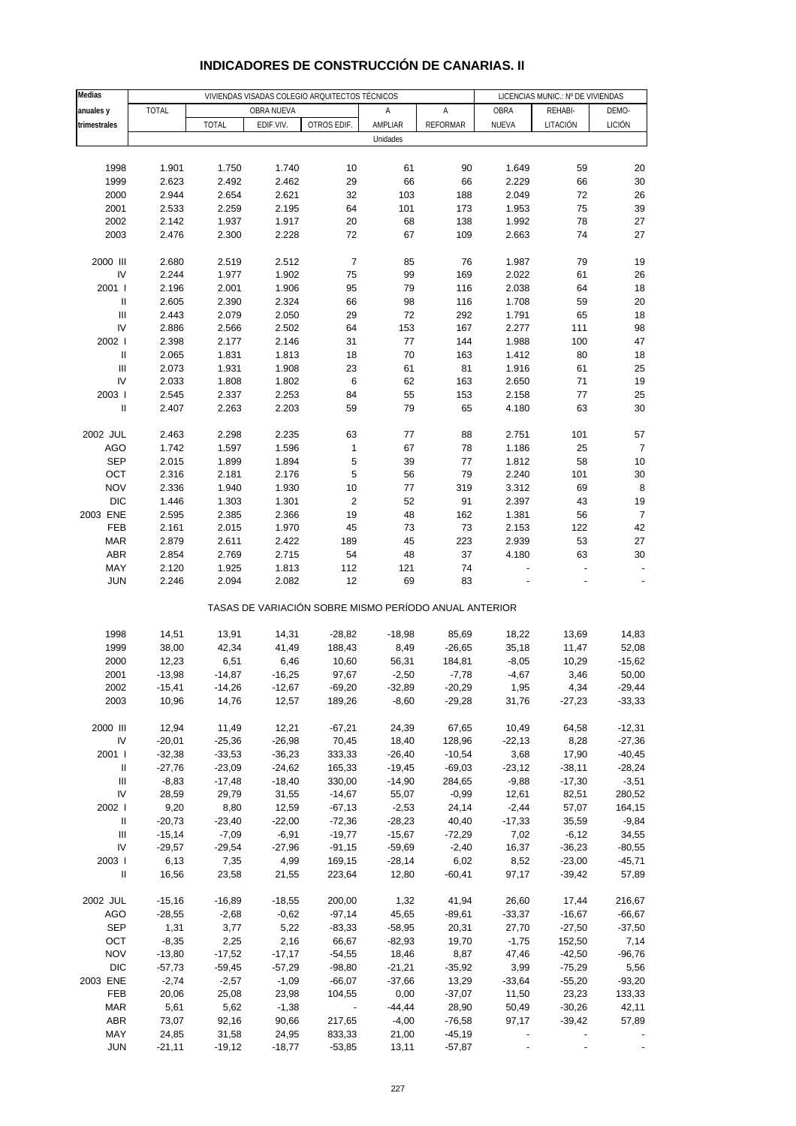| Medias                             |          |              | VIVIENDAS VISADAS COLEGIO ARQUITECTOS TÉCNICOS        |                          | LICENCIAS MUNIC.: Nº DE VIVIENDAS |                 |                |          |                          |
|------------------------------------|----------|--------------|-------------------------------------------------------|--------------------------|-----------------------------------|-----------------|----------------|----------|--------------------------|
| anuales y                          | TOTAL    |              | OBRA NUEVA                                            |                          | Α                                 | А               | OBRA           | REHABI-  | DEMO-                    |
| trimestrales                       |          | <b>TOTAL</b> | EDIF.VIV.                                             | OTROS EDIF.              | AMPLIAR                           | <b>REFORMAR</b> | NUEVA          | LITACIÓN | LICIÓN                   |
|                                    |          |              |                                                       |                          | Unidades                          |                 |                |          |                          |
|                                    |          |              |                                                       |                          |                                   |                 |                |          |                          |
| 1998                               | 1.901    | 1.750        | 1.740                                                 | 10                       | 61                                | 90              | 1.649          | 59       | 20                       |
| 1999                               | 2.623    | 2.492        | 2.462                                                 | 29                       | 66                                | 66              | 2.229          | 66       | 30                       |
| 2000                               | 2.944    | 2.654        | 2.621                                                 | 32                       | 103                               | 188             | 2.049          | 72       | 26                       |
| 2001                               | 2.533    | 2.259        | 2.195                                                 | 64                       | 101                               | 173             | 1.953          | 75       | 39                       |
| 2002                               | 2.142    | 1.937        | 1.917                                                 | 20                       | 68                                | 138             | 1.992          | 78       | 27                       |
| 2003                               | 2.476    | 2.300        | 2.228                                                 | 72                       | 67                                | 109             | 2.663          | 74       | 27                       |
|                                    |          |              |                                                       |                          |                                   |                 |                |          |                          |
| 2000 III                           | 2.680    | 2.519        | 2.512                                                 | 7                        | 85                                | 76              | 1.987          | 79       | 19                       |
| IV                                 | 2.244    | 1.977        | 1.902                                                 | 75                       | 99                                | 169             | 2.022          | 61       | 26                       |
| 2001 l                             | 2.196    | 2.001        | 1.906                                                 | 95                       | 79                                | 116             | 2.038          | 64       | 18                       |
| Ш                                  | 2.605    | 2.390        | 2.324                                                 | 66                       | 98                                | 116             | 1.708          | 59       | 20                       |
| $\ensuremath{\mathsf{III}}\xspace$ | 2.443    | 2.079        | 2.050                                                 | 29                       | 72                                | 292             | 1.791          | 65       | 18                       |
| IV                                 | 2.886    | 2.566        | 2.502                                                 | 64                       | 153                               | 167             | 2.277          | 111      | 98                       |
| 2002 l                             | 2.398    | 2.177        | 2.146                                                 | 31                       | 77                                | 144             | 1.988          | 100      | 47                       |
| $\, \parallel$                     | 2.065    | 1.831        | 1.813                                                 | 18                       | 70                                | 163             | 1.412          | 80       | 18                       |
| Ш                                  | 2.073    | 1.931        | 1.908                                                 | 23                       | 61                                | 81              | 1.916          | 61       | 25                       |
| IV                                 | 2.033    | 1.808        | 1.802                                                 | 6                        | 62                                | 163             | 2.650          | 71       | 19                       |
| 2003                               | 2.545    | 2.337        | 2.253                                                 | 84                       | 55                                | 153             | 2.158          | 77       | 25                       |
| $\ensuremath{\mathsf{II}}$         | 2.407    | 2.263        | 2.203                                                 | 59                       | 79                                | 65              | 4.180          | 63       | 30                       |
|                                    |          |              |                                                       |                          |                                   |                 |                |          |                          |
| 2002 JUL                           | 2.463    | 2.298        | 2.235                                                 | 63                       | 77                                | 88              | 2.751          | 101      | 57                       |
| <b>AGO</b>                         | 1.742    | 1.597        | 1.596                                                 | 1                        | 67                                | 78              | 1.186          | 25       | $\overline{7}$           |
| <b>SEP</b>                         | 2.015    | 1.899        | 1.894                                                 | 5                        | 39                                | 77              | 1.812          | 58       | 10                       |
| OCT                                | 2.316    | 2.181        | 2.176                                                 | 5                        | 56                                | 79              | 2.240          | 101      | 30                       |
| <b>NOV</b>                         | 2.336    | 1.940        | 1.930                                                 | 10                       | 77                                | 319             | 3.312          | 69       | 8                        |
| <b>DIC</b>                         | 1.446    | 1.303        | 1.301                                                 | $\overline{\mathbf{c}}$  | 52                                | 91              | 2.397          | 43       | 19                       |
| 2003 ENE                           | 2.595    | 2.385        | 2.366                                                 | 19                       | 48                                | 162             | 1.381          | 56       | $\boldsymbol{7}$         |
| FEB                                | 2.161    | 2.015        | 1.970                                                 | 45                       | 73                                | 73              | 2.153          | 122      | 42                       |
| <b>MAR</b>                         | 2.879    | 2.611        | 2.422                                                 | 189                      | 45                                | 223             | 2.939          | 53       | 27                       |
| <b>ABR</b>                         | 2.854    | 2.769        | 2.715                                                 | 54                       | 48                                | 37              | 4.180          | 63       | 30                       |
| MAY                                | 2.120    | 1.925        | 1.813                                                 | 112                      | 121                               | 74              | $\overline{a}$ |          | $\overline{\phantom{a}}$ |
| <b>JUN</b>                         | 2.246    | 2.094        | 2.082                                                 | 12                       | 69                                | 83              |                |          |                          |
|                                    |          |              | TASAS DE VARIACIÓN SOBRE MISMO PERÍODO ANUAL ANTERIOR |                          |                                   |                 |                |          |                          |
| 1998                               | 14,51    | 13,91        | 14,31                                                 | $-28,82$                 | $-18,98$                          | 85,69           | 18,22          | 13,69    | 14,83                    |
| 1999                               | 38,00    | 42,34        | 41,49                                                 | 188,43                   | 8,49                              | $-26,65$        | 35,18          | 11,47    | 52,08                    |
| 2000                               | 12,23    | 6,51         | 6,46                                                  | 10,60                    | 56,31                             | 184,81          | $-8,05$        | 10,29    | $-15,62$                 |
| 2001                               | $-13,98$ | $-14,87$     | $-16,25$                                              | 97,67                    | $-2,50$                           | $-7,78$         | $-4,67$        | 3,46     | 50,00                    |
| 2002                               | $-15,41$ | $-14,26$     | $-12,67$                                              | $-69,20$                 | $-32,89$                          | $-20,29$        | 1,95           | 4,34     | $-29,44$                 |
| 2003                               | 10,96    | 14,76        | 12,57                                                 | 189,26                   | $-8,60$                           | $-29,28$        | 31,76          | $-27,23$ | $-33,33$                 |
|                                    |          |              |                                                       |                          |                                   |                 |                |          |                          |
| 2000 III                           | 12,94    | 11,49        | 12,21                                                 | $-67,21$                 | 24,39                             | 67,65           | 10,49          | 64,58    | $-12,31$                 |
| IV                                 | $-20,01$ | $-25,36$     | $-26,98$                                              | 70,45                    | 18,40                             | 128,96          | $-22,13$       | 8,28     | $-27,36$                 |
| 2001 l                             | $-32,38$ | $-33,53$     | $-36,23$                                              | 333,33                   | $-26,40$                          | $-10,54$        | 3,68           | 17,90    | $-40,45$                 |
| Ш                                  | $-27,76$ | $-23,09$     | $-24,62$                                              | 165,33                   | $-19,45$                          | $-69,03$        | $-23,12$       | $-38,11$ | $-28,24$                 |
| Ш                                  | $-8,83$  | $-17,48$     | $-18,40$                                              | 330,00                   | $-14,90$                          | 284,65          | $-9,88$        | $-17,30$ | $-3,51$                  |
| IV                                 | 28,59    | 29,79        | 31,55                                                 | $-14,67$                 | 55,07                             | $-0,99$         | 12,61          | 82,51    | 280,52                   |
| 2002                               | 9,20     | 8,80         | 12,59                                                 | $-67,13$                 | $-2,53$                           | 24,14           | $-2,44$        | 57,07    | 164,15                   |
| Ш                                  | $-20,73$ | $-23,40$     | $-22,00$                                              | $-72,36$                 | $-28,23$                          | 40,40           | $-17,33$       | 35,59    | $-9,84$                  |
| $\ensuremath{\mathsf{III}}\xspace$ | $-15,14$ | $-7,09$      | $-6,91$                                               | $-19,77$                 | $-15,67$                          | $-72,29$        | 7,02           | $-6,12$  | 34,55                    |
| IV                                 | $-29,57$ | $-29,54$     | $-27,96$                                              | $-91,15$                 | $-59,69$                          | $-2,40$         | 16,37          | $-36,23$ | $-80,55$                 |
| 2003                               | 6,13     | 7,35         | 4,99                                                  | 169,15                   | $-28,14$                          | 6,02            | 8,52           | $-23,00$ | $-45,71$                 |
| $\ensuremath{\mathsf{II}}$         | 16,56    | 23,58        | 21,55                                                 | 223,64                   | 12,80                             | $-60,41$        | 97,17          | $-39,42$ | 57,89                    |
|                                    |          |              |                                                       |                          |                                   |                 |                |          |                          |
| 2002 JUL                           | $-15,16$ | $-16,89$     | $-18,55$                                              | 200,00                   | 1,32                              | 41,94           | 26,60          | 17,44    | 216,67                   |
| <b>AGO</b>                         | $-28,55$ | $-2,68$      | $-0,62$                                               | $-97,14$                 | 45,65                             | $-89,61$        | $-33,37$       | $-16,67$ | $-66,67$                 |
| <b>SEP</b>                         | 1,31     | 3,77         | 5,22                                                  | $-83,33$                 | $-58,95$                          | 20,31           | 27,70          | $-27,50$ | $-37,50$                 |
| OCT                                | $-8,35$  | 2,25         | 2,16                                                  | 66,67                    | $-82,93$                          | 19,70           | $-1,75$        | 152,50   | 7,14                     |
| <b>NOV</b>                         | $-13,80$ | $-17,52$     | $-17,17$                                              | $-54,55$                 | 18,46                             | 8,87            | 47,46          | $-42,50$ | $-96,76$                 |
| <b>DIC</b>                         | $-57,73$ | $-59,45$     | $-57,29$                                              | $-98,80$                 | $-21,21$                          | $-35,92$        | 3,99           | $-75,29$ | 5,56                     |
| 2003 ENE                           | $-2,74$  | $-2,57$      | $-1,09$                                               | $-66,07$                 | $-37,66$                          | 13,29           | $-33,64$       | $-55,20$ | $-93,20$                 |
| FEB                                | 20,06    | 25,08        | 23,98                                                 | 104,55                   | 0,00                              | $-37,07$        | 11,50          | 23,23    | 133,33                   |
| MAR                                | 5,61     | 5,62         | $-1,38$                                               | $\overline{\phantom{a}}$ | $-44,44$                          | 28,90           | 50,49          | $-30,26$ | 42,11                    |
| ABR                                | 73,07    | 92,16        | 90,66                                                 | 217,65                   | $-4,00$                           | $-76,58$        | 97,17          | $-39,42$ | 57,89                    |
| MAY                                | 24,85    | 31,58        | 24,95                                                 | 833,33                   | 21,00                             | $-45,19$        |                |          |                          |
| <b>JUN</b>                         | $-21,11$ | $-19,12$     | $-18,77$                                              | $-53,85$                 | 13,11                             | $-57,87$        |                |          |                          |

## **INDICADORES DE CONSTRUCCIÓN DE CANARIAS. II**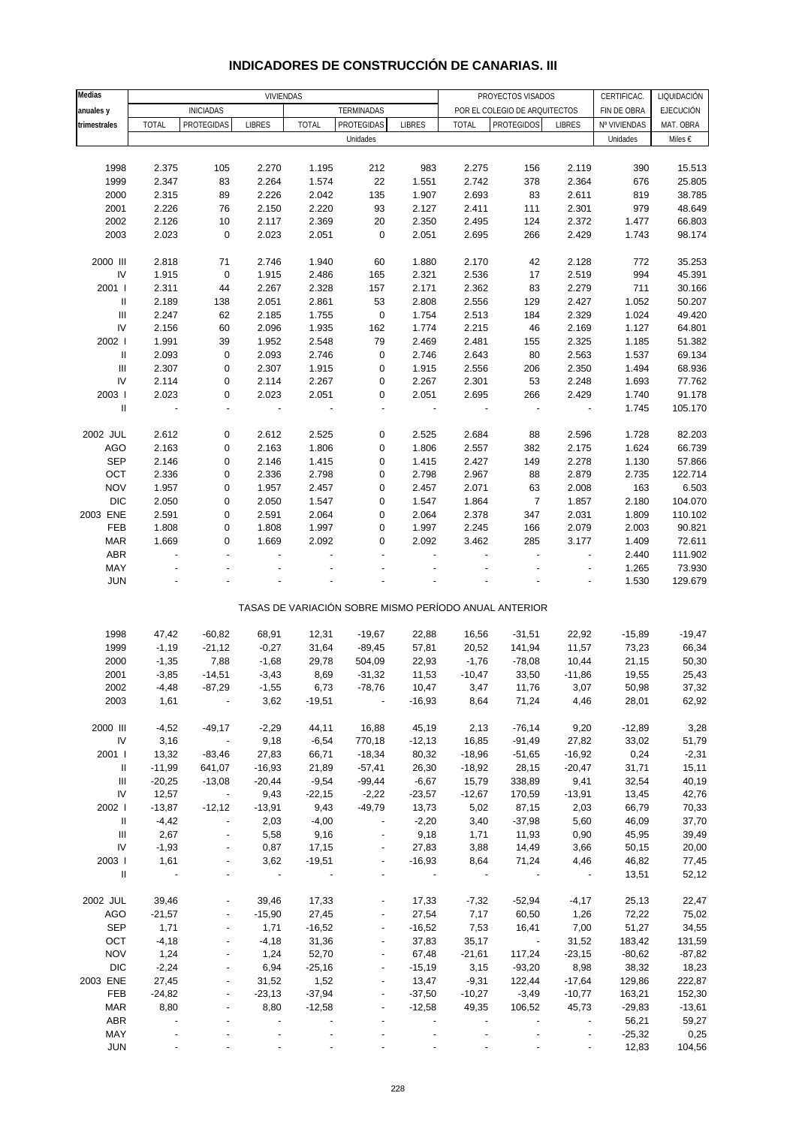| Medias                             |                          | VIVIENDAS                |                          |                          |                          |                          | PROYECTOS VISADOS<br>CERTIFICAC. |                                                       |                          |              | LIQUIDACIÓN      |
|------------------------------------|--------------------------|--------------------------|--------------------------|--------------------------|--------------------------|--------------------------|----------------------------------|-------------------------------------------------------|--------------------------|--------------|------------------|
| anuales y                          |                          | <b>INICIADAS</b>         |                          |                          | TERMINADAS               |                          |                                  | POR EL COLEGIO DE ARQUITECTOS                         |                          | FIN DE OBRA  | <b>EJECUCIÓN</b> |
| trimestrales                       | <b>TOTAL</b>             | PROTEGIDAS               | <b>LIBRES</b>            | <b>TOTAL</b>             | PROTEGIDAS               | <b>LIBRES</b>            | TOTAL                            | <b>PROTEGIDOS</b>                                     | <b>LIBRES</b>            | Nº VIVIENDAS | MAT. OBRA        |
|                                    |                          |                          |                          |                          | Unidades                 |                          |                                  |                                                       |                          | Unidades     | Miles €          |
|                                    |                          |                          |                          |                          |                          |                          |                                  |                                                       |                          |              |                  |
| 1998                               | 2.375                    | 105                      | 2.270                    | 1.195                    | 212                      | 983                      | 2.275                            | 156                                                   | 2.119                    | 390          | 15.513           |
| 1999                               | 2.347                    | 83                       | 2.264                    | 1.574                    | 22                       | 1.551                    | 2.742                            | 378                                                   | 2.364                    | 676          | 25.805           |
| 2000                               | 2.315                    | 89                       | 2.226                    | 2.042                    | 135                      | 1.907                    | 2.693                            | 83                                                    | 2.611                    | 819          | 38.785           |
| 2001                               | 2.226                    | 76                       | 2.150                    | 2.220                    | 93                       | 2.127                    | 2.411                            | 111                                                   | 2.301                    | 979          | 48.649           |
|                                    |                          |                          |                          |                          |                          |                          |                                  |                                                       |                          |              | 66.803           |
| 2002                               | 2.126                    | 10                       | 2.117                    | 2.369                    | 20                       | 2.350                    | 2.495                            | 124                                                   | 2.372                    | 1.477        |                  |
| 2003                               | 2.023                    | $\pmb{0}$                | 2.023                    | 2.051                    | $\pmb{0}$                | 2.051                    | 2.695                            | 266                                                   | 2.429                    | 1.743        | 98.174           |
| 2000 III                           |                          | 71                       |                          | 1.940                    |                          |                          |                                  |                                                       | 2.128                    |              |                  |
| ${\sf IV}$                         | 2.818                    | $\pmb{0}$                | 2.746                    |                          | 60                       | 1.880                    | 2.170                            | 42<br>17                                              |                          | 772<br>994   | 35.253<br>45.391 |
|                                    | 1.915                    |                          | 1.915                    | 2.486                    | 165                      | 2.321                    | 2.536                            |                                                       | 2.519                    |              |                  |
| 2001 l                             | 2.311                    | 44                       | 2.267                    | 2.328                    | 157                      | 2.171                    | 2.362                            | 83                                                    | 2.279                    | 711          | 30.166           |
| Ш                                  | 2.189                    | 138                      | 2.051                    | 2.861                    | 53                       | 2.808                    | 2.556                            | 129                                                   | 2.427                    | 1.052        | 50.207           |
| $\ensuremath{\mathsf{III}}\xspace$ | 2.247                    | 62                       | 2.185                    | 1.755                    | 0                        | 1.754                    | 2.513                            | 184                                                   | 2.329                    | 1.024        | 49.420           |
| ${\sf IV}$                         | 2.156                    | 60                       | 2.096                    | 1.935                    | 162                      | 1.774                    | 2.215                            | 46                                                    | 2.169                    | 1.127        | 64.801           |
| 2002                               | 1.991                    | 39                       | 1.952                    | 2.548                    | 79                       | 2.469                    | 2.481                            | 155                                                   | 2.325                    | 1.185        | 51.382           |
| $\ensuremath{\mathsf{II}}$         | 2.093                    | $\pmb{0}$                | 2.093                    | 2.746                    | 0                        | 2.746                    | 2.643                            | 80                                                    | 2.563                    | 1.537        | 69.134           |
| $\ensuremath{\mathsf{III}}\xspace$ | 2.307                    | $\pmb{0}$                | 2.307                    | 1.915                    | 0                        | 1.915                    | 2.556                            | 206                                                   | 2.350                    | 1.494        | 68.936           |
| IV                                 | 2.114                    | $\pmb{0}$                | 2.114                    | 2.267                    | 0                        | 2.267                    | 2.301                            | 53                                                    | 2.248                    | 1.693        | 77.762           |
| 2003                               | 2.023                    | $\pmb{0}$                | 2.023                    | 2.051                    | 0                        | 2.051                    | 2.695                            | 266                                                   | 2.429                    | 1.740        | 91.178           |
| Ш                                  | $\blacksquare$           | $\overline{\phantom{a}}$ | $\overline{\phantom{a}}$ | $\overline{\phantom{a}}$ | ÷,                       | $\overline{\phantom{a}}$ | $\overline{\phantom{a}}$         | $\qquad \qquad \blacksquare$                          | $\blacksquare$           | 1.745        | 105.170          |
|                                    |                          |                          |                          |                          |                          |                          |                                  |                                                       |                          |              |                  |
| 2002 JUL                           | 2.612                    | 0                        | 2.612                    | 2.525                    | 0                        | 2.525                    | 2.684                            | 88                                                    | 2.596                    | 1.728        | 82.203           |
| <b>AGO</b>                         | 2.163                    | $\pmb{0}$                | 2.163                    | 1.806                    | 0                        | 1.806                    | 2.557                            | 382                                                   | 2.175                    | 1.624        | 66.739           |
| <b>SEP</b>                         | 2.146                    | $\pmb{0}$                | 2.146                    | 1.415                    | 0                        | 1.415                    | 2.427                            | 149                                                   | 2.278                    | 1.130        | 57.866           |
| OCT                                | 2.336                    | $\pmb{0}$                | 2.336                    | 2.798                    | 0                        | 2.798                    | 2.967                            | 88                                                    | 2.879                    | 2.735        | 122.714          |
| <b>NOV</b>                         | 1.957                    | $\pmb{0}$                | 1.957                    | 2.457                    | 0                        | 2.457                    | 2.071                            | 63                                                    | 2.008                    | 163          | 6.503            |
| <b>DIC</b>                         | 2.050                    | $\pmb{0}$                | 2.050                    | 1.547                    | 0                        | 1.547                    | 1.864                            | $\boldsymbol{7}$                                      | 1.857                    | 2.180        | 104.070          |
| 2003 ENE                           | 2.591                    | $\pmb{0}$                | 2.591                    | 2.064                    | 0                        | 2.064                    | 2.378                            | 347                                                   | 2.031                    | 1.809        | 110.102          |
| FEB                                | 1.808                    | $\pmb{0}$                | 1.808                    | 1.997                    | 0                        | 1.997                    | 2.245                            | 166                                                   | 2.079                    | 2.003        | 90.821           |
| <b>MAR</b>                         | 1.669                    | $\mathbf 0$              | 1.669                    | 2.092                    | 0                        | 2.092                    | 3.462                            | 285                                                   | 3.177                    | 1.409        | 72.611           |
| ABR                                |                          | $\overline{a}$           |                          |                          |                          |                          |                                  |                                                       | $\overline{a}$           | 2.440        | 111.902          |
| MAY                                |                          |                          |                          |                          |                          |                          |                                  |                                                       |                          | 1.265        | 73.930           |
| <b>JUN</b>                         |                          |                          |                          |                          |                          |                          |                                  |                                                       |                          | 1.530        | 129.679          |
|                                    |                          |                          |                          |                          |                          |                          |                                  |                                                       |                          |              |                  |
|                                    |                          |                          |                          |                          |                          |                          |                                  | TASAS DE VARIACIÓN SOBRE MISMO PERÍODO ANUAL ANTERIOR |                          |              |                  |
|                                    |                          |                          |                          |                          |                          |                          |                                  |                                                       |                          |              |                  |
| 1998                               | 47,42                    | $-60,82$                 | 68,91                    | 12,31                    | $-19,67$                 | 22,88                    | 16,56                            | $-31,51$                                              | 22,92                    | $-15,89$     | $-19,47$         |
| 1999                               | $-1,19$                  | $-21,12$                 | $-0,27$                  | 31,64                    | $-89,45$                 | 57,81                    | 20,52                            | 141,94                                                | 11,57                    | 73,23        | 66,34            |
| 2000                               | $-1,35$                  | 7,88                     | $-1,68$                  | 29,78                    | 504,09                   | 22,93                    | $-1,76$                          | $-78,08$                                              | 10,44                    | 21,15        | 50,30            |
| 2001                               | $-3,85$                  | $-14,51$                 | $-3,43$                  | 8,69                     | $-31,32$                 | 11,53                    | $-10,47$                         | 33,50                                                 | $-11,86$                 | 19,55        | 25,43            |
| 2002                               | $-4,48$                  | $-87,29$                 | $-1,55$                  | 6,73                     | $-78,76$                 | 10,47                    | 3,47                             | 11,76                                                 | 3,07                     | 50,98        | 37,32            |
| 2003                               | 1,61                     |                          | 3,62                     | $-19,51$                 |                          | $-16,93$                 | 8,64                             | 71,24                                                 | 4,46                     | 28,01        | 62,92            |
|                                    |                          |                          |                          |                          |                          |                          |                                  |                                                       |                          |              |                  |
| 2000 III                           | $-4,52$                  | $-49,17$                 | $-2,29$                  | 44,11                    | 16,88                    | 45,19                    | 2,13                             | $-76,14$                                              | 9,20                     | $-12,89$     | 3,28             |
| IV                                 | 3,16                     | $\overline{a}$           | 9,18                     | $-6,54$                  | 770,18                   | $-12,13$                 | 16,85                            | $-91,49$                                              | 27,82                    | 33,02        | 51,79            |
| 2001                               | 13,32                    | $-83,46$                 | 27,83                    | 66,71                    | $-18,34$                 | 80,32                    | $-18,96$                         | $-51,65$                                              | $-16,92$                 | 0,24         | $-2,31$          |
| Ш                                  | $-11,99$                 | 641,07                   | $-16,93$                 | 21,89                    | $-57,41$                 | 26,30                    | $-18,92$                         | 28,15                                                 | $-20,47$                 | 31,71        | 15,11            |
| Ш                                  | $-20,25$                 | $-13,08$                 | $-20,44$                 | $-9,54$                  | $-99,44$                 | $-6,67$                  | 15,79                            | 338,89                                                | 9,41                     | 32,54        | 40,19            |
| IV                                 | 12,57                    | $\overline{\phantom{a}}$ | 9,43                     | $-22,15$                 | $-2,22$                  | $-23,57$                 | $-12,67$                         | 170,59                                                | $-13,91$                 | 13,45        | 42,76            |
| 2002                               | $-13,87$                 | $-12,12$                 | $-13,91$                 | 9,43                     | $-49,79$                 | 13,73                    | 5,02                             | 87,15                                                 | 2,03                     | 66,79        | 70,33            |
| Ш                                  | $-4,42$                  | $\blacksquare$           | 2,03                     | $-4,00$                  |                          | $-2,20$                  | 3,40                             | $-37,98$                                              | 5,60                     | 46,09        | 37,70            |
| Ш                                  | 2,67                     | $\blacksquare$           | 5,58                     | 9,16                     |                          | 9,18                     | 1,71                             | 11,93                                                 | 0,90                     | 45,95        | 39,49            |
| IV                                 | $-1,93$                  | $\overline{\phantom{a}}$ | 0,87                     | 17,15                    | $\overline{\phantom{a}}$ | 27,83                    | 3,88                             | 14,49                                                 | 3,66                     | 50,15        | 20,00            |
| 2003                               | 1,61                     |                          | 3,62                     | $-19,51$                 |                          | $-16,93$                 | 8,64                             | 71,24                                                 | 4,46                     | 46,82        | 77,45            |
| $\mathbf{II}$                      | $\overline{\phantom{a}}$ | ÷                        | $\blacksquare$           |                          |                          |                          | $\overline{\phantom{a}}$         |                                                       | $\overline{\phantom{a}}$ | 13,51        | 52,12            |
|                                    |                          |                          |                          |                          |                          |                          |                                  |                                                       |                          |              |                  |
| 2002 JUL                           | 39,46                    |                          | 39,46                    | 17,33                    |                          | 17,33                    | $-7,32$                          | $-52,94$                                              | $-4,17$                  | 25,13        | 22,47            |
| AGO                                | $-21,57$                 |                          | $-15,90$                 | 27,45                    |                          | 27,54                    | 7,17                             | 60,50                                                 | 1,26                     | 72,22        | 75,02            |
| SEP                                | 1,71                     |                          | 1,71                     | $-16,52$                 | $\overline{\phantom{a}}$ | $-16,52$                 | 7,53                             | 16,41                                                 | 7,00                     | 51,27        | 34,55            |
| OCT                                | $-4,18$                  |                          | $-4,18$                  | 31,36                    |                          | 37,83                    | 35,17                            | $\sim$                                                | 31,52                    | 183,42       | 131,59           |
| <b>NOV</b>                         | 1,24                     |                          | 1,24                     | 52,70                    | $\overline{\phantom{a}}$ | 67,48                    | $-21,61$                         | 117,24                                                | $-23,15$                 | $-80,62$     | $-87,82$         |
| <b>DIC</b>                         | $-2,24$                  |                          | 6,94                     | $-25,16$                 | $\overline{\phantom{a}}$ | $-15,19$                 | 3,15                             | $-93,20$                                              | 8,98                     | 38,32        | 18,23            |
| 2003 ENE                           | 27,45                    |                          | 31,52                    | 1,52                     |                          | 13,47                    | $-9,31$                          | 122,44                                                | $-17,64$                 | 129,86       | 222,87           |
| FEB                                | $-24,82$                 |                          | $-23,13$                 | $-37,94$                 | $\overline{\phantom{a}}$ | $-37,50$                 | $-10,27$                         | $-3,49$                                               | $-10,77$                 | 163,21       | 152,30           |
| MAR                                | 8,80                     |                          | 8,80                     | $-12,58$                 |                          | $-12,58$                 | 49,35                            | 106,52                                                | 45,73                    | $-29,83$     | $-13,61$         |
| ABR                                |                          |                          |                          |                          |                          |                          |                                  |                                                       |                          | 56,21        | 59,27            |
| MAY                                |                          |                          |                          |                          |                          |                          |                                  |                                                       |                          | $-25,32$     | 0,25             |
| <b>JUN</b>                         |                          |                          |                          |                          |                          |                          |                                  |                                                       |                          | 12,83        | 104,56           |

### **INDICADORES DE CONSTRUCCIÓN DE CANARIAS. III**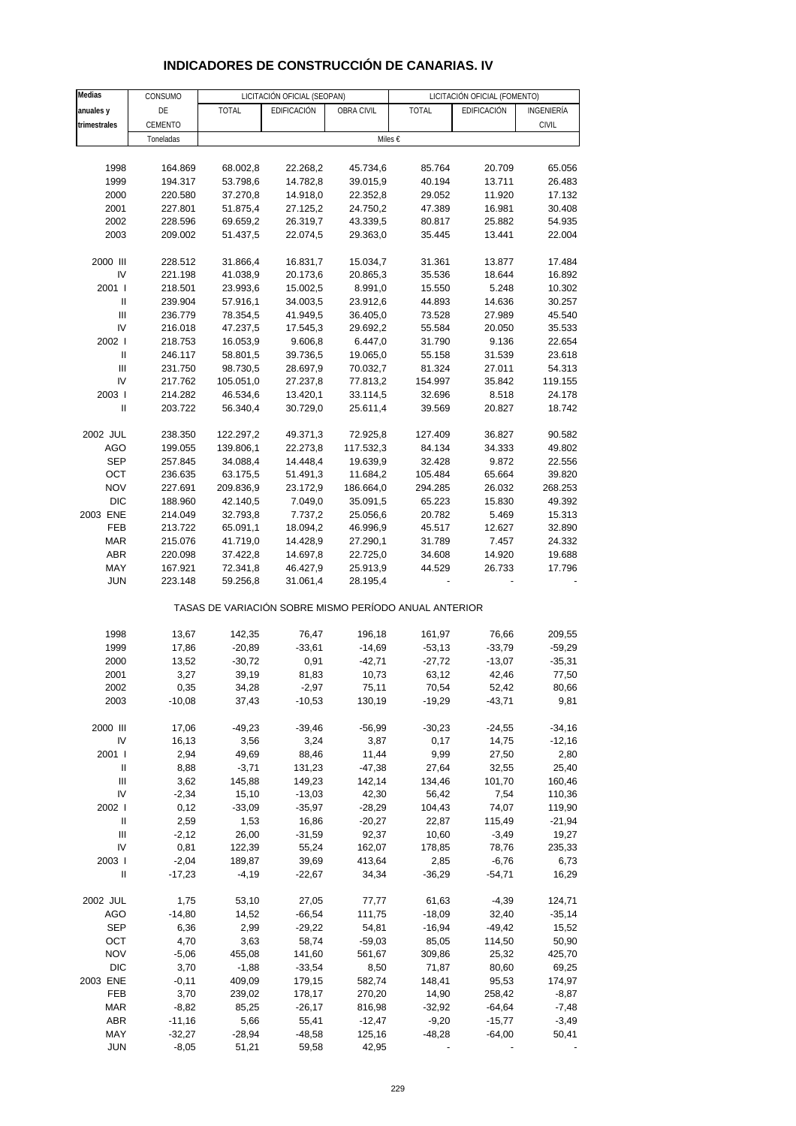| <b>Medias</b>                      | CONSUMO   |              | LICITACIÓN OFICIAL (SEOPAN)                           |            |              | LICITACIÓN OFICIAL (FOMENTO) |              |
|------------------------------------|-----------|--------------|-------------------------------------------------------|------------|--------------|------------------------------|--------------|
| anuales y                          | DE        | <b>TOTAL</b> | EDIFICACIÓN                                           | OBRA CIVIL | <b>TOTAL</b> | EDIFICACIÓN                  | INGENIERÍA   |
| trimestrales                       | CEMENTO   |              |                                                       |            |              |                              | <b>CIVIL</b> |
|                                    | Toneladas |              |                                                       |            | Miles €      |                              |              |
|                                    |           |              |                                                       |            |              |                              |              |
| 1998                               | 164.869   | 68.002,8     | 22.268,2                                              | 45.734,6   | 85.764       | 20.709                       | 65.056       |
| 1999                               | 194.317   | 53.798,6     | 14.782,8                                              | 39.015,9   | 40.194       | 13.711                       | 26.483       |
| 2000                               | 220.580   | 37.270,8     | 14.918,0                                              | 22.352,8   | 29.052       | 11.920                       | 17.132       |
| 2001                               | 227.801   | 51.875,4     | 27.125,2                                              | 24.750,2   | 47.389       | 16.981                       | 30.408       |
| 2002                               | 228.596   | 69.659,2     | 26.319,7                                              | 43.339,5   | 80.817       | 25.882                       | 54.935       |
| 2003                               | 209.002   | 51.437,5     | 22.074,5                                              | 29.363,0   | 35.445       | 13.441                       | 22.004       |
|                                    |           |              |                                                       |            |              |                              |              |
| 2000 III                           | 228.512   | 31.866,4     | 16.831,7                                              | 15.034,7   | 31.361       | 13.877                       | 17.484       |
| IV                                 | 221.198   | 41.038,9     | 20.173,6                                              | 20.865,3   | 35.536       | 18.644                       | 16.892       |
| 2001 l                             | 218.501   | 23.993,6     | 15.002,5                                              | 8.991,0    | 15.550       | 5.248                        | 10.302       |
| $\ensuremath{\mathsf{II}}$         | 239.904   | 57.916,1     | 34.003,5                                              | 23.912,6   | 44.893       | 14.636                       | 30.257       |
| III                                | 236.779   | 78.354,5     | 41.949,5                                              | 36.405,0   | 73.528       | 27.989                       | 45.540       |
| IV                                 | 216.018   | 47.237,5     | 17.545,3                                              | 29.692,2   | 55.584       | 20.050                       | 35.533       |
| 2002                               | 218.753   | 16.053,9     | 9.606,8                                               | 6.447,0    | 31.790       | 9.136                        | 22.654       |
| $\ensuremath{\mathsf{II}}$         | 246.117   | 58.801,5     | 39.736,5                                              | 19.065,0   | 55.158       | 31.539                       | 23.618       |
| Ш                                  | 231.750   | 98.730,5     | 28.697,9                                              | 70.032,7   | 81.324       | 27.011                       | 54.313       |
| IV                                 | 217.762   | 105.051,0    | 27.237,8                                              | 77.813,2   | 154.997      | 35.842                       | 119.155      |
| 2003                               | 214.282   | 46.534,6     | 13.420,1                                              | 33.114,5   | 32.696       | 8.518                        | 24.178       |
| Ш                                  | 203.722   | 56.340,4     | 30.729,0                                              | 25.611,4   | 39.569       | 20.827                       | 18.742       |
|                                    |           |              |                                                       |            |              |                              |              |
| 2002 JUL                           | 238.350   | 122.297,2    | 49.371,3                                              | 72.925,8   | 127.409      | 36.827                       | 90.582       |
| <b>AGO</b>                         | 199.055   | 139.806,1    | 22.273,8                                              | 117.532,3  | 84.134       | 34.333                       | 49.802       |
| <b>SEP</b>                         | 257.845   | 34.088,4     | 14.448,4                                              | 19.639,9   | 32.428       | 9.872                        | 22.556       |
| OCT                                | 236.635   | 63.175,5     | 51.491,3                                              | 11.684,2   | 105.484      | 65.664                       | 39.820       |
| <b>NOV</b>                         | 227.691   | 209.836,9    | 23.172,9                                              | 186.664,0  | 294.285      | 26.032                       | 268.253      |
| <b>DIC</b>                         | 188.960   | 42.140,5     | 7.049,0                                               | 35.091,5   | 65.223       | 15.830                       | 49.392       |
| 2003 ENE                           | 214.049   | 32.793,8     | 7.737,2                                               | 25.056,6   | 20.782       | 5.469                        | 15.313       |
| FEB                                | 213.722   | 65.091,1     | 18.094,2                                              | 46.996,9   | 45.517       | 12.627                       | 32.890       |
| <b>MAR</b>                         | 215.076   | 41.719,0     | 14.428,9                                              | 27.290,1   | 31.789       | 7.457                        | 24.332       |
| <b>ABR</b>                         | 220.098   | 37.422,8     | 14.697,8                                              | 22.725,0   | 34.608       | 14.920                       | 19.688       |
| MAY                                | 167.921   | 72.341,8     | 46.427,9                                              | 25.913,9   | 44.529       | 26.733                       | 17.796       |
| <b>JUN</b>                         | 223.148   | 59.256,8     | 31.061,4                                              | 28.195,4   |              |                              |              |
|                                    |           |              | TASAS DE VARIACIÓN SOBRE MISMO PERÍODO ANUAL ANTERIOR |            |              |                              |              |
|                                    |           |              |                                                       |            |              |                              |              |
| 1998                               | 13,67     | 142,35       | 76,47                                                 | 196,18     | 161,97       | 76,66                        | 209,55       |
| 1999                               | 17,86     | $-20,89$     | $-33,61$                                              | $-14,69$   | $-53,13$     | $-33,79$                     | $-59,29$     |
| 2000                               | 13,52     | $-30,72$     | 0,91                                                  | $-42,71$   | $-27,72$     | $-13,07$                     | $-35,31$     |
| 2001                               | 3,27      | 39,19        | 81,83                                                 | 10,73      | 63,12        | 42,46                        | 77,50        |
| 2002                               | 0,35      | 34,28        | $-2,97$                                               | 75,11      | 70,54        | 52,42                        | 80,66        |
| 2003                               | $-10,08$  | 37,43        | $-10,53$                                              | 130,19     | $-19,29$     | $-43,71$                     | 9,81         |
|                                    |           |              |                                                       |            |              |                              |              |
| 2000 III                           | 17,06     | $-49,23$     | $-39,46$                                              | $-56,99$   | $-30,23$     | $-24,55$                     | $-34,16$     |
| IV                                 | 16,13     | 3,56         | 3,24                                                  | 3,87       | 0,17         | 14,75                        | $-12,16$     |
| 2001 l                             | 2,94      | 49,69        | 88,46                                                 | 11,44      | 9,99         | 27,50                        | 2,80         |
| Ш                                  | 8,88      | $-3,71$      | 131,23                                                | $-47,38$   | 27,64        | 32,55                        | 25,40        |
| Ш                                  | 3,62      | 145,88       | 149,23                                                | 142,14     | 134,46       | 101,70                       | 160,46       |
| IV                                 | $-2,34$   | 15,10        | $-13,03$                                              | 42,30      | 56,42        | 7,54                         | 110,36       |
| 2002 l                             | 0,12      | $-33,09$     | $-35,97$                                              | $-28,29$   | 104,43       | 74,07                        | 119,90       |
| Ш                                  | 2,59      | 1,53         | 16,86                                                 | $-20,27$   | 22,87        | 115,49                       | $-21,94$     |
| $\ensuremath{\mathsf{III}}\xspace$ | $-2,12$   | 26,00        | $-31,59$                                              | 92,37      | 10,60        | $-3,49$                      | 19,27        |
| IV                                 | 0,81      | 122,39       | 55,24                                                 | 162,07     | 178,85       | 78,76                        | 235,33       |
| 2003                               | $-2,04$   | 189,87       | 39,69                                                 | 413,64     | 2,85         | $-6,76$                      | 6,73         |
| $\mathbf{I}$                       | $-17,23$  | $-4,19$      | $-22,67$                                              | 34,34      | $-36,29$     | $-54,71$                     | 16,29        |
|                                    |           |              |                                                       |            |              |                              |              |
| 2002 JUL                           | 1,75      | 53,10        | 27,05                                                 | 77,77      | 61,63        | $-4,39$                      | 124,71       |
| <b>AGO</b>                         | $-14,80$  | 14,52        | $-66,54$                                              | 111,75     | $-18,09$     | 32,40                        | $-35,14$     |
| <b>SEP</b>                         | 6,36      | 2,99         | $-29,22$                                              | 54,81      | $-16,94$     | $-49,42$                     | 15,52        |
| OCT                                | 4,70      | 3,63         | 58,74                                                 | $-59,03$   | 85,05        | 114,50                       | 50,90        |
| <b>NOV</b>                         | $-5,06$   | 455,08       | 141,60                                                | 561,67     | 309,86       | 25,32                        | 425,70       |
| <b>DIC</b>                         | 3,70      | $-1,88$      | $-33,54$                                              | 8,50       | 71,87        | 80,60                        | 69,25        |
| 2003 ENE                           | $-0,11$   | 409,09       | 179,15                                                | 582,74     | 148,41       | 95,53                        | 174,97       |
| FEB                                | 3,70      | 239,02       | 178,17                                                | 270,20     | 14,90        | 258,42                       | $-8,87$      |
| <b>MAR</b>                         | $-8,82$   | 85,25        | $-26,17$                                              | 816,98     | $-32,92$     | $-64,64$                     | $-7,48$      |

#### **INDICADORES DE CONSTRUCCIÓN DE CANARIAS. IV**

 ABR -11,16 5,66 55,41 -12,47 -9,20 -15,77 -3,49 MAY -32,27 -28,94 -48,58 125,16 -48,28 -64,00 50,41 JUN -8,05 51,21 59,58 42,95 - - -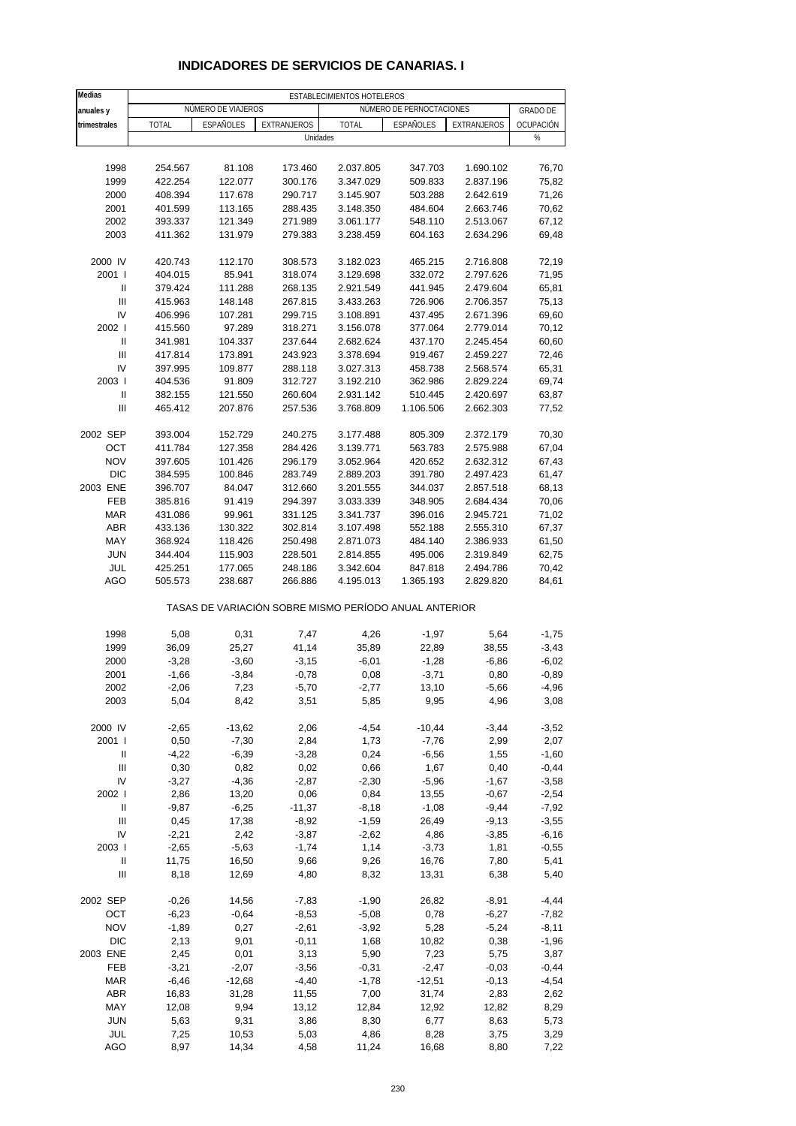| Medias            | ESTABLECIMIENTOS HOTELEROS |                    |                    |                                                       |                          |              |                 |  |
|-------------------|----------------------------|--------------------|--------------------|-------------------------------------------------------|--------------------------|--------------|-----------------|--|
| anuales y         |                            | NÚMERO DE VIAJEROS |                    |                                                       | NÚMERO DE PERNOCTACIONES |              | <b>GRADO DE</b> |  |
| trimestrales      | <b>TOTAL</b>               | <b>ESPAÑOLES</b>   | <b>EXTRANJEROS</b> | <b>TOTAL</b>                                          | <b>ESPAÑOLES</b>         | EXTRANJEROS  | OCUPACIÓN       |  |
|                   |                            |                    | Unidades           |                                                       |                          |              | %               |  |
|                   |                            |                    |                    |                                                       |                          |              |                 |  |
| 1998              | 254.567                    | 81.108             | 173.460            | 2.037.805                                             | 347.703                  | 1.690.102    | 76,70           |  |
| 1999              | 422.254                    | 122.077            | 300.176            | 3.347.029                                             | 509.833                  | 2.837.196    | 75,82           |  |
| 2000              | 408.394                    | 117.678            | 290.717            | 3.145.907                                             | 503.288                  | 2.642.619    | 71,26           |  |
| 2001              | 401.599                    | 113.165            | 288.435            | 3.148.350                                             | 484.604                  | 2.663.746    | 70,62           |  |
| 2002              | 393.337                    | 121.349            | 271.989            | 3.061.177                                             | 548.110                  | 2.513.067    | 67,12           |  |
| 2003              | 411.362                    | 131.979            | 279.383            | 3.238.459                                             | 604.163                  | 2.634.296    | 69,48           |  |
| 2000 IV           | 420.743                    | 112.170            | 308.573            | 3.182.023                                             | 465.215                  | 2.716.808    | 72,19           |  |
| 2001 l            | 404.015                    | 85.941             | 318.074            | 3.129.698                                             | 332.072                  | 2.797.626    | 71,95           |  |
| Ш                 | 379.424                    | 111.288            | 268.135            | 2.921.549                                             | 441.945                  | 2.479.604    | 65,81           |  |
| Ш                 | 415.963                    | 148.148            | 267.815            | 3.433.263                                             | 726.906                  | 2.706.357    | 75,13           |  |
| IV                | 406.996                    | 107.281            | 299.715            | 3.108.891                                             | 437.495                  | 2.671.396    | 69,60           |  |
| 2002              | 415.560                    | 97.289             | 318.271            | 3.156.078                                             | 377.064                  | 2.779.014    | 70,12           |  |
| Ш                 | 341.981                    | 104.337            | 237.644            | 2.682.624                                             | 437.170                  | 2.245.454    | 60,60           |  |
| $\mathbf{III}$    | 417.814                    | 173.891            | 243.923            | 3.378.694                                             | 919.467                  | 2.459.227    | 72,46           |  |
| IV                | 397.995                    | 109.877            | 288.118            | 3.027.313                                             | 458.738                  | 2.568.574    | 65,31           |  |
| 2003              | 404.536                    | 91.809             | 312.727            | 3.192.210                                             | 362.986                  | 2.829.224    | 69,74           |  |
| Ш                 | 382.155                    | 121.550            | 260.604            | 2.931.142                                             | 510.445                  | 2.420.697    | 63,87           |  |
| $\mathbf{III}$    | 465.412                    | 207.876            | 257.536            | 3.768.809                                             | 1.106.506                | 2.662.303    | 77,52           |  |
| 2002 SEP          | 393.004                    | 152.729            | 240.275            | 3.177.488                                             | 805.309                  | 2.372.179    | 70,30           |  |
| OCT               | 411.784                    | 127.358            | 284.426            | 3.139.771                                             | 563.783                  | 2.575.988    | 67,04           |  |
| <b>NOV</b>        | 397.605                    | 101.426            | 296.179            | 3.052.964                                             | 420.652                  | 2.632.312    | 67,43           |  |
| <b>DIC</b>        | 384.595                    | 100.846            | 283.749            | 2.889.203                                             | 391.780                  | 2.497.423    | 61,47           |  |
| 2003 ENE          | 396.707                    | 84.047             | 312.660            | 3.201.555                                             | 344.037                  | 2.857.518    | 68,13           |  |
| FEB               | 385.816                    | 91.419             | 294.397            | 3.033.339                                             | 348.905                  | 2.684.434    | 70,06           |  |
| <b>MAR</b>        | 431.086                    | 99.961             | 331.125            | 3.341.737                                             | 396.016                  | 2.945.721    | 71,02           |  |
| ABR               | 433.136                    | 130.322            | 302.814            | 3.107.498                                             | 552.188                  | 2.555.310    | 67,37           |  |
| MAY               | 368.924                    | 118.426            | 250.498            | 2.871.073                                             | 484.140                  | 2.386.933    | 61,50           |  |
| <b>JUN</b>        | 344.404                    | 115.903            | 228.501            | 2.814.855                                             | 495.006                  | 2.319.849    | 62,75           |  |
| JUL               | 425.251                    | 177.065            | 248.186            | 3.342.604                                             | 847.818                  | 2.494.786    | 70,42           |  |
| AGO               | 505.573                    | 238.687            | 266.886            | 4.195.013                                             | 1.365.193                | 2.829.820    | 84,61           |  |
|                   |                            |                    |                    | TASAS DE VARIACIÓN SOBRE MISMO PERÍODO ANUAL ANTERIOR |                          |              |                 |  |
| 1998              | 5,08                       | 0,31               | 7,47               | 4,26                                                  | $-1,97$                  | 5,64         | $-1,75$         |  |
| 1999              | 36,09                      | 25,27              | 41,14              | 35,89                                                 | 22,89                    | 38,55        | $-3,43$         |  |
| 2000              | $-3,28$                    | $-3,60$            | $-3,15$            | $-6,01$                                               | $-1,28$                  | $-6,86$      | $-6,02$         |  |
| 2001              | $-1,66$                    | $-3,84$            | $-0,78$            | 0,08                                                  | $-3,71$                  | 0,80         | $-0,89$         |  |
| 2002              | $-2,06$                    | 7,23               | $-5,70$            | $-2,77$                                               | 13,10                    | $-5,66$      | -4,96           |  |
| 2003              | 5,04                       | 8,42               | 3,51               | 5,85                                                  | 9,95                     | 4,96         | 3,08            |  |
| 2000 IV           | $-2,65$                    | $-13,62$           | 2,06               | $-4,54$                                               | $-10,44$                 | $-3,44$      | $-3,52$         |  |
| 2001 l            | 0,50                       | $-7,30$            | 2,84               | 1,73                                                  | $-7,76$                  | 2,99         | 2,07            |  |
| Ш                 | $-4,22$                    | $-6,39$            | $-3,28$            | 0,24                                                  | $-6,56$                  | 1,55         | $-1,60$         |  |
| Ш                 | 0,30                       | 0,82               | 0,02               | 0,66                                                  | 1,67                     | 0,40         | $-0,44$         |  |
| IV                | $-3,27$                    | $-4,36$            | $-2,87$            | $-2,30$                                               | $-5,96$                  | $-1,67$      | $-3,58$         |  |
| 2002 l            | 2,86                       | 13,20              | 0,06               | 0,84                                                  | 13,55                    | $-0,67$      | $-2,54$         |  |
| Ш                 | $-9,87$                    | $-6,25$            | $-11,37$           | $-8,18$                                               | $-1,08$                  | $-9,44$      | $-7,92$         |  |
| Ш                 | 0,45                       | 17,38              | $-8,92$            | $-1,59$                                               | 26,49                    | $-9,13$      | $-3,55$         |  |
| IV                | $-2,21$                    | 2,42               | $-3,87$            | $-2,62$                                               | 4,86                     | $-3,85$      | $-6,16$         |  |
| 2003              | $-2,65$                    | $-5,63$            | $-1,74$            | 1,14                                                  | $-3,73$                  | 1,81         | $-0,55$         |  |
| Ш                 | 11,75                      | 16,50              | 9,66               | 9,26                                                  | 16,76                    | 7,80         | 5,41            |  |
| Ш                 | 8,18                       | 12,69              | 4,80               | 8,32                                                  | 13,31                    | 6,38         | 5,40            |  |
|                   |                            |                    |                    |                                                       |                          |              |                 |  |
| 2002 SEP          | $-0,26$<br>$-6,23$         | 14,56              | $-7,83$            | $-1,90$                                               | 26,82                    | $-8,91$      | $-4,44$         |  |
| OCT               |                            | $-0,64$            | $-8,53$            | $-5,08$                                               | 0,78                     | $-6,27$      | $-7,82$         |  |
| <b>NOV</b>        | $-1,89$                    | 0,27               | $-2,61$            | $-3,92$                                               | 5,28                     | $-5,24$      | $-8,11$         |  |
| <b>DIC</b>        | 2,13                       | 9,01               | $-0,11$            | 1,68                                                  | 10,82                    | 0,38         | $-1,96$         |  |
| 2003 ENE          | 2,45                       | 0,01               | 3,13               | 5,90                                                  | 7,23                     | 5,75         | 3,87            |  |
| FEB               | $-3,21$                    | $-2,07$            | $-3,56$            | $-0,31$                                               | $-2,47$                  | $-0,03$      | $-0,44$         |  |
| <b>MAR</b>        | $-6,46$                    | $-12,68$           | $-4,40$            | $-1,78$                                               | $-12,51$                 | $-0,13$      | $-4,54$         |  |
| <b>ABR</b>        | 16,83                      | 31,28              | 11,55              | 7,00                                                  | 31,74                    | 2,83         | 2,62            |  |
| MAY               | 12,08                      | 9,94               | 13,12              | 12,84                                                 | 12,92                    | 12,82        | 8,29            |  |
| <b>JUN</b><br>JUL | 5,63<br>7,25               | 9,31               | 3,86<br>5,03       | 8,30<br>4,86                                          | 6,77<br>8,28             | 8,63<br>3,75 | 5,73<br>3,29    |  |
| <b>AGO</b>        | 8,97                       | 10,53<br>14,34     | 4,58               | 11,24                                                 | 16,68                    | 8,80         | 7,22            |  |
|                   |                            |                    |                    |                                                       |                          |              |                 |  |

#### **INDICADORES DE SERVICIOS DE CANARIAS. I**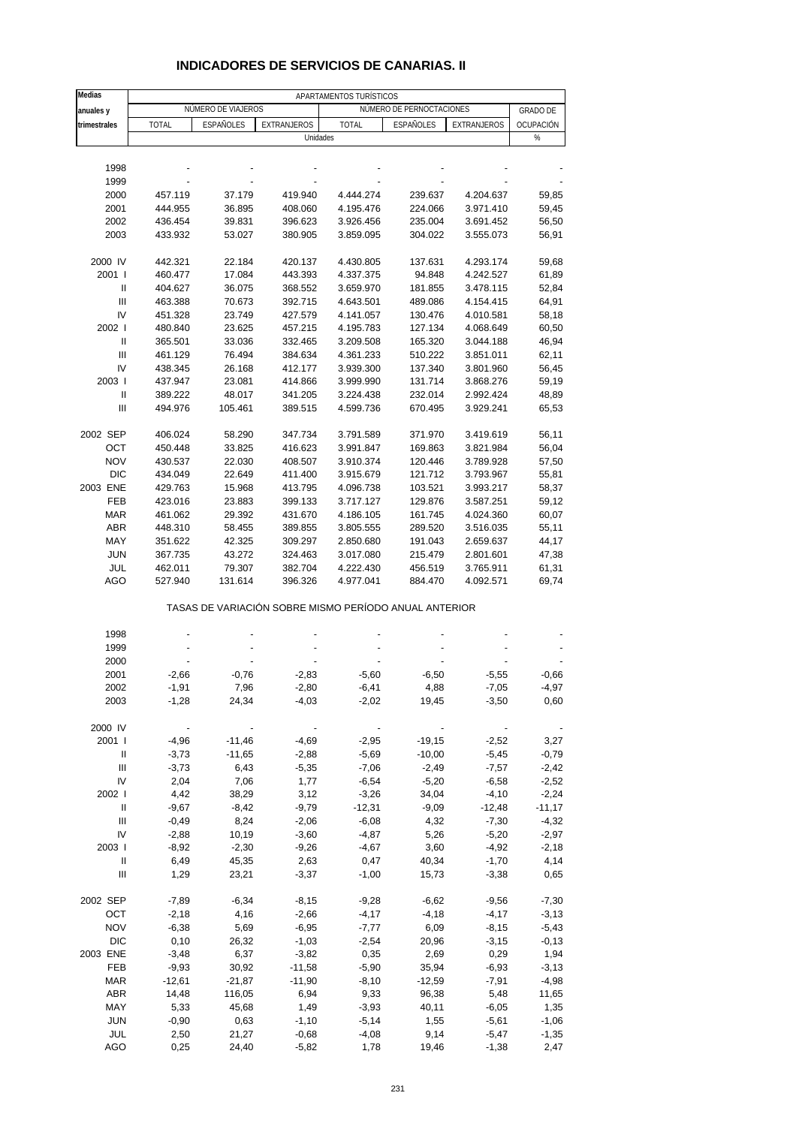| <b>Medias</b>                    |                          |                                                       |             | APARTAMENTOS TURÍSTICOS |                          |                          |                 |
|----------------------------------|--------------------------|-------------------------------------------------------|-------------|-------------------------|--------------------------|--------------------------|-----------------|
| anuales y                        |                          | NÚMERO DE VIAJEROS                                    |             |                         | NÚMERO DE PERNOCTACIONES |                          | <b>GRADO DE</b> |
| trimestrales                     | <b>TOTAL</b>             | ESPAÑOLES                                             | EXTRANJEROS | <b>TOTAL</b>            | ESPAÑOLES                | EXTRANJEROS              | OCUPACIÓN       |
|                                  |                          |                                                       | Unidades    |                         |                          |                          | $\%$            |
|                                  |                          |                                                       |             |                         |                          |                          |                 |
| 1998                             |                          |                                                       |             |                         |                          |                          |                 |
| 1999                             |                          |                                                       |             |                         |                          |                          |                 |
| 2000                             | 457.119                  | 37.179                                                | 419.940     | 4.444.274               | 239.637                  | 4.204.637                | 59,85           |
|                                  |                          |                                                       |             |                         |                          |                          |                 |
| 2001                             | 444.955                  | 36.895                                                | 408.060     | 4.195.476               | 224.066                  | 3.971.410                | 59,45           |
| 2002                             | 436.454                  | 39.831                                                | 396.623     | 3.926.456               | 235.004                  | 3.691.452                | 56,50           |
| 2003                             | 433.932                  | 53.027                                                | 380.905     | 3.859.095               | 304.022                  | 3.555.073                | 56,91           |
| 2000 IV                          | 442.321                  | 22.184                                                | 420.137     | 4.430.805               | 137.631                  | 4.293.174                | 59,68           |
| 2001 l                           | 460.477                  | 17.084                                                | 443.393     | 4.337.375               | 94.848                   | 4.242.527                | 61,89           |
| $\mathbf{I}$                     | 404.627                  | 36.075                                                | 368.552     | 3.659.970               | 181.855                  | 3.478.115                | 52,84           |
| Ш                                | 463.388                  | 70.673                                                | 392.715     | 4.643.501               | 489.086                  | 4.154.415                | 64,91           |
| IV                               | 451.328                  | 23.749                                                | 427.579     | 4.141.057               | 130.476                  | 4.010.581                | 58,18           |
| 2002                             |                          |                                                       |             |                         |                          |                          |                 |
|                                  | 480.840                  | 23.625                                                | 457.215     | 4.195.783               | 127.134                  | 4.068.649                | 60,50           |
| Ш                                | 365.501                  | 33.036                                                | 332.465     | 3.209.508               | 165.320                  | 3.044.188                | 46,94           |
| Ш                                | 461.129                  | 76.494                                                | 384.634     | 4.361.233               | 510.222                  | 3.851.011                | 62,11           |
| IV                               | 438.345                  | 26.168                                                | 412.177     | 3.939.300               | 137.340                  | 3.801.960                | 56,45           |
| 2003                             | 437.947                  | 23.081                                                | 414.866     | 3.999.990               | 131.714                  | 3.868.276                | 59,19           |
| $\mathbf{I}$                     | 389.222                  | 48.017                                                | 341.205     | 3.224.438               | 232.014                  | 2.992.424                | 48,89           |
| Ш                                | 494.976                  | 105.461                                               | 389.515     | 4.599.736               | 670.495                  | 3.929.241                | 65,53           |
| 2002 SEP                         | 406.024                  | 58.290                                                | 347.734     | 3.791.589               | 371.970                  | 3.419.619                | 56,11           |
| OCT                              | 450.448                  | 33.825                                                | 416.623     | 3.991.847               | 169.863                  | 3.821.984                | 56,04           |
| <b>NOV</b>                       | 430.537                  | 22.030                                                | 408.507     | 3.910.374               | 120.446                  | 3.789.928                | 57,50           |
| <b>DIC</b>                       | 434.049                  | 22.649                                                | 411.400     | 3.915.679               | 121.712                  | 3.793.967                | 55,81           |
| 2003 ENE                         | 429.763                  | 15.968                                                | 413.795     | 4.096.738               | 103.521                  | 3.993.217                | 58,37           |
| FEB                              | 423.016                  | 23.883                                                | 399.133     | 3.717.127               | 129.876                  | 3.587.251                | 59,12           |
| <b>MAR</b>                       |                          |                                                       |             | 4.186.105               | 161.745                  |                          |                 |
|                                  | 461.062                  | 29.392                                                | 431.670     |                         |                          | 4.024.360                | 60,07           |
| ABR                              | 448.310                  | 58.455                                                | 389.855     | 3.805.555               | 289.520                  | 3.516.035                | 55,11           |
| MAY                              | 351.622                  | 42.325                                                | 309.297     | 2.850.680               | 191.043                  | 2.659.637                | 44,17           |
| <b>JUN</b>                       | 367.735                  | 43.272                                                | 324.463     | 3.017.080               | 215.479                  | 2.801.601                | 47,38           |
| JUL                              | 462.011                  | 79.307                                                | 382.704     | 4.222.430               | 456.519                  | 3.765.911                | 61,31           |
| AGO                              | 527.940                  | 131.614                                               | 396.326     | 4.977.041               | 884.470                  | 4.092.571                | 69,74           |
|                                  |                          | TASAS DE VARIACIÓN SOBRE MISMO PERÍODO ANUAL ANTERIOR |             |                         |                          |                          |                 |
| 1998                             |                          |                                                       |             |                         |                          |                          |                 |
| 1999                             |                          |                                                       |             |                         |                          |                          |                 |
| 2000                             |                          |                                                       |             |                         |                          |                          |                 |
| 2001                             | $-2,66$                  | $-0,76$                                               | $-2,83$     | $-5,60$                 | $-6,50$                  | $-5,55$                  | $-0.66$         |
| 2002                             | $-1,91$                  | 7,96                                                  | $-2,80$     | $-6,41$                 | 4,88                     | $-7,05$                  | $-4,97$         |
| 2003                             | $-1,28$                  | 24,34                                                 | $-4,03$     | $-2,02$                 | 19,45                    | $-3,50$                  | 0,60            |
|                                  |                          |                                                       |             |                         |                          |                          |                 |
| 2000 IV                          | $\overline{\phantom{a}}$ | $\overline{\phantom{a}}$                              |             |                         |                          | $\overline{\phantom{a}}$ |                 |
| 2001 l                           | $-4,96$                  | $-11,46$                                              | $-4,69$     | $-2,95$                 | $-19,15$                 | $-2,52$                  | 3,27            |
| $\mathbf{I}$                     | $-3,73$                  | $-11,65$                                              | $-2,88$     | $-5,69$                 | $-10,00$                 | $-5,45$                  | $-0,79$         |
| Ш                                | $-3,73$                  | 6,43                                                  | $-5,35$     | $-7,06$                 | $-2,49$                  | $-7,57$                  | $-2,42$         |
| IV                               | 2,04                     | 7,06                                                  | 1,77        | $-6,54$                 | $-5,20$                  | $-6,58$                  | $-2,52$         |
| 2002                             | 4,42                     | 38,29                                                 | 3,12        | $-3,26$                 | 34,04                    | $-4,10$                  | $-2,24$         |
| $\mathbf{I}$                     | $-9,67$                  | $-8,42$                                               | $-9,79$     | $-12,31$                | $-9,09$                  | $-12,48$                 | $-11,17$        |
| $\mathbf{III}$                   | $-0,49$                  | 8,24                                                  | $-2,06$     | $-6,08$                 | 4,32                     | $-7,30$                  | $-4,32$         |
| IV                               | $-2,88$                  | 10,19                                                 | $-3,60$     | $-4,87$                 | 5,26                     | $-5,20$                  | $-2,97$         |
| 2003                             | $-8,92$                  | $-2,30$                                               | $-9,26$     | $-4,67$                 | 3,60                     | $-4,92$                  | $-2,18$         |
| Ш                                | 6,49                     | 45,35                                                 | 2,63        | 0,47                    | 40,34                    | $-1,70$                  | 4,14            |
| $\mathop{\mathrm{III}}\nolimits$ | 1,29                     | 23,21                                                 | $-3,37$     | $-1,00$                 | 15,73                    | $-3,38$                  | 0,65            |
| 2002 SEP                         | $-7,89$                  | $-6,34$                                               | $-8,15$     | $-9,28$                 | $-6,62$                  | $-9,56$                  | $-7,30$         |
| OCT                              | $-2,18$                  | 4,16                                                  | $-2,66$     | $-4,17$                 | $-4,18$                  | $-4,17$                  | $-3,13$         |
| <b>NOV</b>                       | $-6,38$                  | 5,69                                                  | $-6,95$     | $-7,77$                 | 6,09                     | $-8,15$                  | $-5,43$         |
|                                  |                          |                                                       |             |                         |                          |                          |                 |
| <b>DIC</b>                       | 0, 10                    | 26,32                                                 | $-1,03$     | $-2,54$                 | 20,96                    | $-3,15$                  | $-0,13$         |
| 2003 ENE                         | $-3,48$                  | 6,37                                                  | $-3,82$     | 0,35                    | 2,69                     | 0,29                     | 1,94            |
| FEB                              | $-9,93$                  | 30,92                                                 | $-11,58$    | $-5,90$                 | 35,94                    | $-6,93$                  | $-3,13$         |
| <b>MAR</b>                       | $-12,61$                 | $-21,87$                                              | $-11,90$    | $-8,10$                 | $-12,59$                 | $-7,91$                  | $-4,98$         |
| ABR                              | 14,48                    | 116,05                                                | 6,94        | 9,33                    | 96,38                    | 5,48                     | 11,65           |
| MAY                              | 5,33                     | 45,68                                                 | 1,49        | $-3,93$                 | 40,11                    | $-6,05$                  | 1,35            |
| <b>JUN</b>                       | $-0,90$                  | 0,63                                                  | $-1,10$     | $-5,14$                 | 1,55                     | $-5,61$                  | $-1,06$         |

#### **INDICADORES DE SERVICIOS DE CANARIAS. II**

 JUL 2,50 21,27 -0,68 -4,08 9,14 -5,47 -1,35 AGO 0,25 24,40 -5,82 1,78 19,46 -1,38 2,47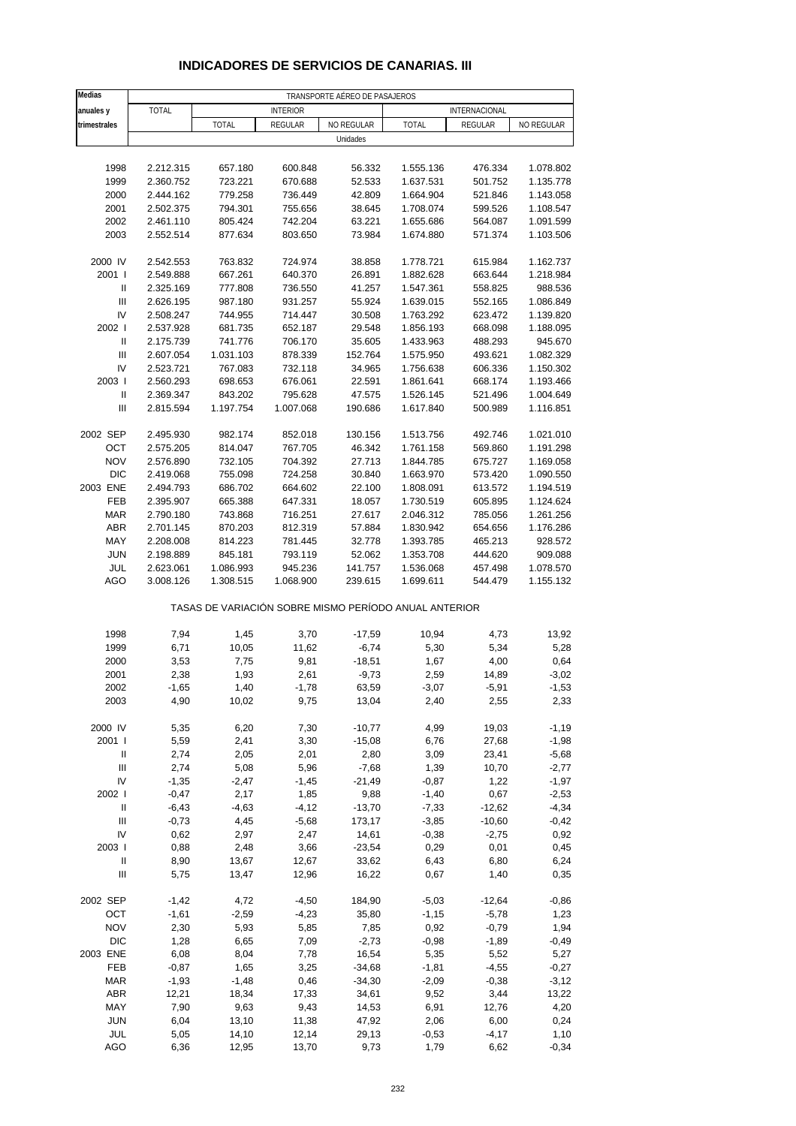| Medias                             |              |                                                       |                 | TRANSPORTE AÉREO DE PASAJEROS |              |               |            |
|------------------------------------|--------------|-------------------------------------------------------|-----------------|-------------------------------|--------------|---------------|------------|
| anuales y                          | <b>TOTAL</b> |                                                       | <b>INTERIOR</b> |                               |              | INTERNACIONAL |            |
| trimestrales                       |              | <b>TOTAL</b>                                          | REGULAR         | NO REGULAR                    | <b>TOTAL</b> | REGULAR       | NO REGULAR |
|                                    |              |                                                       |                 | Unidades                      |              |               |            |
|                                    |              |                                                       |                 |                               |              |               |            |
| 1998                               | 2.212.315    | 657.180                                               | 600.848         | 56.332                        | 1.555.136    | 476.334       | 1.078.802  |
| 1999                               | 2.360.752    | 723.221                                               | 670.688         | 52.533                        | 1.637.531    | 501.752       | 1.135.778  |
| 2000                               | 2.444.162    | 779.258                                               | 736.449         | 42.809                        | 1.664.904    | 521.846       | 1.143.058  |
| 2001                               | 2.502.375    | 794.301                                               | 755.656         | 38.645                        | 1.708.074    | 599.526       | 1.108.547  |
| 2002                               | 2.461.110    | 805.424                                               | 742.204         | 63.221                        | 1.655.686    | 564.087       | 1.091.599  |
| 2003                               | 2.552.514    | 877.634                                               | 803.650         | 73.984                        | 1.674.880    | 571.374       | 1.103.506  |
| 2000 IV                            | 2.542.553    | 763.832                                               | 724.974         | 38.858                        | 1.778.721    | 615.984       | 1.162.737  |
| 2001 l                             | 2.549.888    | 667.261                                               | 640.370         | 26.891                        | 1.882.628    | 663.644       | 1.218.984  |
| $\mathsf{I}$                       | 2.325.169    | 777.808                                               | 736.550         | 41.257                        | 1.547.361    | 558.825       | 988.536    |
| $\ensuremath{\mathsf{III}}\xspace$ | 2.626.195    | 987.180                                               | 931.257         | 55.924                        | 1.639.015    | 552.165       | 1.086.849  |
| IV                                 | 2.508.247    | 744.955                                               | 714.447         | 30.508                        | 1.763.292    | 623.472       | 1.139.820  |
| 2002                               | 2.537.928    | 681.735                                               | 652.187         | 29.548                        | 1.856.193    | 668.098       | 1.188.095  |
| Ш                                  | 2.175.739    | 741.776                                               | 706.170         | 35.605                        | 1.433.963    | 488.293       | 945.670    |
| $\ensuremath{\mathsf{III}}\xspace$ | 2.607.054    | 1.031.103                                             | 878.339         | 152.764                       | 1.575.950    | 493.621       | 1.082.329  |
| IV                                 | 2.523.721    | 767.083                                               | 732.118         | 34.965                        | 1.756.638    | 606.336       | 1.150.302  |
| 2003                               | 2.560.293    | 698.653                                               | 676.061         | 22.591                        | 1.861.641    | 668.174       | 1.193.466  |
| $\ensuremath{\mathsf{II}}$         | 2.369.347    | 843.202                                               | 795.628         | 47.575                        | 1.526.145    | 521.496       | 1.004.649  |
| Ш                                  | 2.815.594    | 1.197.754                                             | 1.007.068       | 190.686                       | 1.617.840    | 500.989       | 1.116.851  |
|                                    |              |                                                       |                 |                               |              |               |            |
| 2002 SEP                           | 2.495.930    | 982.174                                               | 852.018         | 130.156                       | 1.513.756    | 492.746       | 1.021.010  |
| OCT                                | 2.575.205    | 814.047                                               | 767.705         | 46.342                        | 1.761.158    | 569.860       | 1.191.298  |
| <b>NOV</b>                         | 2.576.890    | 732.105                                               | 704.392         | 27.713                        | 1.844.785    | 675.727       | 1.169.058  |
| <b>DIC</b>                         | 2.419.068    | 755.098                                               | 724.258         | 30.840                        | 1.663.970    | 573.420       | 1.090.550  |
| 2003 ENE                           | 2.494.793    | 686.702                                               | 664.602         | 22.100                        | 1.808.091    | 613.572       | 1.194.519  |
| FEB                                | 2.395.907    | 665.388                                               | 647.331         | 18.057                        | 1.730.519    | 605.895       | 1.124.624  |
| <b>MAR</b>                         | 2.790.180    | 743.868                                               | 716.251         | 27.617                        | 2.046.312    | 785.056       | 1.261.256  |
| ABR                                | 2.701.145    | 870.203                                               | 812.319         | 57.884                        | 1.830.942    | 654.656       | 1.176.286  |
| MAY                                | 2.208.008    | 814.223                                               | 781.445         | 32.778                        | 1.393.785    | 465.213       | 928.572    |
| <b>JUN</b>                         | 2.198.889    | 845.181                                               | 793.119         | 52.062                        | 1.353.708    | 444.620       | 909.088    |
| JUL                                | 2.623.061    | 1.086.993                                             | 945.236         | 141.757                       | 1.536.068    | 457.498       | 1.078.570  |
| AGO                                | 3.008.126    | 1.308.515                                             | 1.068.900       | 239.615                       | 1.699.611    | 544.479       | 1.155.132  |
|                                    |              | TASAS DE VARIACIÓN SOBRE MISMO PERÍODO ANUAL ANTERIOR |                 |                               |              |               |            |
| 1998                               | 7,94         | 1,45                                                  | 3,70            | $-17,59$                      | 10,94        | 4,73          | 13,92      |
| 1999                               | 6,71         | 10,05                                                 | 11,62           | $-6,74$                       | 5,30         | 5,34          | 5,28       |
| 2000                               | 3,53         | 7,75                                                  | 9,81            | $-18,51$                      | 1,67         | 4,00          | 0,64       |
| 2001                               | 2,38         | 1,93                                                  | 2,61            | $-9,73$                       | 2,59         | 14,89         | $-3,02$    |
| 2002                               | $-1,65$      | 1,40                                                  | $-1,78$         | 63,59                         | $-3,07$      | $-5,91$       | $-1,53$    |
| 2003                               | 4,90         | 10,02                                                 | 9,75            | 13,04                         | 2,40         | 2,55          | 2,33       |
|                                    |              |                                                       |                 |                               |              |               |            |
| 2000 IV                            | 5,35         | 6,20                                                  | 7,30            | $-10,77$                      | 4,99         | 19,03         | $-1,19$    |
| 2001 l                             | 5,59         | 2,41                                                  | 3,30            | $-15,08$                      | 6,76         | 27,68         | $-1,98$    |
| $\, \parallel$                     | 2,74         | 2,05                                                  | 2,01            | 2,80                          | 3,09         | 23,41         | $-5,68$    |
| $\ensuremath{\mathsf{III}}\xspace$ | 2,74         | 5,08                                                  | 5,96            | $-7,68$                       | 1,39         | 10,70         | $-2,77$    |
| IV                                 | $-1,35$      | $-2,47$                                               | $-1,45$         | $-21,49$                      | $-0,87$      | 1,22          | $-1,97$    |
| 2002 l                             | $-0,47$      | 2,17                                                  | 1,85            | 9,88                          | $-1,40$      | 0,67          | $-2,53$    |
| Ш                                  | $-6,43$      | $-4,63$                                               | $-4, 12$        | $-13,70$                      | $-7,33$      | $-12,62$      | $-4,34$    |
| Ш                                  | $-0,73$      | 4,45                                                  | $-5,68$         | 173,17                        | $-3,85$      | $-10,60$      | $-0,42$    |
| IV                                 | 0,62         | 2,97                                                  | 2,47            | 14,61                         | $-0,38$      | $-2,75$       | 0,92       |
| 2003                               | 0,88         | 2,48                                                  | 3,66            | $-23,54$                      | 0,29         | 0,01          | 0,45       |
| Ш                                  | 8,90         | 13,67                                                 | 12,67           | 33,62                         | 6,43         | 6,80          | 6,24       |
| $\ensuremath{\mathsf{III}}\xspace$ | 5,75         | 13,47                                                 | 12,96           | 16,22                         | 0,67         | 1,40          | 0,35       |
| 2002 SEP                           | $-1,42$      | 4,72                                                  | $-4,50$         | 184,90                        | $-5,03$      | $-12,64$      | $-0,86$    |
| OCT                                | $-1,61$      | $-2,59$                                               | $-4,23$         | 35,80                         | $-1,15$      | $-5,78$       | 1,23       |
| <b>NOV</b>                         | 2,30         | 5,93                                                  | 5,85            | 7,85                          | 0,92         | $-0,79$       | 1,94       |
| <b>DIC</b>                         | 1,28         | 6,65                                                  | 7,09            | $-2,73$                       | $-0,98$      | $-1,89$       | $-0,49$    |
| 2003 ENE                           | 6,08         | 8,04                                                  | 7,78            | 16,54                         | 5,35         | 5,52          | 5,27       |
| FEB                                | $-0,87$      | 1,65                                                  | 3,25            | $-34,68$                      | $-1,81$      | $-4,55$       | $-0,27$    |
| <b>MAR</b>                         | $-1,93$      | $-1,48$                                               | 0,46            | $-34,30$                      | $-2,09$      | $-0,38$       | $-3,12$    |
| <b>ABR</b>                         | 12,21        | 18,34                                                 | 17,33           | 34,61                         | 9,52         | 3,44          | 13,22      |
| MAY                                | 7,90         | 9,63                                                  | 9,43            | 14,53                         | 6,91         | 12,76         | 4,20       |
| <b>JUN</b>                         | 6,04         | 13,10                                                 | 11,38           | 47,92                         | 2,06         | 6,00          | 0,24       |
| JUL                                | 5,05         | 14,10                                                 | 12,14           | 29,13                         | $-0,53$      | $-4,17$       | 1,10       |

#### **INDICADORES DE SERVICIOS DE CANARIAS. III**

AGO 6,36 12,95 13,70 9,73 1,79 6,62 -0,34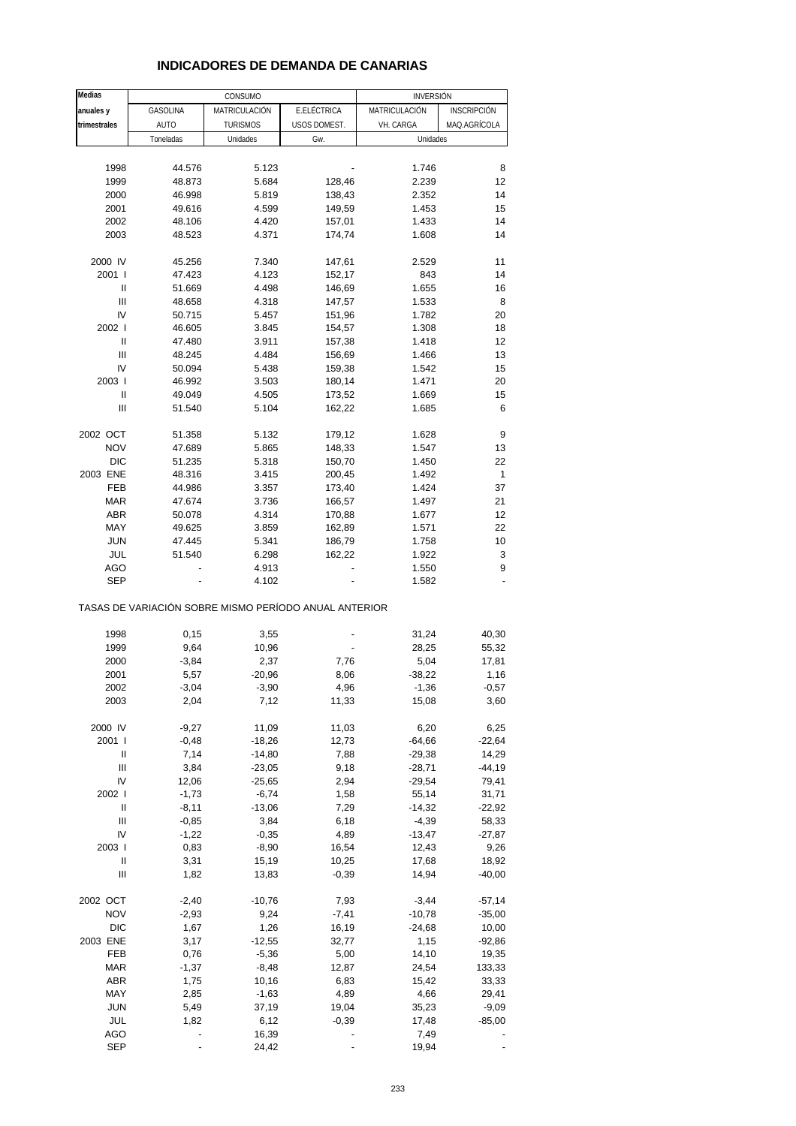#### **INDICADORES DE DEMANDA DE CANARIAS**

| Medias                                  |                    | CONSUMO                                               |                          | <b>INVERSIÓN</b>     |                      |
|-----------------------------------------|--------------------|-------------------------------------------------------|--------------------------|----------------------|----------------------|
| anuales y                               | GASOLINA           | MATRICULACION                                         | E.ELÉCTRICA              | MATRICULACIÓN        | INSCRIPCIÓN          |
| trimestrales                            | <b>AUTO</b>        | <b>TURISMOS</b>                                       | USOS DOMEST.             | VH. CARGA            | MAQ.AGRÍCOLA         |
|                                         | Toneladas          | Unidades                                              | Gw.                      | Unidades             |                      |
|                                         |                    |                                                       |                          |                      |                      |
| 1998                                    | 44.576             | 5.123                                                 |                          | 1.746                | 8                    |
| 1999                                    | 48.873             | 5.684                                                 | 128,46                   | 2.239                | 12                   |
| 2000                                    | 46.998             | 5.819                                                 | 138,43                   | 2.352                | 14                   |
| 2001                                    | 49.616             | 4.599                                                 | 149,59                   | 1.453                | 15                   |
| 2002                                    | 48.106             | 4.420                                                 | 157,01                   | 1.433                | 14                   |
| 2003                                    | 48.523             | 4.371                                                 | 174,74                   | 1.608                | 14                   |
| 2000 IV                                 | 45.256             | 7.340                                                 | 147,61                   | 2.529                | 11                   |
| 2001 l                                  | 47.423             | 4.123                                                 | 152,17                   | 843                  | 14                   |
| Ш                                       | 51.669             | 4.498                                                 | 146,69                   | 1.655                | 16                   |
| Ш                                       | 48.658             | 4.318                                                 | 147,57                   | 1.533                | 8                    |
| IV                                      | 50.715             | 5.457                                                 | 151,96                   | 1.782                | 20                   |
| 2002 l                                  | 46.605             | 3.845                                                 | 154,57                   | 1.308                | 18                   |
| Ш                                       | 47.480             | 3.911                                                 | 157,38                   | 1.418                | 12                   |
| Ш                                       | 48.245             | 4.484                                                 | 156,69                   | 1.466                | 13                   |
| IV                                      | 50.094             | 5.438                                                 | 159,38                   | 1.542                | 15                   |
| 2003                                    | 46.992             | 3.503                                                 | 180,14                   | 1.471                | 20                   |
| Ш                                       | 49.049             | 4.505                                                 | 173,52                   | 1.669                | 15                   |
| Ш                                       | 51.540             | 5.104                                                 | 162,22                   | 1.685                | 6                    |
|                                         |                    |                                                       |                          |                      |                      |
| 2002 OCT<br><b>NOV</b>                  | 51.358             | 5.132                                                 | 179,12                   | 1.628<br>1.547       | 9                    |
| DIC                                     | 47.689<br>51.235   | 5.865<br>5.318                                        | 148,33<br>150,70         | 1.450                | 13<br>22             |
| 2003 ENE                                | 48.316             | 3.415                                                 | 200,45                   | 1.492                | 1                    |
| FEB                                     | 44.986             | 3.357                                                 | 173,40                   | 1.424                | 37                   |
| <b>MAR</b>                              | 47.674             | 3.736                                                 | 166,57                   | 1.497                | 21                   |
| <b>ABR</b>                              | 50.078             | 4.314                                                 | 170,88                   | 1.677                | 12                   |
| MAY                                     | 49.625             | 3.859                                                 | 162,89                   | 1.571                | 22                   |
| <b>JUN</b>                              | 47.445             | 5.341                                                 | 186,79                   | 1.758                | 10                   |
| JUL                                     | 51.540             | 6.298                                                 | 162,22                   | 1.922                | 3                    |
| AGO                                     |                    | 4.913                                                 |                          | 1.550                | 9                    |
| SEP                                     |                    | 4.102                                                 |                          | 1.582                |                      |
|                                         |                    | TASAS DE VARIACIÓN SOBRE MISMO PERÍODO ANUAL ANTERIOR |                          |                      |                      |
| 1998                                    | 0,15               | 3,55                                                  | $\overline{\phantom{a}}$ | 31,24                | 40,30                |
| 1999                                    | 9,64               | 10,96                                                 |                          | 28,25                | 55,32                |
| 2000                                    | $-3,84$            | 2,37                                                  | 7,76                     | 5,04                 | 17,81                |
| 2001                                    | 5,57               | $-20,96$                                              | 8,06                     | $-38,22$             | 1,16                 |
| 2002                                    | -3,04              | -3,90                                                 | 4,96                     | -1,36                | $-0,57$              |
| 2003                                    | 2,04               | 7,12                                                  | 11,33                    | 15,08                | 3,60                 |
|                                         |                    |                                                       |                          |                      |                      |
| 2000 IV                                 | $-9,27$            | 11,09                                                 | 11,03                    | 6,20                 | 6,25                 |
| 2001 l                                  | $-0,48$            | $-18,26$                                              | 12,73                    | $-64,66$             | $-22,64$             |
| Ш<br>$\ensuremath{\mathsf{III}}\xspace$ | 7,14<br>3,84       | $-14,80$<br>$-23,05$                                  | 7,88                     | $-29,38$<br>$-28,71$ | 14,29<br>$-44,19$    |
| IV                                      | 12,06              | $-25,65$                                              | 9,18<br>2,94             | $-29,54$             | 79,41                |
| 2002                                    | $-1,73$            | $-6,74$                                               | 1,58                     | 55,14                | 31,71                |
| $\ensuremath{\mathsf{II}}$              | $-8,11$            | $-13,06$                                              | 7,29                     | $-14,32$             | $-22,92$             |
| $\ensuremath{\mathsf{III}}\xspace$      | $-0,85$            | 3,84                                                  | 6,18                     | $-4,39$              | 58,33                |
| IV                                      | $-1,22$            | $-0,35$                                               | 4,89                     | $-13,47$             | $-27,87$             |
| 2003                                    | 0,83               | $-8,90$                                               | 16,54                    | 12,43                | 9,26                 |
| $\label{eq:1} \mathsf{I}\mathsf{I}$     | 3,31               | 15,19                                                 | 10,25                    | 17,68                | 18,92                |
| Ш                                       | 1,82               | 13,83                                                 | $-0,39$                  | 14,94                | $-40,00$             |
|                                         |                    |                                                       |                          |                      |                      |
| 2002 OCT<br><b>NOV</b>                  | $-2,40$<br>$-2,93$ | $-10,76$<br>9,24                                      | 7,93<br>$-7,41$          | $-3,44$<br>$-10,78$  | $-57,14$<br>$-35,00$ |
| <b>DIC</b>                              | 1,67               | 1,26                                                  | 16,19                    | $-24,68$             | 10,00                |
| 2003 ENE                                | 3,17               | $-12,55$                                              | 32,77                    | 1,15                 | $-92,86$             |
| FEB                                     | 0,76               | $-5,36$                                               | 5,00                     | 14,10                | 19,35                |
| <b>MAR</b>                              | $-1,37$            | $-8,48$                                               | 12,87                    | 24,54                | 133,33               |
| ABR                                     | 1,75               | 10,16                                                 | 6,83                     | 15,42                | 33,33                |
| MAY                                     | 2,85               | $-1,63$                                               | 4,89                     | 4,66                 | 29,41                |
| <b>JUN</b>                              | 5,49               | 37,19                                                 | 19,04                    | 35,23                | $-9,09$              |
| JUL                                     | 1,82               | 6,12                                                  | $-0,39$                  | 17,48                | $-85,00$             |
| <b>AGO</b>                              |                    | 16,39                                                 |                          | 7,49                 |                      |
| <b>SEP</b>                              |                    | 24,42                                                 |                          | 19,94                |                      |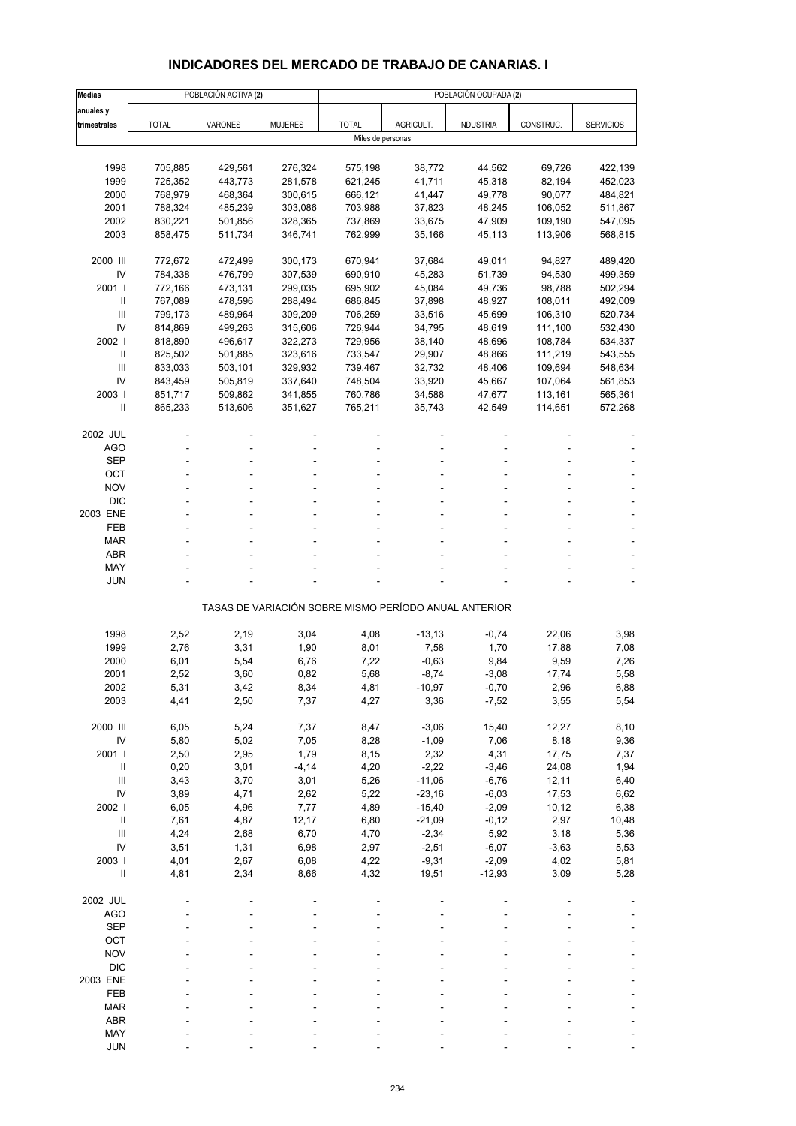# **INDICADORES DEL MERCADO DE TRABAJO DE CANARIAS. I**

| <b>Medias</b>            |                    | POBLACIÓN ACTIVA (2) |                    |                    |                  | POBLACIÓN OCUPADA (2)                                 |                  |                    |
|--------------------------|--------------------|----------------------|--------------------|--------------------|------------------|-------------------------------------------------------|------------------|--------------------|
| anuales y                |                    |                      |                    |                    |                  |                                                       |                  |                    |
| trimestrales             | <b>TOTAL</b>       | VARONES              | <b>MUJERES</b>     | <b>TOTAL</b>       | AGRICULT.        | <b>INDUSTRIA</b>                                      | CONSTRUC.        | <b>SERVICIOS</b>   |
|                          |                    |                      |                    | Miles de personas  |                  |                                                       |                  |                    |
|                          |                    |                      |                    |                    |                  |                                                       |                  |                    |
| 1998                     | 705,885            | 429,561              | 276,324            | 575,198            | 38,772           | 44,562                                                | 69,726           | 422,139            |
| 1999                     | 725,352            | 443,773              | 281,578            | 621,245            | 41,711           | 45,318                                                | 82,194           | 452,023            |
| 2000                     | 768,979            | 468,364              | 300,615            | 666,121            | 41,447           | 49,778                                                | 90,077           | 484,821            |
| 2001                     | 788,324            | 485,239              | 303,086            | 703,988            | 37,823           | 48,245                                                | 106,052          | 511,867            |
| 2002                     | 830,221            | 501,856              | 328,365            | 737,869            | 33,675           | 47,909                                                | 109,190          | 547,095            |
| 2003                     | 858,475            | 511,734              | 346,741            | 762,999            | 35,166           | 45,113                                                | 113,906          | 568,815            |
|                          |                    |                      |                    |                    |                  |                                                       |                  |                    |
| 2000 III<br>IV           | 772,672            | 472,499<br>476,799   | 300,173            | 670,941            | 37,684<br>45,283 | 49,011<br>51,739                                      | 94,827<br>94,530 | 489,420            |
| 2001 l                   | 784,338<br>772,166 | 473,131              | 307,539<br>299,035 | 690,910<br>695,902 | 45,084           | 49,736                                                | 98,788           | 499,359<br>502,294 |
| Ш                        | 767,089            | 478,596              | 288,494            | 686,845            | 37,898           | 48,927                                                | 108,011          | 492,009            |
| III                      | 799,173            | 489,964              | 309,209            | 706,259            | 33,516           | 45,699                                                | 106,310          | 520,734            |
| IV                       | 814,869            | 499,263              | 315,606            | 726,944            | 34,795           | 48,619                                                | 111,100          | 532,430            |
| 2002                     | 818,890            | 496,617              | 322,273            | 729,956            | 38,140           | 48,696                                                | 108,784          | 534,337            |
| $\mathbf{I}$             | 825,502            | 501,885              | 323,616            | 733,547            | 29,907           | 48,866                                                | 111,219          | 543,555            |
| Ш                        | 833,033            | 503,101              | 329,932            | 739,467            | 32,732           | 48,406                                                | 109,694          | 548,634            |
| IV                       | 843,459            | 505,819              | 337,640            | 748,504            | 33,920           | 45,667                                                | 107,064          | 561,853            |
| 2003                     | 851,717            | 509,862              | 341,855            | 760,786            | 34,588           | 47,677                                                | 113,161          | 565,361            |
| Ш                        | 865,233            | 513,606              | 351,627            | 765,211            | 35,743           | 42,549                                                | 114,651          | 572,268            |
|                          |                    |                      |                    |                    |                  |                                                       |                  |                    |
| 2002 JUL                 |                    |                      |                    |                    |                  |                                                       |                  |                    |
| AGO                      |                    |                      |                    |                    |                  |                                                       |                  |                    |
| <b>SEP</b>               |                    |                      |                    |                    |                  |                                                       |                  |                    |
| OCT                      |                    |                      |                    |                    |                  |                                                       |                  |                    |
| <b>NOV</b>               |                    |                      |                    |                    |                  |                                                       |                  |                    |
| <b>DIC</b>               |                    |                      |                    |                    |                  |                                                       |                  |                    |
| 2003 ENE                 |                    |                      |                    |                    |                  |                                                       |                  |                    |
| FEB                      |                    |                      |                    |                    |                  |                                                       |                  |                    |
| <b>MAR</b><br><b>ABR</b> |                    |                      |                    |                    |                  |                                                       |                  |                    |
| MAY                      |                    |                      |                    |                    |                  |                                                       |                  |                    |
| <b>JUN</b>               |                    |                      |                    |                    |                  |                                                       |                  |                    |
|                          |                    |                      |                    |                    |                  |                                                       |                  |                    |
|                          |                    |                      |                    |                    |                  | TASAS DE VARIACIÓN SOBRE MISMO PERÍODO ANUAL ANTERIOR |                  |                    |
|                          |                    |                      |                    |                    |                  |                                                       |                  |                    |
| 1998                     | 2,52               | 2,19                 | 3,04               | 4,08               | $-13,13$         | $-0,74$                                               | 22,06            | 3,98               |
| 1999                     | 2,76               | 3,31                 | 1,90               | 8,01               | 7,58             | 1,70                                                  | 17,88            | 7,08               |
| 2000                     | 6,01               | 5,54                 | 6,76               | 7,22               | $-0,63$          | 9,84                                                  | 9,59             | 7,26               |
| 2001                     | 2,52               | 3,60                 | 0,82               | 5,68               | $-8,74$          | $-3,08$                                               | 17,74            | 5,58               |
| 2002                     | 5,31               | 3,42                 | 8,34               | 4,81               | -10,97           | $-0,70$                                               | 2,96             | 6,88               |
| 2003                     | 4,41               | 2,50                 | 7,37               | 4,27               | 3,36             | $-7,52$                                               | 3,55             | 5,54               |
| 2000 III                 | 6,05               | 5,24                 | 7,37               | 8,47               | $-3,06$          | 15,40                                                 | 12,27            | 8,10               |
| IV                       | 5,80               | 5,02                 | 7,05               | 8,28               | $-1,09$          | 7,06                                                  | 8,18             | 9,36               |
| 2001 l                   | 2,50               | 2,95                 | 1,79               | 8,15               | 2,32             | 4,31                                                  | 17,75            | 7,37               |
| $\, \parallel$           | 0,20               | 3,01                 | $-4, 14$           | 4,20               | $-2,22$          | $-3,46$                                               | 24,08            | 1,94               |
| Ш                        | 3,43               | 3,70                 | 3,01               | 5,26               | $-11,06$         | $-6,76$                                               | 12,11            | 6,40               |
| IV                       | 3,89               | 4,71                 | 2,62               | 5,22               | $-23,16$         | $-6,03$                                               | 17,53            | 6,62               |
| 2002                     | 6,05               | 4,96                 | 7,77               | 4,89               | $-15,40$         | $-2,09$                                               | 10, 12           | 6,38               |
| $\, \, \mathrm{II}$      | 7,61               | 4,87                 | 12,17              | 6,80               | $-21,09$         | $-0,12$                                               | 2,97             | 10,48              |
| III                      | 4,24               | 2,68                 | 6,70               | 4,70               | $-2,34$          | 5,92                                                  | 3,18             | 5,36               |
| IV                       | 3,51               | 1,31                 | 6,98               | 2,97               | $-2,51$          | $-6,07$                                               | $-3,63$          | 5,53               |
| 2003                     | 4,01               | 2,67                 | 6,08               | 4,22               | $-9,31$          | $-2,09$                                               | 4,02             | 5,81               |
| $\sf II$                 | 4,81               | 2,34                 | 8,66               | 4,32               | 19,51            | $-12,93$                                              | 3,09             | 5,28               |
|                          |                    |                      |                    |                    |                  |                                                       |                  |                    |
| 2002 JUL                 |                    |                      |                    |                    |                  |                                                       |                  |                    |
| <b>AGO</b>               |                    |                      |                    |                    |                  |                                                       |                  |                    |
| <b>SEP</b>               |                    |                      |                    |                    |                  |                                                       |                  |                    |
| OCT                      |                    |                      |                    |                    |                  |                                                       |                  |                    |
| <b>NOV</b>               |                    |                      |                    |                    |                  |                                                       |                  |                    |
| <b>DIC</b>               |                    |                      |                    |                    |                  |                                                       |                  |                    |
| 2003 ENE                 |                    |                      |                    |                    |                  |                                                       |                  |                    |
| FEB                      |                    |                      |                    |                    |                  |                                                       |                  |                    |
| <b>MAR</b>               |                    |                      |                    |                    |                  |                                                       |                  |                    |
| ABR<br>MAY               |                    |                      |                    |                    |                  |                                                       |                  |                    |
| <b>JUN</b>               |                    |                      |                    |                    |                  |                                                       |                  |                    |
|                          |                    |                      |                    |                    |                  |                                                       |                  |                    |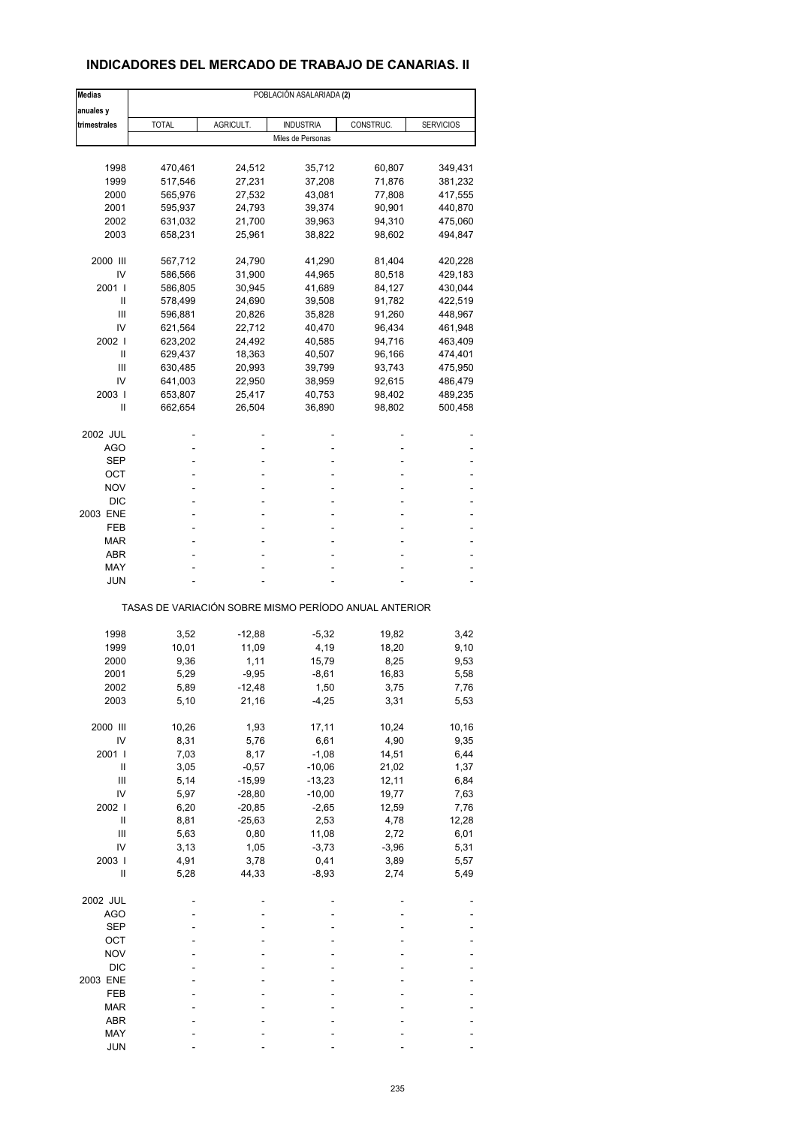### **INDICADORES DEL MERCADO DE TRABAJO DE CANARIAS. II**

| <b>Medias</b> |              |           | POBLACIÓN ASALARIADA (2)                              |           |                  |
|---------------|--------------|-----------|-------------------------------------------------------|-----------|------------------|
| anuales y     |              |           |                                                       |           |                  |
| trimestrales  | <b>TOTAL</b> | AGRICULT. | <b>INDUSTRIA</b>                                      | CONSTRUC. | <b>SERVICIOS</b> |
|               |              |           | Miles de Personas                                     |           |                  |
|               |              |           |                                                       |           |                  |
| 1998          | 470,461      | 24,512    | 35,712                                                | 60,807    | 349,431          |
| 1999          | 517,546      | 27,231    | 37,208                                                | 71,876    | 381,232          |
| 2000          | 565,976      | 27,532    | 43,081                                                | 77,808    | 417,555          |
| 2001          | 595,937      | 24,793    | 39,374                                                | 90,901    | 440,870          |
| 2002          | 631,032      | 21,700    | 39,963                                                | 94,310    | 475,060          |
| 2003          | 658,231      | 25,961    | 38,822                                                | 98,602    | 494,847          |
| 2000 III      | 567,712      | 24,790    | 41,290                                                | 81,404    | 420,228          |
| IV            | 586,566      | 31,900    | 44,965                                                | 80,518    | 429,183          |
| 2001 l        | 586,805      | 30,945    | 41,689                                                | 84,127    | 430,044          |
| Ш             | 578,499      | 24,690    | 39,508                                                | 91,782    | 422,519          |
| Ш             | 596,881      | 20,826    | 35,828                                                | 91,260    | 448,967          |
| IV            | 621,564      | 22,712    | 40,470                                                | 96,434    | 461,948          |
| 2002 l        | 623,202      | 24,492    | 40,585                                                | 94,716    | 463,409          |
|               |              |           |                                                       |           |                  |
| Ш             | 629,437      | 18,363    | 40,507                                                | 96,166    | 474,401          |
| Ш             | 630,485      | 20,993    | 39,799                                                | 93,743    | 475,950          |
| IV            | 641,003      | 22,950    | 38,959                                                | 92,615    | 486,479          |
| 2003          | 653,807      | 25,417    | 40,753                                                | 98,402    | 489,235          |
| Ш             | 662,654      | 26,504    | 36,890                                                | 98,802    | 500,458          |
| 2002 JUL      |              |           |                                                       |           |                  |
| AGO           |              |           | ä,                                                    |           |                  |
| SEP           |              |           | ۰                                                     |           |                  |
| ОСТ           |              |           |                                                       |           |                  |
| NOV           |              |           |                                                       |           |                  |
| <b>DIC</b>    |              |           |                                                       |           |                  |
| 2003 ENE      |              |           | ÷                                                     |           |                  |
| FEB           |              |           | ä,                                                    |           |                  |
|               |              |           |                                                       |           |                  |
| <b>MAR</b>    |              |           |                                                       |           |                  |
| ABR           |              |           |                                                       |           |                  |
| MAY           |              |           | ۰                                                     |           |                  |
| <b>JUN</b>    |              |           |                                                       |           |                  |
|               |              |           | TASAS DE VARIACIÓN SOBRE MISMO PERÍODO ANUAL ANTERIOR |           |                  |
|               |              |           |                                                       |           |                  |
| 1998          | 3,52         | $-12,88$  | $-5,32$                                               | 19,82     | 3,42             |
| 1999          | 10,01        | 11,09     | 4,19                                                  | 18,20     | 9,10             |
| 2000          | 9,36         | 1,11      | 15,79                                                 | 8,25      | 9,53             |
| 2001          | 5,29         | $-9,95$   | $-8,61$                                               | 16,83     | 5,58             |
| 2002          | 5,89         | -12,48    | 1,50                                                  | 3,75      | 7,76             |
| 2003          | 5,10         | 21,16     | $-4,25$                                               | 3,31      | 5,53             |
| 2000 III      | 10,26        | 1,93      | 17,11                                                 | 10,24     | 10,16            |
| IV            | 8,31         | 5,76      | 6,61                                                  | 4,90      | 9,35             |
| 2001 l        | 7,03         | 8,17      | $-1,08$                                               | 14,51     | 6,44             |
| Ш             | 3,05         | $-0,57$   | $-10,06$                                              | 21,02     | 1,37             |
| Ш             | 5,14         | $-15,99$  | $-13,23$                                              | 12,11     | 6,84             |
| IV            | 5,97         |           | $-10,00$                                              | 19,77     | 7,63             |
|               |              | $-28,80$  |                                                       |           |                  |
| 2002 l        | 6,20         | $-20,85$  | $-2,65$                                               | 12,59     | 7,76             |
| Ш             | 8,81         | $-25,63$  | 2,53                                                  | 4,78      | 12,28            |
| Ш             | 5,63         | 0,80      | 11,08                                                 | 2,72      | 6,01             |
| IV            | 3,13         | 1,05      | $-3,73$                                               | $-3,96$   | 5,31             |
| 2003          | 4,91         | 3,78      | 0,41                                                  | 3,89      | 5,57             |
| Ш             | 5,28         | 44,33     | $-8,93$                                               | 2,74      | 5,49             |
| 2002 JUL      |              |           |                                                       |           |                  |
| <b>AGO</b>    |              |           |                                                       |           |                  |
| <b>SEP</b>    |              |           |                                                       |           |                  |
| OCT           |              |           |                                                       |           |                  |
| <b>NOV</b>    |              |           |                                                       |           |                  |
|               |              |           |                                                       |           |                  |
| $DIC$         |              |           |                                                       |           |                  |
| 2003 ENE      |              |           |                                                       |           |                  |
| FEB           |              |           |                                                       |           |                  |
| <b>MAR</b>    |              |           |                                                       |           |                  |
| ABR           |              |           |                                                       |           |                  |
| MAY           |              |           |                                                       |           |                  |
| <b>JUN</b>    |              |           |                                                       |           |                  |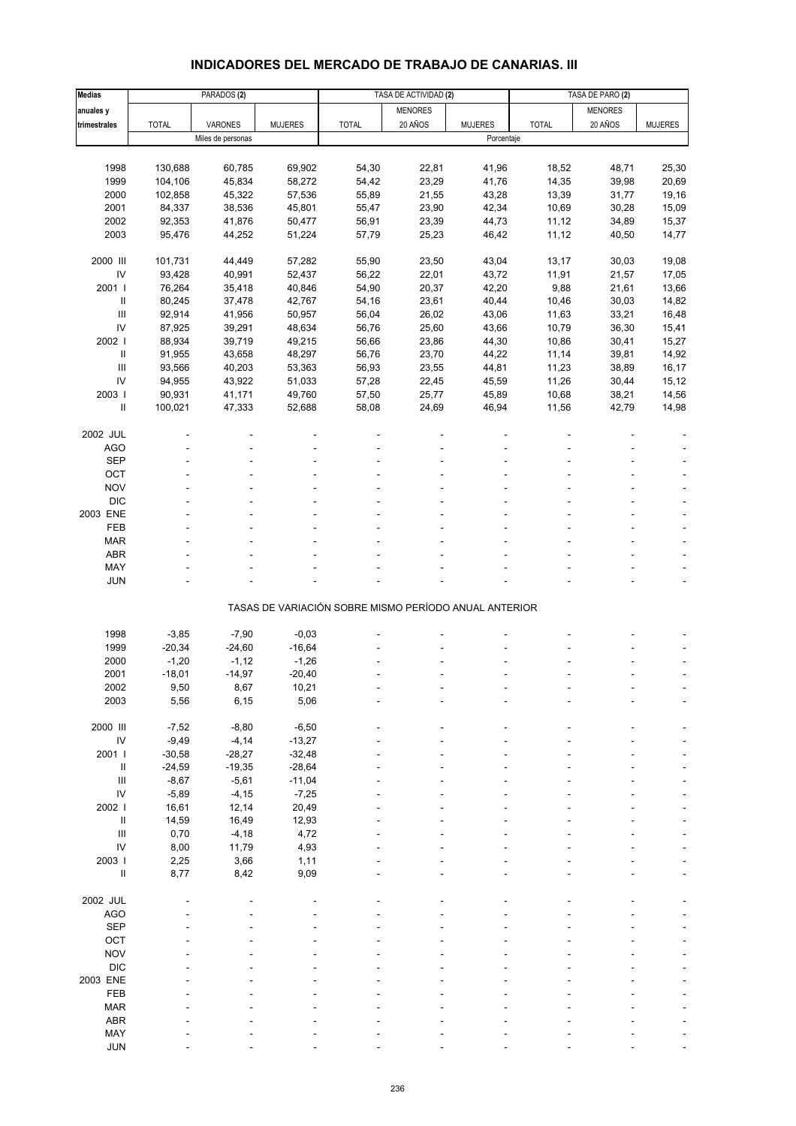# **INDICADORES DEL MERCADO DE TRABAJO DE CANARIAS. III**

| <b>Medias</b>                      |              | PARADOS <sub>(2)</sub> |                |                                                       | TASA DE ACTIVIDAD (2) |                | TASA DE PARO (2) |                |                |
|------------------------------------|--------------|------------------------|----------------|-------------------------------------------------------|-----------------------|----------------|------------------|----------------|----------------|
| anuales y                          |              |                        |                |                                                       | <b>MENORES</b>        |                |                  | <b>MENORES</b> |                |
| trimestrales                       | <b>TOTAL</b> | VARONES                | <b>MUJERES</b> | <b>TOTAL</b>                                          | 20 AÑOS               | <b>MUJERES</b> | <b>TOTAL</b>     | 20 AÑOS        | <b>MUJERES</b> |
|                                    |              | Miles de personas      |                |                                                       |                       | Porcentaje     |                  |                |                |
|                                    |              |                        |                |                                                       |                       |                |                  |                |                |
| 1998                               | 130,688      | 60,785                 | 69,902         | 54,30                                                 | 22,81                 | 41,96          | 18,52            | 48,71          | 25,30          |
| 1999                               | 104,106      | 45,834                 | 58,272         | 54,42                                                 | 23,29                 | 41,76          | 14,35            | 39,98          | 20,69          |
| 2000                               | 102,858      | 45,322                 | 57,536         | 55,89                                                 | 21,55                 | 43,28          | 13,39            | 31,77          | 19,16          |
| 2001                               | 84,337       | 38,536                 | 45,801         | 55,47                                                 | 23,90                 | 42,34          | 10,69            | 30,28          | 15,09          |
| 2002                               | 92,353       | 41,876                 | 50,477         | 56,91                                                 | 23,39                 | 44,73          | 11,12            | 34,89          | 15,37          |
| 2003                               | 95,476       | 44,252                 | 51,224         | 57,79                                                 | 25,23                 | 46,42          | 11,12            | 40,50          | 14,77          |
|                                    |              |                        |                |                                                       |                       |                |                  |                |                |
| 2000 III                           | 101,731      | 44,449                 | 57,282         | 55,90                                                 | 23,50                 | 43,04          | 13,17            | 30,03          | 19,08          |
| IV                                 | 93,428       | 40,991                 | 52,437         | 56,22                                                 | 22,01                 | 43,72          | 11,91            | 21,57          | 17,05          |
| 2001 l                             | 76,264       | 35,418                 | 40,846         | 54,90                                                 | 20,37                 | 42,20          | 9,88             | 21,61          | 13,66          |
| $\sf II$                           | 80,245       | 37,478                 | 42,767         | 54,16                                                 | 23,61                 | 40,44          | 10,46            | 30,03          | 14,82          |
| $\mathbf{III}$                     | 92,914       | 41,956                 | 50,957         | 56,04                                                 | 26,02                 | 43,06          | 11,63            | 33,21          | 16,48          |
| IV                                 | 87,925       | 39,291                 | 48,634         | 56,76                                                 | 25,60                 | 43,66          | 10,79            | 36,30          | 15,41          |
|                                    |              |                        |                |                                                       |                       |                |                  |                |                |
| 2002                               | 88,934       | 39,719                 | 49,215         | 56,66                                                 | 23,86                 | 44,30          | 10,86            | 30,41          | 15,27          |
| Ш                                  | 91,955       | 43,658                 | 48,297         | 56,76                                                 | 23,70                 | 44,22          | 11,14            | 39,81          | 14,92          |
| $\mathbf{III}$                     | 93,566       | 40,203                 | 53,363         | 56,93                                                 | 23,55                 | 44,81          | 11,23            | 38,89          | 16,17          |
| IV                                 | 94,955       | 43,922                 | 51,033         | 57,28                                                 | 22,45                 | 45,59          | 11,26            | 30,44          | 15,12          |
| 2003                               | 90,931       | 41,171                 | 49,760         | 57,50                                                 | 25,77                 | 45,89          | 10,68            | 38,21          | 14,56          |
| $\sf II$                           | 100,021      | 47,333                 | 52,688         | 58,08                                                 | 24,69                 | 46,94          | 11,56            | 42,79          | 14,98          |
|                                    |              |                        |                |                                                       |                       |                |                  |                |                |
| 2002 JUL                           |              |                        |                |                                                       |                       |                |                  |                |                |
| <b>AGO</b>                         |              |                        |                |                                                       |                       |                |                  |                |                |
| <b>SEP</b>                         |              |                        |                |                                                       |                       |                |                  |                |                |
| OCT                                |              |                        |                |                                                       |                       |                |                  |                |                |
| <b>NOV</b>                         |              |                        |                |                                                       |                       |                |                  |                |                |
| <b>DIC</b>                         |              |                        |                |                                                       |                       |                |                  |                |                |
| 2003 ENE                           |              |                        |                |                                                       |                       |                |                  |                |                |
| FEB                                |              |                        |                |                                                       |                       |                |                  |                |                |
| <b>MAR</b>                         |              |                        |                |                                                       |                       |                |                  |                |                |
| <b>ABR</b>                         |              |                        |                |                                                       |                       |                |                  |                |                |
| MAY                                |              |                        |                |                                                       |                       |                |                  |                |                |
| <b>JUN</b>                         |              |                        |                |                                                       |                       |                |                  |                |                |
|                                    |              |                        |                |                                                       |                       |                |                  |                |                |
|                                    |              |                        |                | TASAS DE VARIACIÓN SOBRE MISMO PERÍODO ANUAL ANTERIOR |                       |                |                  |                |                |
|                                    |              |                        |                |                                                       |                       |                |                  |                |                |
| 1998                               | $-3,85$      | $-7,90$                | $-0,03$        |                                                       |                       |                |                  |                |                |
| 1999                               | $-20,34$     | $-24,60$               | $-16,64$       |                                                       |                       |                |                  |                |                |
| 2000                               | $-1,20$      | $-1, 12$               | $-1,26$        |                                                       |                       |                |                  |                |                |
| 2001                               | $-18,01$     | $-14,97$               | $-20,40$       |                                                       |                       |                |                  |                |                |
| 2002                               | 9,50         | 8,67                   | 10,21          |                                                       |                       |                |                  |                |                |
| 2003                               | 5,56         | 6, 15                  | 5,06           |                                                       |                       |                |                  |                |                |
|                                    |              |                        |                |                                                       |                       |                |                  |                |                |
| 2000 III                           | $-7,52$      | $-8,80$                | $-6,50$        |                                                       |                       |                |                  |                |                |
| $\mathsf{IV}$                      | $-9,49$      | $-4, 14$               | $-13,27$       |                                                       |                       |                |                  |                |                |
| 2001 l                             | $-30,58$     | $-28,27$               | $-32,48$       |                                                       |                       |                |                  |                |                |
| $\, \parallel$                     | $-24,59$     | $-19,35$               | $-28,64$       |                                                       |                       |                |                  |                |                |
| $\ensuremath{\mathsf{III}}\xspace$ | $-8,67$      | $-5,61$                | $-11,04$       |                                                       |                       |                |                  |                |                |
| IV                                 | $-5,89$      | $-4, 15$               | $-7,25$        |                                                       |                       |                |                  |                |                |
| 2002                               | 16,61        | 12,14                  | 20,49          |                                                       |                       |                |                  |                |                |
| $\ensuremath{\mathsf{II}}$         | 14,59        | 16,49                  | 12,93          |                                                       |                       |                |                  |                |                |
| $\mathbf{III}$                     | 0,70         | $-4,18$                | 4,72           |                                                       |                       |                |                  |                |                |
| IV                                 | 8,00         | 11,79                  | 4,93           |                                                       |                       |                |                  |                |                |
| 2003                               | 2,25         | 3,66                   | 1,11           |                                                       |                       |                |                  |                |                |
| $\sf II$                           | 8,77         | 8,42                   | 9,09           |                                                       |                       |                |                  |                |                |
|                                    |              |                        |                |                                                       |                       |                |                  |                |                |
| 2002 JUL                           |              |                        |                |                                                       |                       |                |                  |                |                |
| <b>AGO</b>                         |              |                        |                |                                                       |                       |                |                  |                |                |
| <b>SEP</b>                         |              |                        |                |                                                       |                       |                |                  |                |                |
| OCT                                |              |                        |                |                                                       |                       |                |                  |                |                |
| <b>NOV</b>                         |              |                        |                |                                                       |                       |                |                  |                |                |
| <b>DIC</b>                         |              |                        |                |                                                       |                       |                |                  |                |                |
| 2003 ENE                           |              |                        |                |                                                       |                       |                |                  |                |                |
| FEB                                |              |                        |                |                                                       |                       |                |                  |                |                |
| <b>MAR</b>                         |              |                        |                |                                                       |                       |                |                  |                |                |
| <b>ABR</b>                         |              |                        |                |                                                       |                       |                |                  |                |                |
|                                    |              |                        |                |                                                       |                       |                |                  |                |                |
| MAY<br><b>JUN</b>                  |              |                        |                |                                                       |                       |                |                  |                |                |
|                                    |              |                        |                |                                                       |                       |                |                  |                |                |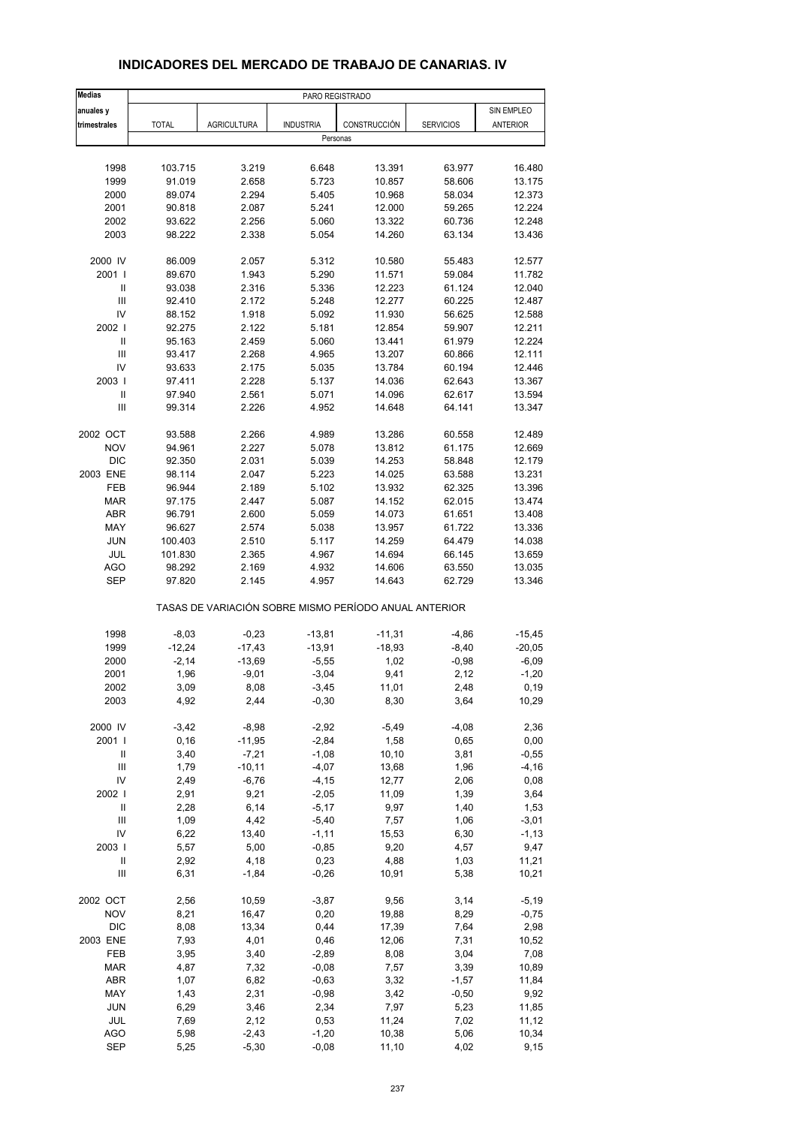| <b>Medias</b>                      |              |                    | PARO REGISTRADO  |                                                       |                  |                 |
|------------------------------------|--------------|--------------------|------------------|-------------------------------------------------------|------------------|-----------------|
| anuales y                          |              |                    |                  |                                                       |                  | SIN EMPLEO      |
| trimestrales                       | <b>TOTAL</b> | <b>AGRICULTURA</b> | <b>INDUSTRIA</b> | CONSTRUCCIÓN                                          | <b>SERVICIOS</b> | <b>ANTERIOR</b> |
|                                    |              |                    | Personas         |                                                       |                  |                 |
|                                    |              |                    |                  |                                                       |                  |                 |
| 1998                               | 103.715      | 3.219              | 6.648            | 13.391                                                | 63.977           | 16.480          |
| 1999                               | 91.019       | 2.658              | 5.723            | 10.857                                                | 58.606           | 13.175          |
| 2000                               | 89.074       | 2.294              | 5.405            | 10.968                                                | 58.034           | 12.373          |
| 2001                               | 90.818       | 2.087              | 5.241            | 12.000                                                | 59.265           | 12.224          |
| 2002                               | 93.622       | 2.256              | 5.060            | 13.322                                                | 60.736           | 12.248          |
| 2003                               | 98.222       | 2.338              | 5.054            | 14.260                                                | 63.134           | 13.436          |
| 2000 IV                            | 86.009       | 2.057              | 5.312            | 10.580                                                | 55.483           | 12.577          |
| 2001                               | 89.670       | 1.943              | 5.290            | 11.571                                                | 59.084           | 11.782          |
| Ш                                  | 93.038       | 2.316              | 5.336            | 12.223                                                | 61.124           | 12.040          |
| $\ensuremath{\mathsf{III}}\xspace$ | 92.410       | 2.172              | 5.248            | 12.277                                                | 60.225           | 12.487          |
| IV                                 | 88.152       | 1.918              | 5.092            | 11.930                                                | 56.625           | 12.588          |
| 2002                               | 92.275       | 2.122              | 5.181            | 12.854                                                | 59.907           | 12.211          |
| $\ensuremath{\mathsf{II}}$         | 95.163       | 2.459              | 5.060            | 13.441                                                | 61.979           | 12.224          |
| Ш                                  | 93.417       | 2.268              | 4.965            | 13.207                                                | 60.866           | 12.111          |
| IV                                 | 93.633       | 2.175              | 5.035            | 13.784                                                | 60.194           | 12.446          |
| 2003                               | 97.411       | 2.228              | 5.137            | 14.036                                                | 62.643           | 13.367          |
| $\ensuremath{\mathsf{II}}$         | 97.940       | 2.561              | 5.071            | 14.096                                                | 62.617           | 13.594          |
| Ш                                  | 99.314       | 2.226              | 4.952            | 14.648                                                | 64.141           | 13.347          |
| 2002 OCT                           | 93.588       | 2.266              | 4.989            | 13.286                                                | 60.558           | 12.489          |
| <b>NOV</b>                         | 94.961       | 2.227              | 5.078            | 13.812                                                | 61.175           | 12.669          |
| <b>DIC</b>                         | 92.350       | 2.031              | 5.039            | 14.253                                                | 58.848           | 12.179          |
| 2003 ENE                           | 98.114       | 2.047              | 5.223            | 14.025                                                | 63.588           | 13.231          |
| FEB                                | 96.944       | 2.189              | 5.102            | 13.932                                                | 62.325           | 13.396          |
| <b>MAR</b>                         | 97.175       | 2.447              | 5.087            | 14.152                                                | 62.015           | 13.474          |
| <b>ABR</b>                         | 96.791       | 2.600              | 5.059            | 14.073                                                | 61.651           | 13.408          |
| MAY                                | 96.627       | 2.574              | 5.038            | 13.957                                                | 61.722           | 13.336          |
| <b>JUN</b>                         | 100.403      | 2.510              | 5.117            | 14.259                                                | 64.479           | 14.038          |
| <b>JUL</b>                         | 101.830      | 2.365              | 4.967            | 14.694                                                | 66.145           | 13.659          |
| <b>AGO</b>                         | 98.292       | 2.169              | 4.932            | 14.606                                                | 63.550           | 13.035          |
| <b>SEP</b>                         | 97.820       | 2.145              | 4.957            | 14.643                                                | 62.729           | 13.346          |
|                                    |              |                    |                  | TASAS DE VARIACIÓN SOBRE MISMO PERÍODO ANUAL ANTERIOR |                  |                 |
| 1998                               | $-8,03$      | $-0,23$            | $-13,81$         | $-11,31$                                              | $-4,86$          | $-15,45$        |
| 1999                               | $-12,24$     | $-17,43$           | -13,91           | $-18,93$                                              | $-8,40$          | $-20,05$        |
| 2000                               | $-2,14$      | $-13,69$           | $-5,55$          | 1,02                                                  | $-0,98$          | $-6,09$         |
| 2001                               | 1,96         | $-9,01$            | $-3,04$          | 9,41                                                  | 2,12             | $-1,20$         |
| 2002                               | 3,09         | 8,08               | -3,45            | 11,01                                                 | 2,48             | 0,19            |
| 2003                               | 4,92         | 2,44               | $-0,30$          | 8,30                                                  | 3,64             | 10,29           |
| 2000 IV                            | $-3,42$      | $-8,98$            | $-2,92$          | $-5,49$                                               | $-4,08$          | 2,36            |
| 2001                               | 0, 16        | $-11,95$           | $-2,84$          | 1,58                                                  | 0,65             | 0,00            |
| Ш                                  | 3,40         | $-7,21$            | $-1,08$          | 10, 10                                                | 3,81             | $-0,55$         |
| $\mathsf{III}$                     | 1,79         | $-10,11$           | $-4,07$          | 13,68                                                 | 1,96             | $-4, 16$        |
| IV                                 | 2,49         | $-6,76$            | $-4, 15$         | 12,77                                                 | 2,06             | 0,08            |
| 2002                               | 2,91         | 9,21               | $-2,05$          | 11,09                                                 | 1,39             | 3,64            |
| $\sf II$                           | 2,28         | 6,14               | $-5,17$          | 9,97                                                  | 1,40             | 1,53            |
| Ш                                  | 1,09         | 4,42               | $-5,40$          | 7,57                                                  | 1,06             | $-3,01$         |
| IV                                 | 6,22         | 13,40              | $-1, 11$         | 15,53                                                 | 6,30             | $-1,13$         |
| 2003                               | 5,57         | 5,00               | $-0,85$          | 9,20                                                  | 4,57             | 9,47            |
| Ш                                  | 2,92         | 4,18               | 0,23             | 4,88                                                  | 1,03             | 11,21           |
| Ш                                  | 6,31         | $-1,84$            | $-0,26$          | 10,91                                                 | 5,38             | 10,21           |
| 2002 OCT                           | 2,56         | 10,59              | $-3,87$          | 9,56                                                  | 3,14             | $-5,19$         |
| <b>NOV</b>                         | 8,21         | 16,47              | 0,20             | 19,88                                                 | 8,29             | $-0,75$         |
| <b>DIC</b>                         | 8,08         | 13,34              | 0,44             | 17,39                                                 | 7,64             | 2,98            |
| 2003 ENE                           | 7,93         | 4,01               | 0,46             | 12,06                                                 | 7,31             | 10,52           |
| FEB                                | 3,95         | 3,40               | $-2,89$          | 8,08                                                  | 3,04             | 7,08            |
| <b>MAR</b>                         | 4,87         | 7,32               | $-0,08$          | 7,57                                                  | 3,39             | 10,89           |
| ABR                                | 1,07         | 6,82               | $-0,63$          | 3,32                                                  | $-1,57$          | 11,84           |
| MAY                                | 1,43         | 2,31               | $-0,98$          | 3,42                                                  | $-0,50$          | 9,92            |
| JUN                                | 6,29         | 3,46               | 2,34             | 7,97                                                  | 5,23             | 11,85           |
| JUL                                | 7,69         | 2,12               | 0,53             | 11,24                                                 | 7,02             | 11,12           |
| <b>AGO</b>                         | 5,98         | $-2,43$            | $-1,20$          | 10,38                                                 | 5,06             | 10,34           |
| <b>SEP</b>                         | 5,25         | $-5,30$            | $-0,08$          | 11,10                                                 | 4,02             | 9,15            |

#### **INDICADORES DEL MERCADO DE TRABAJO DE CANARIAS. IV**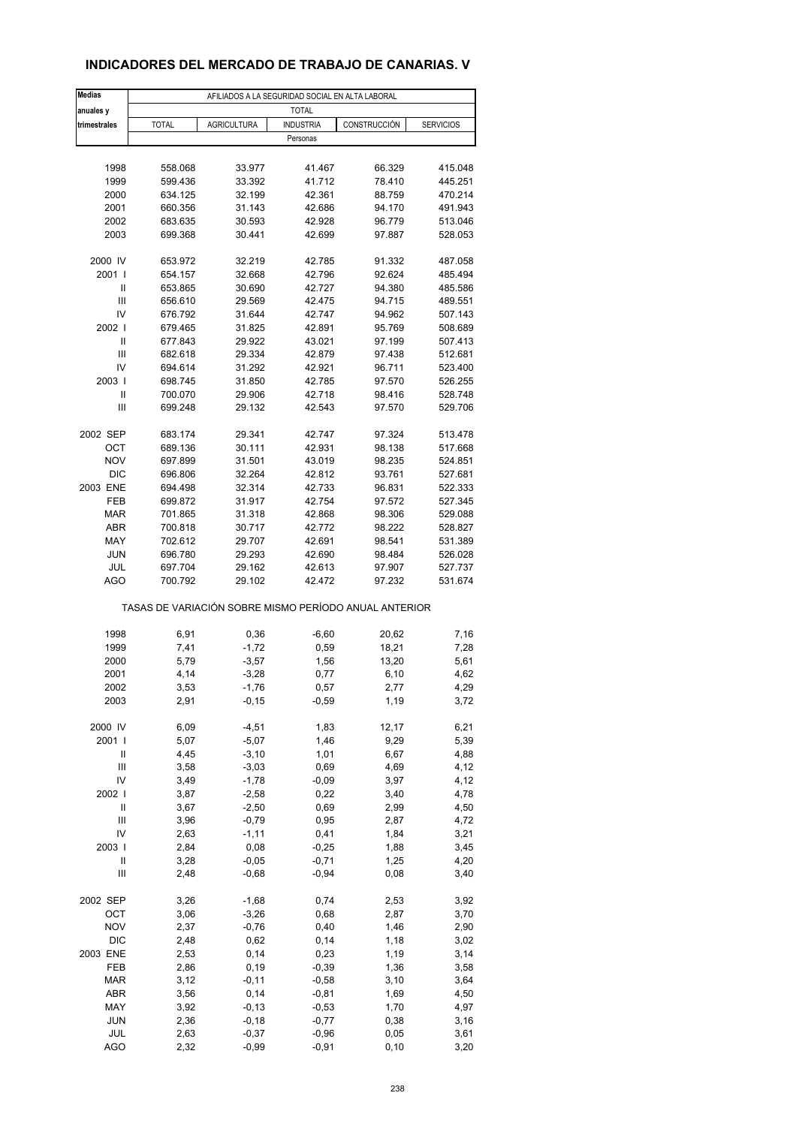### **INDICADORES DEL MERCADO DE TRABAJO DE CANARIAS. V**

| <b>Medias</b>      | AFILIADOS A LA SEGURIDAD SOCIAL EN ALTA LABORAL       |                     |                  |              |                  |  |  |  |  |  |
|--------------------|-------------------------------------------------------|---------------------|------------------|--------------|------------------|--|--|--|--|--|
| anuales y          |                                                       |                     | <b>TOTAL</b>     |              |                  |  |  |  |  |  |
| trimestrales       | <b>TOTAL</b>                                          | <b>AGRICULTURA</b>  | <b>INDUSTRIA</b> | CONSTRUCCIÓN | <b>SERVICIOS</b> |  |  |  |  |  |
|                    |                                                       |                     | Personas         |              |                  |  |  |  |  |  |
|                    |                                                       |                     |                  |              |                  |  |  |  |  |  |
| 1998               | 558.068                                               | 33.977              | 41.467           | 66.329       | 415.048          |  |  |  |  |  |
| 1999               | 599.436                                               | 33.392              | 41.712           | 78.410       | 445.251          |  |  |  |  |  |
| 2000               | 634.125                                               | 32.199              | 42.361           | 88.759       | 470.214          |  |  |  |  |  |
| 2001               | 660.356                                               | 31.143              | 42.686           | 94.170       | 491.943          |  |  |  |  |  |
| 2002               | 683.635                                               | 30.593              | 42.928           | 96.779       | 513.046          |  |  |  |  |  |
| 2003               | 699.368                                               | 30.441              | 42.699           | 97.887       | 528.053          |  |  |  |  |  |
| 2000 IV            | 653.972                                               | 32.219              | 42.785           | 91.332       | 487.058          |  |  |  |  |  |
| 2001 l             | 654.157                                               | 32.668              | 42.796           | 92.624       | 485.494          |  |  |  |  |  |
| Ш                  | 653.865                                               | 30.690              | 42.727           | 94.380       | 485.586          |  |  |  |  |  |
| Ш                  | 656.610                                               | 29.569              | 42.475           | 94.715       | 489.551          |  |  |  |  |  |
| IV                 | 676.792                                               | 31.644              | 42.747           | 94.962       | 507.143          |  |  |  |  |  |
| 2002 l             | 679.465                                               | 31.825              | 42.891           | 95.769       | 508.689          |  |  |  |  |  |
| Ш                  | 677.843                                               | 29.922              | 43.021           | 97.199       | 507.413          |  |  |  |  |  |
| Ш                  | 682.618                                               | 29.334              | 42.879           | 97.438       | 512.681          |  |  |  |  |  |
| IV                 | 694.614                                               | 31.292              | 42.921           | 96.711       | 523.400          |  |  |  |  |  |
| 2003               | 698.745                                               | 31.850              | 42.785           | 97.570       | 526.255          |  |  |  |  |  |
| $\mathsf{I}$       | 700.070                                               | 29.906              | 42.718           | 98.416       | 528.748          |  |  |  |  |  |
| Ш                  | 699.248                                               | 29.132              | 42.543           | 97.570       | 529.706          |  |  |  |  |  |
| 2002 SEP           | 683.174                                               | 29.341              | 42.747           | 97.324       | 513.478          |  |  |  |  |  |
| OCT                | 689.136                                               | 30.111              | 42.931           | 98.138       | 517.668          |  |  |  |  |  |
| <b>NOV</b>         | 697.899                                               | 31.501              | 43.019           | 98.235       | 524.851          |  |  |  |  |  |
| <b>DIC</b>         | 696.806                                               | 32.264              | 42.812           | 93.761       | 527.681          |  |  |  |  |  |
| 2003 ENE           | 694.498                                               | 32.314              | 42.733           | 96.831       | 522.333          |  |  |  |  |  |
| FEB                | 699.872                                               | 31.917              | 42.754           | 97.572       | 527.345          |  |  |  |  |  |
| <b>MAR</b>         | 701.865                                               | 31.318              | 42.868           | 98.306       | 529.088          |  |  |  |  |  |
| <b>ABR</b>         | 700.818                                               | 30.717              | 42.772           | 98.222       | 528.827          |  |  |  |  |  |
| MAY                | 702.612                                               | 29.707              | 42.691           | 98.541       | 531.389          |  |  |  |  |  |
| <b>JUN</b>         | 696.780                                               | 29.293              | 42.690           | 98.484       | 526.028          |  |  |  |  |  |
| JUL                | 697.704                                               | 29.162              | 42.613           | 97.907       | 527.737          |  |  |  |  |  |
| AGO                | 700.792                                               | 29.102              | 42.472           | 97.232       | 531.674          |  |  |  |  |  |
|                    | TASAS DE VARIACIÓN SOBRE MISMO PERÍODO ANUAL ANTERIOR |                     |                  |              |                  |  |  |  |  |  |
| 1998               | 6,91                                                  | 0,36                | $-6,60$          | 20,62        | 7,16             |  |  |  |  |  |
| 1999               | 7,41                                                  | $-1,72$             | 0,59             | 18,21        | 7,28             |  |  |  |  |  |
| 2000               | 5,79                                                  | $-3,57$             | 1,56             | 13,20        | 5,61             |  |  |  |  |  |
| 2001               | 4,14                                                  | $-3,28$             | 0,77             | 6, 10        | 4,62             |  |  |  |  |  |
| 2002               | 3,53                                                  | -1,76               | 0,57             | 2,77         | 4,29             |  |  |  |  |  |
| 2003               | 2,91                                                  | $-0,15$             | $-0,59$          | 1,19         | 3,72             |  |  |  |  |  |
|                    |                                                       |                     |                  |              |                  |  |  |  |  |  |
| 2000 IV<br>2001 l  | 6,09                                                  | $-4,51$             | 1,83             | 12,17        | 6,21             |  |  |  |  |  |
|                    | 5,07                                                  | $-5,07$             | 1,46             | 9,29         | 5,39             |  |  |  |  |  |
| Ш                  | 4,45                                                  | $-3, 10$            | 1,01             | 6,67         | 4,88             |  |  |  |  |  |
| Ш<br>IV            | 3,58<br>3,49                                          | $-3,03$<br>$-1,78$  | 0,69<br>$-0,09$  | 4,69<br>3,97 | 4,12<br>4,12     |  |  |  |  |  |
|                    |                                                       |                     |                  |              |                  |  |  |  |  |  |
| 2002  <br>$\sf II$ | 3,87<br>3,67                                          | $-2,58$<br>$-2,50$  | 0,22<br>0,69     | 3,40<br>2,99 | 4,78<br>4,50     |  |  |  |  |  |
|                    |                                                       |                     |                  |              |                  |  |  |  |  |  |
| Ш<br>IV            | 3,96<br>2,63                                          | $-0,79$<br>$-1, 11$ | 0,95<br>0,41     | 2,87<br>1,84 | 4,72<br>3,21     |  |  |  |  |  |
| 2003               | 2,84                                                  | 0,08                | $-0,25$          | 1,88         | 3,45             |  |  |  |  |  |
| Ш                  | 3,28                                                  | $-0,05$             | $-0,71$          | 1,25         | 4,20             |  |  |  |  |  |
| Ш                  | 2,48                                                  | $-0,68$             | $-0,94$          | 0,08         | 3,40             |  |  |  |  |  |
|                    |                                                       |                     |                  |              |                  |  |  |  |  |  |
| 2002 SEP           | 3,26                                                  | $-1,68$             | 0,74             | 2,53         | 3,92             |  |  |  |  |  |
| OCT                | 3,06                                                  | $-3,26$             | 0,68             | 2,87         | 3,70             |  |  |  |  |  |
| <b>NOV</b>         | 2,37                                                  | $-0,76$             | 0,40             | 1,46         | 2,90             |  |  |  |  |  |
| DIC                | 2,48                                                  | 0,62                | 0,14             | 1,18         | 3,02             |  |  |  |  |  |
| 2003 ENE           | 2,53                                                  | 0,14                | 0,23             | 1,19         | 3,14             |  |  |  |  |  |
| FEB                | 2,86                                                  | 0, 19               | $-0,39$          | 1,36         | 3,58             |  |  |  |  |  |
| <b>MAR</b>         | 3,12                                                  | $-0, 11$            | $-0,58$          | 3,10         | 3,64             |  |  |  |  |  |
| ABR                | 3,56                                                  | 0,14                | $-0,81$          | 1,69         | 4,50             |  |  |  |  |  |
| MAY                | 3,92                                                  | $-0,13$             | $-0,53$          | 1,70         | 4,97             |  |  |  |  |  |
| <b>JUN</b>         | 2,36                                                  | $-0,18$             | $-0,77$          | 0,38         | 3,16             |  |  |  |  |  |
| JUL                | 2,63                                                  | $-0,37$             | $-0,96$          | 0,05         | 3,61             |  |  |  |  |  |
| <b>AGO</b>         | 2,32                                                  | $-0,99$             | $-0,91$          | 0, 10        | 3,20             |  |  |  |  |  |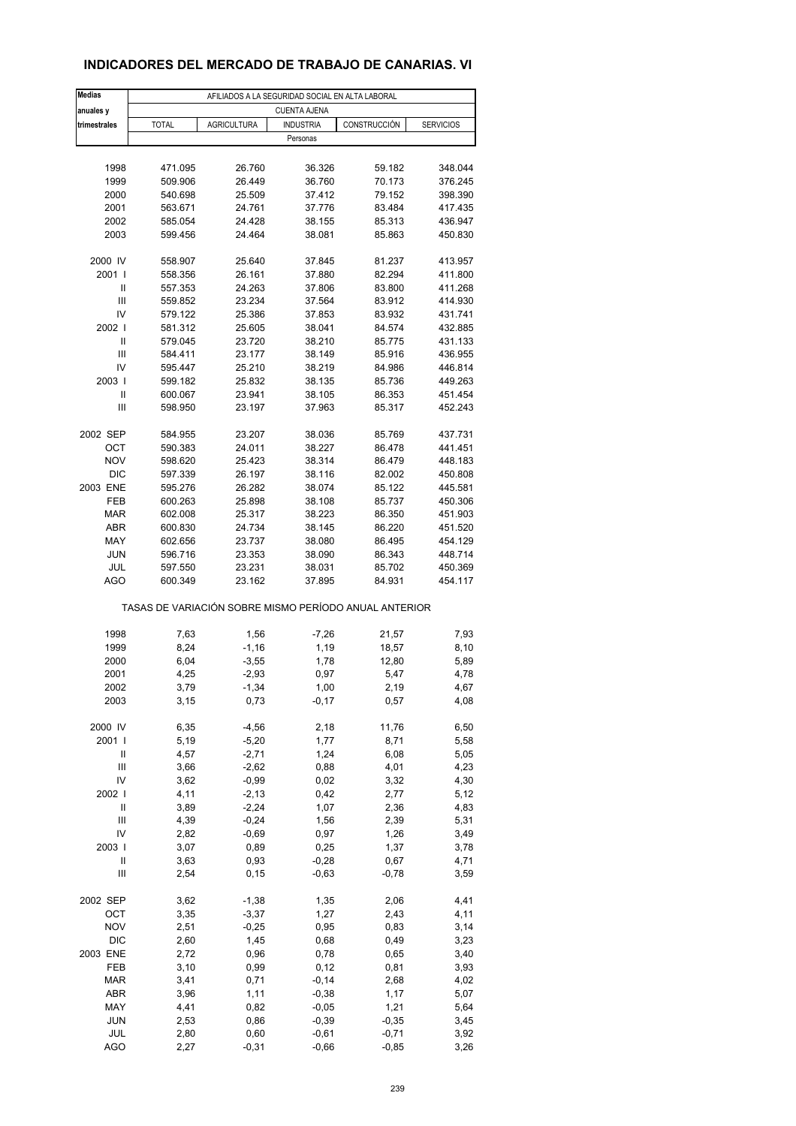### **INDICADORES DEL MERCADO DE TRABAJO DE CANARIAS. VI**

| <b>Medias</b>          | AFILIADOS A LA SEGURIDAD SOCIAL EN ALTA LABORAL |                    |                     |                                                       |                  |  |  |  |  |  |
|------------------------|-------------------------------------------------|--------------------|---------------------|-------------------------------------------------------|------------------|--|--|--|--|--|
| anuales y              |                                                 |                    | <b>CUENTA AJENA</b> |                                                       |                  |  |  |  |  |  |
| trimestrales           | <b>TOTAL</b>                                    | <b>AGRICULTURA</b> | <b>INDUSTRIA</b>    | CONSTRUCCIÓN                                          | <b>SERVICIOS</b> |  |  |  |  |  |
|                        |                                                 |                    | Personas            |                                                       |                  |  |  |  |  |  |
|                        |                                                 |                    |                     |                                                       |                  |  |  |  |  |  |
| 1998                   | 471.095                                         | 26.760             | 36.326              | 59.182                                                | 348.044          |  |  |  |  |  |
| 1999                   | 509.906                                         | 26.449             | 36.760              | 70.173                                                | 376.245          |  |  |  |  |  |
| 2000                   | 540.698                                         | 25.509             | 37.412              | 79.152                                                | 398.390          |  |  |  |  |  |
| 2001                   | 563.671                                         | 24.761             | 37.776              | 83.484                                                | 417.435          |  |  |  |  |  |
| 2002                   | 585.054                                         | 24.428             | 38.155              | 85.313                                                | 436.947          |  |  |  |  |  |
| 2003                   | 599.456                                         | 24.464             | 38.081              | 85.863                                                | 450.830          |  |  |  |  |  |
| 2000 IV                | 558.907                                         | 25.640             | 37.845              | 81.237                                                | 413.957          |  |  |  |  |  |
| 2001 l                 | 558.356                                         | 26.161             | 37.880              | 82.294                                                | 411.800          |  |  |  |  |  |
| Ш                      | 557.353                                         | 24.263             | 37.806              | 83.800                                                | 411.268          |  |  |  |  |  |
| Ш                      | 559.852                                         | 23.234             | 37.564              | 83.912                                                | 414.930          |  |  |  |  |  |
| IV                     | 579.122                                         | 25.386             | 37.853              | 83.932                                                | 431.741          |  |  |  |  |  |
| 2002                   | 581.312                                         | 25.605             | 38.041              | 84.574                                                | 432.885          |  |  |  |  |  |
| $\mathsf{I}$           | 579.045                                         | 23.720             | 38.210              | 85.775                                                | 431.133          |  |  |  |  |  |
| Ш                      | 584.411                                         | 23.177             | 38.149              | 85.916                                                | 436.955          |  |  |  |  |  |
| IV                     | 595.447                                         | 25.210             | 38.219              | 84.986                                                | 446.814          |  |  |  |  |  |
| 2003                   | 599.182                                         | 25.832             | 38.135              | 85.736                                                | 449.263          |  |  |  |  |  |
| Ш                      | 600.067                                         | 23.941             | 38.105              | 86.353                                                | 451.454          |  |  |  |  |  |
| Ш                      | 598.950                                         | 23.197             | 37.963              | 85.317                                                | 452.243          |  |  |  |  |  |
| 2002 SEP               | 584.955                                         | 23.207             | 38.036              | 85.769                                                | 437.731          |  |  |  |  |  |
| OCT                    | 590.383                                         | 24.011             | 38.227              | 86.478                                                | 441.451          |  |  |  |  |  |
| <b>NOV</b>             | 598.620                                         | 25.423             | 38.314              | 86.479                                                | 448.183          |  |  |  |  |  |
| <b>DIC</b>             | 597.339                                         | 26.197             | 38.116              | 82.002                                                | 450.808          |  |  |  |  |  |
| 2003 ENE               | 595.276                                         | 26.282             | 38.074              | 85.122                                                | 445.581          |  |  |  |  |  |
| FEB                    | 600.263                                         | 25.898             | 38.108              | 85.737                                                | 450.306          |  |  |  |  |  |
| <b>MAR</b>             | 602.008                                         | 25.317             | 38.223              | 86.350                                                | 451.903          |  |  |  |  |  |
| <b>ABR</b>             | 600.830                                         | 24.734             | 38.145              | 86.220                                                | 451.520          |  |  |  |  |  |
| MAY                    | 602.656                                         | 23.737             | 38.080              | 86.495                                                | 454.129          |  |  |  |  |  |
| <b>JUN</b>             | 596.716                                         | 23.353             | 38.090              | 86.343                                                | 448.714          |  |  |  |  |  |
| JUL                    | 597.550                                         | 23.231             | 38.031              | 85.702                                                | 450.369          |  |  |  |  |  |
| <b>AGO</b>             | 600.349                                         | 23.162             | 37.895              | 84.931                                                | 454.117          |  |  |  |  |  |
|                        |                                                 |                    |                     | TASAS DE VARIACIÓN SOBRE MISMO PERÍODO ANUAL ANTERIOR |                  |  |  |  |  |  |
| 1998                   | 7,63                                            | 1,56               | $-7,26$             | 21,57                                                 | 7,93             |  |  |  |  |  |
| 1999                   | 8,24                                            | $-1,16$            | 1,19                | 18,57                                                 | 8,10             |  |  |  |  |  |
| 2000                   | 6,04                                            | $-3,55$            | 1,78                | 12,80                                                 | 5,89             |  |  |  |  |  |
| 2001                   | 4,25                                            | $-2,93$            | 0,97                | 5,47                                                  | 4,78             |  |  |  |  |  |
| 2002                   | 3,79                                            | -1,34              | 1,00                | 2,19                                                  | 4,67             |  |  |  |  |  |
| 2003                   | 3,15                                            | 0,73               | $-0,17$             | 0,57                                                  | 4,08             |  |  |  |  |  |
|                        |                                                 |                    |                     |                                                       |                  |  |  |  |  |  |
| 2000 IV                | 6,35                                            | $-4,56$            | 2,18                | 11,76                                                 | 6,50             |  |  |  |  |  |
| 2001 l                 | 5,19                                            | $-5,20$            | 1,77                | 8,71                                                  | 5,58             |  |  |  |  |  |
| Ш                      | 4,57                                            | $-2,71$            | 1,24                | 6,08                                                  | 5,05             |  |  |  |  |  |
| Ш                      | 3,66                                            | $-2,62$            | 0,88                | 4,01                                                  | 4,23             |  |  |  |  |  |
| IV<br>2002             | 3,62                                            | $-0,99$            | 0,02                | 3,32                                                  | 4,30             |  |  |  |  |  |
| $\mathsf{II}$          | 4,11<br>3,89                                    | $-2,13$<br>$-2,24$ | 0,42<br>1,07        | 2,77<br>2,36                                          | 5,12<br>4,83     |  |  |  |  |  |
| Ш                      | 4,39                                            | $-0,24$            | 1,56                | 2,39                                                  | 5,31             |  |  |  |  |  |
| IV                     | 2,82                                            | $-0,69$            | 0,97                | 1,26                                                  | 3,49             |  |  |  |  |  |
| 2003                   | 3,07                                            | 0,89               | 0,25                | 1,37                                                  | 3,78             |  |  |  |  |  |
| Ш                      | 3,63                                            | 0,93               | $-0,28$             | 0,67                                                  | 4,71             |  |  |  |  |  |
| $\mathsf{III}$         | 2,54                                            | 0,15               | $-0,63$             | $-0,78$                                               | 3,59             |  |  |  |  |  |
|                        |                                                 |                    |                     |                                                       |                  |  |  |  |  |  |
| 2002 SEP               | 3,62                                            | $-1,38$            | 1,35                | 2,06                                                  | 4,41             |  |  |  |  |  |
| OCT                    | 3,35                                            | $-3,37$            | 1,27                | 2,43                                                  | 4,11             |  |  |  |  |  |
| <b>NOV</b>             | 2,51                                            | $-0,25$            | 0,95                | 0,83                                                  | 3,14             |  |  |  |  |  |
| <b>DIC</b><br>2003 ENE | 2,60<br>2,72                                    | 1,45<br>0,96       | 0,68<br>0,78        | 0,49                                                  | 3,23<br>3,40     |  |  |  |  |  |
| FEB                    | 3,10                                            | 0,99               | 0,12                | 0,65<br>0,81                                          | 3,93             |  |  |  |  |  |
| <b>MAR</b>             | 3,41                                            | 0,71               | $-0,14$             | 2,68                                                  | 4,02             |  |  |  |  |  |
| ABR                    | 3,96                                            | 1, 11              | $-0,38$             | 1,17                                                  | 5,07             |  |  |  |  |  |
| MAY                    | 4,41                                            | 0,82               | $-0,05$             | 1,21                                                  | 5,64             |  |  |  |  |  |
| <b>JUN</b>             | 2,53                                            | 0,86               | $-0,39$             | $-0,35$                                               | 3,45             |  |  |  |  |  |
| JUL                    | 2,80                                            | 0,60               | $-0,61$             | $-0,71$                                               | 3,92             |  |  |  |  |  |
| <b>AGO</b>             | 2,27                                            | $-0,31$            | $-0,66$             | $-0,85$                                               | 3,26             |  |  |  |  |  |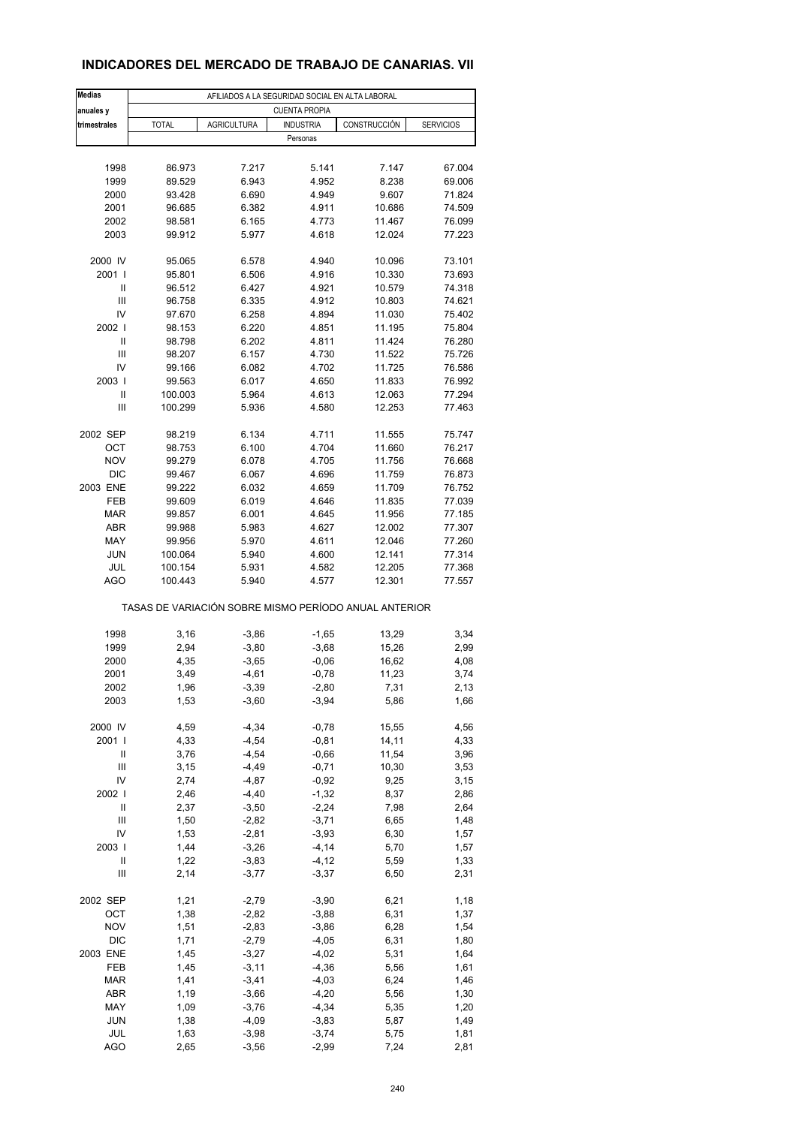### **INDICADORES DEL MERCADO DE TRABAJO DE CANARIAS. VII**

| <b>Medias</b><br>anuales y         | AFILIADOS A LA SEGURIDAD SOCIAL EN ALTA LABORAL<br><b>CUENTA PROPIA</b>                    |                                                       |                    |                |        |  |  |  |  |  |  |
|------------------------------------|--------------------------------------------------------------------------------------------|-------------------------------------------------------|--------------------|----------------|--------|--|--|--|--|--|--|
| trimestrales                       | <b>TOTAL</b><br><b>AGRICULTURA</b><br><b>INDUSTRIA</b><br>CONSTRUCCIÓN<br><b>SERVICIOS</b> |                                                       |                    |                |        |  |  |  |  |  |  |
|                                    |                                                                                            |                                                       | Personas           |                |        |  |  |  |  |  |  |
|                                    |                                                                                            |                                                       |                    |                |        |  |  |  |  |  |  |
| 1998                               | 86.973                                                                                     | 7.217                                                 | 5.141              | 7.147          | 67.004 |  |  |  |  |  |  |
| 1999                               | 89.529                                                                                     | 6.943                                                 | 4.952              | 8.238          | 69.006 |  |  |  |  |  |  |
| 2000                               | 93.428                                                                                     | 6.690                                                 | 4.949              | 9.607          | 71.824 |  |  |  |  |  |  |
| 2001                               | 96.685                                                                                     | 6.382                                                 | 4.911              | 10.686         | 74.509 |  |  |  |  |  |  |
| 2002                               | 98.581                                                                                     | 6.165                                                 | 4.773              | 11.467         | 76.099 |  |  |  |  |  |  |
| 2003                               | 99.912                                                                                     | 5.977                                                 | 4.618              | 12.024         | 77.223 |  |  |  |  |  |  |
| 2000 IV                            | 95.065                                                                                     | 6.578                                                 | 4.940              | 10.096         | 73.101 |  |  |  |  |  |  |
| 2001 l                             | 95.801                                                                                     | 6.506                                                 | 4.916              | 10.330         | 73.693 |  |  |  |  |  |  |
| Ш                                  | 96.512                                                                                     | 6.427                                                 | 4.921              | 10.579         | 74.318 |  |  |  |  |  |  |
| Ш                                  | 96.758                                                                                     | 6.335                                                 | 4.912              | 10.803         | 74.621 |  |  |  |  |  |  |
| IV                                 | 97.670                                                                                     | 6.258                                                 | 4.894              | 11.030         | 75.402 |  |  |  |  |  |  |
| 2002                               | 98.153                                                                                     | 6.220                                                 | 4.851              | 11.195         | 75.804 |  |  |  |  |  |  |
| Ш                                  | 98.798                                                                                     | 6.202                                                 | 4.811              | 11.424         | 76.280 |  |  |  |  |  |  |
| Ш                                  | 98.207                                                                                     | 6.157                                                 | 4.730              | 11.522         | 75.726 |  |  |  |  |  |  |
| IV                                 | 99.166                                                                                     | 6.082                                                 | 4.702              | 11.725         | 76.586 |  |  |  |  |  |  |
| 2003                               | 99.563                                                                                     | 6.017                                                 | 4.650              | 11.833         | 76.992 |  |  |  |  |  |  |
| Ш                                  | 100.003                                                                                    | 5.964                                                 | 4.613              | 12.063         | 77.294 |  |  |  |  |  |  |
| Ш                                  | 100.299                                                                                    | 5.936                                                 | 4.580              | 12.253         | 77.463 |  |  |  |  |  |  |
| 2002 SEP                           | 98.219                                                                                     | 6.134                                                 | 4.711              | 11.555         | 75.747 |  |  |  |  |  |  |
| ОСТ                                | 98.753                                                                                     | 6.100                                                 | 4.704              | 11.660         | 76.217 |  |  |  |  |  |  |
| <b>NOV</b>                         | 99.279                                                                                     | 6.078                                                 | 4.705              | 11.756         | 76.668 |  |  |  |  |  |  |
| <b>DIC</b>                         | 99.467                                                                                     | 6.067                                                 | 4.696              | 11.759         | 76.873 |  |  |  |  |  |  |
| 2003 ENE                           | 99.222                                                                                     | 6.032                                                 | 4.659              | 11.709         | 76.752 |  |  |  |  |  |  |
| FEB                                | 99.609                                                                                     | 6.019                                                 | 4.646              | 11.835         | 77.039 |  |  |  |  |  |  |
| <b>MAR</b>                         | 99.857                                                                                     | 6.001                                                 | 4.645              | 11.956         | 77.185 |  |  |  |  |  |  |
| <b>ABR</b>                         | 99.988                                                                                     | 5.983                                                 | 4.627              | 12.002         | 77.307 |  |  |  |  |  |  |
| MAY                                | 99.956                                                                                     | 5.970                                                 | 4.611              | 12.046         | 77.260 |  |  |  |  |  |  |
| <b>JUN</b>                         | 100.064                                                                                    | 5.940                                                 | 4.600              | 12.141         | 77.314 |  |  |  |  |  |  |
| JUL                                | 100.154                                                                                    | 5.931                                                 | 4.582              | 12.205         | 77.368 |  |  |  |  |  |  |
| <b>AGO</b>                         | 100.443                                                                                    | 5.940                                                 | 4.577              | 12.301         | 77.557 |  |  |  |  |  |  |
|                                    |                                                                                            | TASAS DE VARIACIÓN SOBRE MISMO PERÍODO ANUAL ANTERIOR |                    |                |        |  |  |  |  |  |  |
| 1998                               |                                                                                            | $-3,86$                                               |                    |                | 3,34   |  |  |  |  |  |  |
| 1999                               | 3,16<br>2,94                                                                               | $-3,80$                                               | $-1,65$<br>$-3,68$ | 13,29<br>15,26 | 2,99   |  |  |  |  |  |  |
| 2000                               | 4,35                                                                                       | $-3,65$                                               | $-0,06$            | 16,62          | 4,08   |  |  |  |  |  |  |
| 2001                               | 3,49                                                                                       | $-4,61$                                               | $-0,78$            | 11,23          | 3,74   |  |  |  |  |  |  |
| 2002                               | 1,96                                                                                       | $-3,39$                                               | $-2,80$            |                | 2,13   |  |  |  |  |  |  |
| 2003                               | 1,53                                                                                       | $-3,60$                                               | $-3,94$            | 7,31<br>5,86   | 1,66   |  |  |  |  |  |  |
|                                    |                                                                                            |                                                       |                    |                |        |  |  |  |  |  |  |
| 2000 IV                            | 4,59                                                                                       | $-4,34$                                               | $-0,78$            | 15,55          | 4,56   |  |  |  |  |  |  |
| 2001 l                             | 4,33                                                                                       | $-4,54$                                               | $-0,81$            | 14,11          | 4,33   |  |  |  |  |  |  |
| Ш                                  | 3,76                                                                                       | $-4,54$                                               | $-0,66$            | 11,54          | 3,96   |  |  |  |  |  |  |
| Ш                                  | 3,15                                                                                       | $-4,49$                                               | $-0,71$            | 10,30          | 3,53   |  |  |  |  |  |  |
| IV                                 | 2,74                                                                                       | $-4,87$                                               | $-0,92$            | 9,25           | 3,15   |  |  |  |  |  |  |
| 2002                               | 2,46                                                                                       | $-4,40$                                               | $-1,32$            | 8,37           | 2,86   |  |  |  |  |  |  |
| Ш                                  | 2,37                                                                                       | $-3,50$                                               | $-2,24$            | 7,98           | 2,64   |  |  |  |  |  |  |
| $\ensuremath{\mathsf{III}}\xspace$ | 1,50                                                                                       | $-2,82$                                               | $-3,71$            | 6,65           | 1,48   |  |  |  |  |  |  |
| IV                                 | 1,53                                                                                       | $-2,81$                                               | $-3,93$            | 6,30           | 1,57   |  |  |  |  |  |  |
| 2003                               | 1,44                                                                                       | $-3,26$                                               | $-4, 14$           | 5,70           | 1,57   |  |  |  |  |  |  |
| Ш                                  | 1,22                                                                                       | $-3,83$                                               | $-4, 12$           | 5,59           | 1,33   |  |  |  |  |  |  |
| $\ensuremath{\mathsf{III}}\xspace$ | 2,14                                                                                       | $-3,77$                                               | $-3,37$            | 6,50           | 2,31   |  |  |  |  |  |  |
| 2002 SEP                           | 1,21                                                                                       | $-2,79$                                               | $-3,90$            | 6,21           | 1,18   |  |  |  |  |  |  |
| OCT                                | 1,38                                                                                       | $-2,82$                                               | $-3,88$            | 6,31           | 1,37   |  |  |  |  |  |  |
| <b>NOV</b>                         | 1,51                                                                                       | $-2,83$                                               | $-3,86$            | 6,28           | 1,54   |  |  |  |  |  |  |
| DIC                                | 1,71                                                                                       | $-2,79$                                               | $-4,05$            | 6,31           | 1,80   |  |  |  |  |  |  |
| 2003 ENE                           | 1,45                                                                                       | $-3,27$                                               | $-4,02$            | 5,31           | 1,64   |  |  |  |  |  |  |
| FEB                                | 1,45                                                                                       | $-3, 11$                                              | $-4,36$            | 5,56           | 1,61   |  |  |  |  |  |  |
| <b>MAR</b>                         | 1,41                                                                                       | $-3,41$                                               | $-4,03$            | 6,24           | 1,46   |  |  |  |  |  |  |
| ABR                                | 1,19                                                                                       | $-3,66$                                               | $-4,20$            | 5,56           | 1,30   |  |  |  |  |  |  |
| MAY                                | 1,09                                                                                       | $-3,76$                                               | $-4,34$            | 5,35           | 1,20   |  |  |  |  |  |  |
| <b>JUN</b>                         | 1,38                                                                                       | $-4,09$                                               | $-3,83$            | 5,87           | 1,49   |  |  |  |  |  |  |
| JUL                                | 1,63                                                                                       | $-3,98$                                               | $-3,74$            | 5,75           | 1,81   |  |  |  |  |  |  |
| <b>AGO</b>                         | 2,65                                                                                       | $-3,56$                                               | $-2,99$            | 7,24           | 2,81   |  |  |  |  |  |  |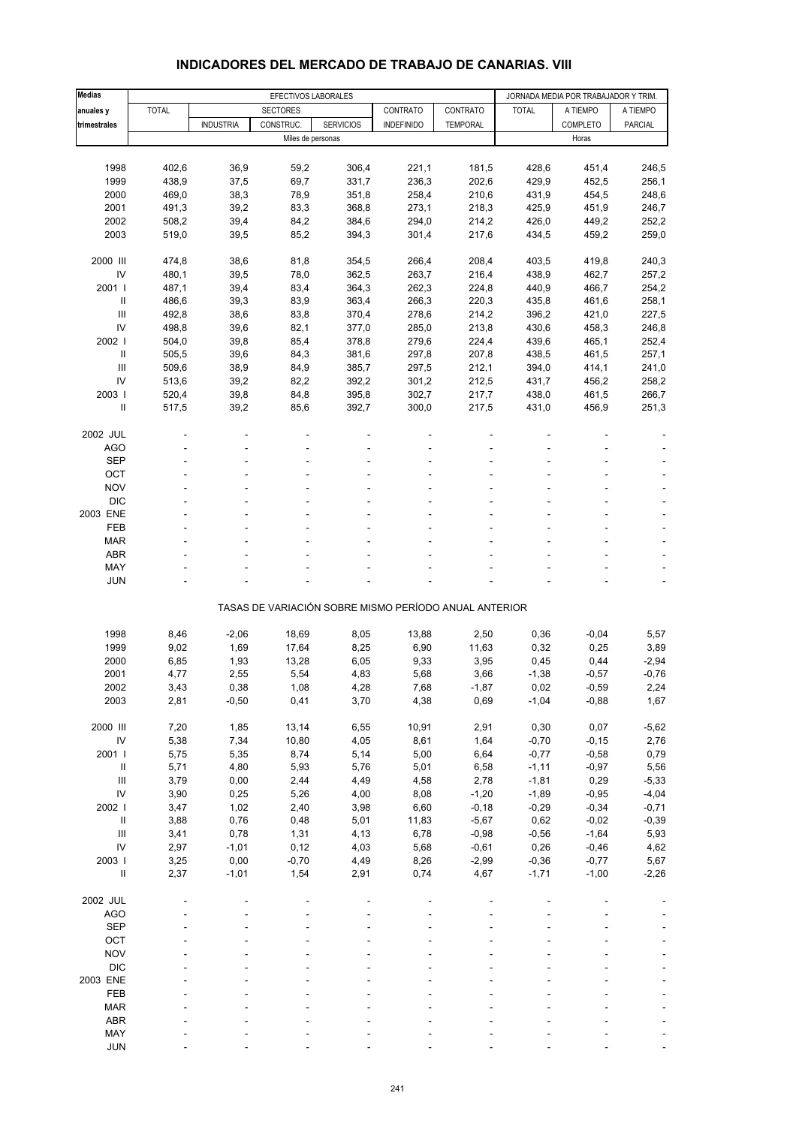| <b>Medias</b>                      | EFECTIVOS LABORALES |                  |                   |                                                       |                   |                 | JORNADA MEDIA POR TRABAJADOR Y TRIM. |                   |                |
|------------------------------------|---------------------|------------------|-------------------|-------------------------------------------------------|-------------------|-----------------|--------------------------------------|-------------------|----------------|
| anuales y                          | <b>TOTAL</b>        |                  | <b>SECTORES</b>   |                                                       | CONTRATO          | CONTRATO        | <b>TOTAL</b>                         | A TIEMPO          | A TIEMPO       |
|                                    |                     | <b>INDUSTRIA</b> | CONSTRUC.         | <b>SERVICIOS</b>                                      |                   |                 |                                      |                   | <b>PARCIAL</b> |
| trimestrales                       |                     |                  | Miles de personas |                                                       | <b>INDEFINIDO</b> | <b>TEMPORAL</b> |                                      | COMPLETO<br>Horas |                |
|                                    |                     |                  |                   |                                                       |                   |                 |                                      |                   |                |
|                                    |                     |                  |                   |                                                       |                   |                 |                                      |                   |                |
| 1998                               | 402,6               | 36,9             | 59,2              | 306,4                                                 | 221,1             | 181,5           | 428,6                                | 451,4             | 246,5          |
| 1999                               | 438,9               | 37,5             | 69,7              | 331,7                                                 | 236,3             | 202,6           | 429,9                                | 452,5             | 256,1          |
| 2000                               | 469,0               | 38,3             | 78,9              | 351,8                                                 | 258,4             | 210,6           | 431,9                                | 454,5             | 248,6          |
| 2001                               | 491,3               | 39,2             | 83,3              | 368,8                                                 | 273,1             | 218,3           | 425,9                                | 451,9             | 246,7          |
| 2002                               | 508,2               | 39,4             | 84,2              | 384,6                                                 | 294,0             | 214,2           | 426,0                                | 449,2             | 252,2          |
| 2003                               | 519,0               | 39,5             | 85,2              | 394,3                                                 | 301,4             | 217,6           | 434,5                                | 459,2             | 259,0          |
| 2000 III                           | 474,8               | 38,6             | 81,8              | 354,5                                                 | 266,4             | 208,4           | 403,5                                | 419,8             | 240,3          |
| IV                                 | 480,1               | 39,5             | 78,0              | 362,5                                                 | 263,7             | 216,4           | 438,9                                | 462,7             | 257,2          |
| 2001 l                             | 487,1               | 39,4             | 83,4              | 364,3                                                 | 262,3             | 224,8           | 440,9                                | 466,7             | 254,2          |
| $\ensuremath{\mathsf{II}}$         | 486,6               | 39,3             | 83,9              | 363,4                                                 | 266,3             | 220,3           | 435,8                                | 461,6             | 258,1          |
| Ш                                  | 492,8               | 38,6             | 83,8              | 370,4                                                 | 278,6             | 214,2           | 396,2                                | 421,0             | 227,5          |
| IV                                 | 498,8               | 39,6             | 82,1              | 377,0                                                 | 285,0             | 213,8           | 430,6                                | 458,3             | 246,8          |
|                                    |                     |                  |                   |                                                       |                   |                 |                                      |                   |                |
| 2002                               | 504,0               | 39,8             | 85,4              | 378,8                                                 | 279,6             | 224,4           | 439,6                                | 465,1             | 252,4          |
| Ш                                  | 505,5               | 39,6             | 84,3              | 381,6                                                 | 297,8             | 207,8           | 438,5                                | 461,5             | 257,1          |
| Ш                                  | 509,6               | 38,9             | 84,9              | 385,7                                                 | 297,5             | 212,1           | 394,0                                | 414,1             | 241,0          |
| IV                                 | 513,6               | 39,2             | 82,2              | 392,2                                                 | 301,2             | 212,5           | 431,7                                | 456,2             | 258,2          |
| 2003                               | 520,4               | 39,8             | 84,8              | 395,8                                                 | 302,7             | 217,7           | 438,0                                | 461,5             | 266,7          |
| $\mathbf{I}$                       | 517,5               | 39,2             | 85,6              | 392,7                                                 | 300,0             | 217,5           | 431,0                                | 456,9             | 251,3          |
| 2002 JUL                           |                     |                  |                   |                                                       |                   |                 |                                      |                   |                |
| <b>AGO</b>                         |                     |                  |                   |                                                       |                   |                 |                                      |                   |                |
| <b>SEP</b>                         |                     |                  |                   |                                                       |                   |                 |                                      |                   |                |
| OCT                                |                     |                  |                   |                                                       |                   |                 |                                      |                   |                |
| <b>NOV</b>                         |                     |                  |                   |                                                       |                   |                 |                                      |                   |                |
| <b>DIC</b>                         |                     |                  |                   |                                                       |                   |                 |                                      |                   |                |
|                                    |                     |                  |                   |                                                       |                   |                 |                                      |                   |                |
| 2003 ENE                           |                     |                  |                   |                                                       |                   |                 |                                      |                   |                |
| <b>FEB</b>                         |                     |                  |                   |                                                       |                   |                 |                                      |                   | $\overline{a}$ |
| <b>MAR</b>                         |                     |                  |                   |                                                       |                   |                 |                                      |                   |                |
| <b>ABR</b>                         |                     |                  |                   |                                                       |                   |                 |                                      |                   |                |
| MAY                                |                     |                  |                   |                                                       |                   |                 |                                      |                   |                |
| <b>JUN</b>                         |                     |                  |                   |                                                       |                   |                 |                                      |                   |                |
|                                    |                     |                  |                   | TASAS DE VARIACIÓN SOBRE MISMO PERÍODO ANUAL ANTERIOR |                   |                 |                                      |                   |                |
|                                    |                     |                  |                   |                                                       |                   |                 |                                      |                   |                |
| 1998                               | 8,46                | $-2,06$          | 18,69             | 8,05                                                  | 13,88             | 2,50            | 0,36                                 | $-0,04$           | 5,57           |
| 1999                               | 9,02                | 1,69             | 17,64             | 8,25                                                  | 6,90              | 11,63           | 0,32                                 | 0,25              | 3,89           |
| 2000                               | 6,85                | 1,93             | 13,28             | 6,05                                                  | 9,33              | 3,95            | 0,45                                 | 0,44              | $-2,94$        |
| 2001                               | 4,77                | 2,55             | 5,54              | 4,83                                                  | 5,68              | 3,66            | $-1,38$                              | $-0,57$           | $-0,76$        |
| 2002                               | 3,43                | 0,38             | 1,08              | 4,28                                                  | 7,68              | $-1,87$         | 0,02                                 | $-0,59$           | 2,24           |
| 2003                               | 2,81                | $-0,50$          | 0,41              | 3,70                                                  | 4,38              | 0,69            | $-1,04$                              | $-0,88$           | 1,67           |
| 2000 III                           | 7,20                | 1,85             | 13,14             | 6,55                                                  | 10,91             | 2,91            | 0,30                                 | 0,07              | $-5,62$        |
|                                    |                     |                  |                   |                                                       |                   |                 |                                      |                   |                |
| ${\sf IV}$                         | 5,38                | 7,34             | 10,80             | 4,05                                                  | 8,61              | 1,64            | $-0,70$                              | $-0,15$           | 2,76           |
| 2001                               | 5,75                | 5,35             | 8,74              | 5,14                                                  | 5,00              | 6,64            | $-0,77$                              | $-0,58$           | 0,79           |
| $\ensuremath{\mathsf{II}}$         | 5,71                | 4,80             | 5,93              | 5,76                                                  | 5,01              | 6,58            | $-1,11$                              | $-0,97$           | 5,56           |
| $\ensuremath{\mathsf{III}}\xspace$ | 3,79                | 0,00             | 2,44              | 4,49                                                  | 4,58              | 2,78            | $-1,81$                              | 0,29              | $-5,33$        |
| IV                                 | 3,90                | 0,25             | 5,26              | 4,00                                                  | 8,08              | $-1,20$         | $-1,89$                              | $-0,95$           | $-4,04$        |
| 2002 l                             | 3,47                | 1,02             | 2,40              | 3,98                                                  | 6,60              | $-0,18$         | $-0,29$                              | $-0,34$           | $-0,71$        |
| $\ensuremath{\mathsf{II}}$         | 3,88                | 0,76             | 0,48              | 5,01                                                  | 11,83             | $-5,67$         | 0,62                                 | $-0,02$           | $-0,39$        |
| $\ensuremath{\mathsf{III}}\xspace$ | 3,41                | 0,78             | 1,31              | 4,13                                                  | 6,78              | $-0,98$         | $-0,56$                              | $-1,64$           | 5,93           |
| IV                                 | 2,97                | $-1,01$          | 0,12              | 4,03                                                  | 5,68              | $-0,61$         | 0,26                                 | $-0,46$           | 4,62           |
| 2003 l                             | 3,25                | 0,00             | $-0,70$           | 4,49                                                  | 8,26              | $-2,99$         | $-0,36$                              | $-0,77$           | 5,67           |
| $\sf II$                           | 2,37                | $-1,01$          | 1,54              | 2,91                                                  | 0,74              | 4,67            | $-1,71$                              | $-1,00$           | $-2,26$        |
| 2002 JUL                           |                     |                  |                   |                                                       |                   |                 |                                      |                   |                |
| <b>AGO</b>                         |                     |                  |                   |                                                       |                   |                 |                                      |                   |                |
| <b>SEP</b>                         |                     |                  |                   |                                                       |                   |                 |                                      |                   |                |
| OCT                                |                     |                  |                   |                                                       |                   |                 |                                      |                   |                |
| <b>NOV</b>                         |                     |                  |                   |                                                       |                   |                 |                                      |                   |                |
|                                    |                     |                  |                   |                                                       |                   |                 |                                      |                   |                |
| <b>DIC</b>                         |                     |                  |                   |                                                       |                   |                 |                                      |                   |                |
| 2003 ENE                           |                     |                  |                   |                                                       |                   |                 |                                      |                   |                |
| FEB                                |                     |                  |                   |                                                       |                   |                 |                                      |                   |                |
| <b>MAR</b>                         |                     |                  |                   |                                                       |                   |                 |                                      |                   |                |
| ABR                                |                     |                  |                   |                                                       |                   |                 |                                      |                   |                |
| MAY                                |                     |                  |                   |                                                       |                   |                 |                                      |                   |                |

### **INDICADORES DEL MERCADO DE TRABAJO DE CANARIAS. VIII**

JUN - - - - - ----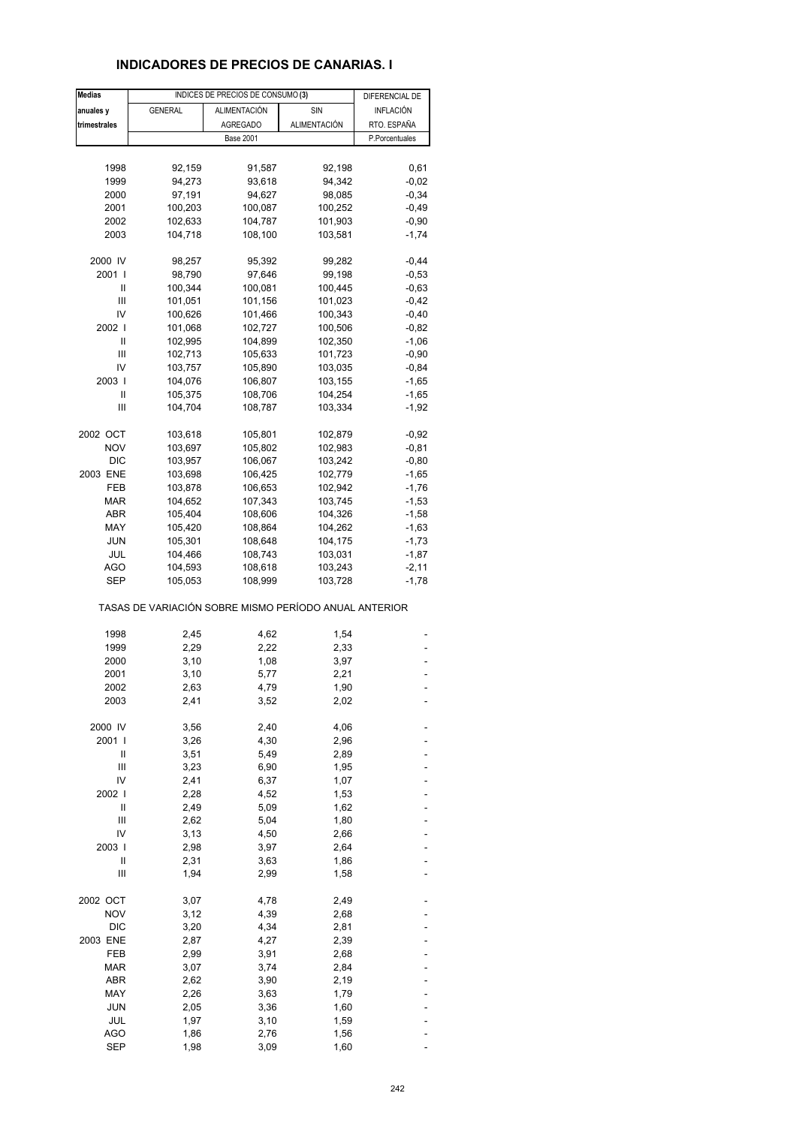### **INDICADORES DE PRECIOS DE CANARIAS. I**

| <b>Medias</b> |                                                       | INDICES DE PRECIOS DE CONSUMO (3) |              | DIFERENCIAL DE |
|---------------|-------------------------------------------------------|-----------------------------------|--------------|----------------|
| anuales y     | <b>GENERAL</b>                                        | ALIMENTACIÓN                      | SIN          | INFLACIÓN      |
| trimestrales  |                                                       | <b>AGREGADO</b>                   | ALIMENTACIÓN | RTO. ESPAÑA    |
|               |                                                       | <b>Base 2001</b>                  |              | P.Porcentuales |
|               |                                                       |                                   |              |                |
|               |                                                       |                                   |              |                |
| 1998          | 92,159                                                | 91,587                            | 92,198       | 0,61           |
| 1999          | 94,273                                                | 93,618                            | 94,342       | $-0,02$        |
| 2000          | 97,191                                                | 94,627                            | 98,085       | $-0,34$        |
| 2001          | 100,203                                               | 100,087                           | 100,252      | $-0,49$        |
| 2002          | 102,633                                               | 104,787                           | 101,903      | $-0,90$        |
| 2003          | 104,718                                               | 108,100                           | 103,581      | $-1,74$        |
| 2000 IV       | 98,257                                                | 95,392                            | 99,282       | $-0,44$        |
| 2001 l        | 98,790                                                | 97,646                            | 99,198       | $-0,53$        |
| Ш             | 100,344                                               | 100,081                           | 100,445      | $-0,63$        |
| Ш             | 101,051                                               | 101,156                           | 101,023      | $-0,42$        |
| IV            | 100,626                                               | 101,466                           | 100,343      | $-0,40$        |
| 2002 l        | 101,068                                               | 102,727                           | 100,506      | $-0,82$        |
| Ш             |                                                       |                                   |              |                |
|               | 102,995                                               | 104,899                           | 102,350      | $-1,06$        |
| Ш             | 102,713                                               | 105,633                           | 101,723      | $-0,90$        |
| IV            | 103,757                                               | 105,890                           | 103,035      | $-0,84$        |
| 2003          | 104,076                                               | 106,807                           | 103,155      | $-1,65$        |
| Ш             | 105,375                                               | 108,706                           | 104,254      | $-1,65$        |
| Ш             | 104,704                                               | 108,787                           | 103,334      | $-1,92$        |
| 2002 OCT      | 103,618                                               | 105,801                           | 102,879      | $-0,92$        |
| <b>NOV</b>    | 103,697                                               | 105,802                           | 102,983      | $-0,81$        |
| <b>DIC</b>    | 103,957                                               | 106,067                           | 103,242      | $-0,80$        |
| 2003 ENE      | 103,698                                               | 106,425                           | 102,779      | $-1,65$        |
| FEB           |                                                       |                                   |              |                |
|               | 103,878                                               | 106,653                           | 102,942      | $-1,76$        |
| MAR           | 104,652                                               | 107,343                           | 103,745      | $-1,53$        |
| ABR           | 105,404                                               | 108,606                           | 104,326      | $-1,58$        |
| MAY           | 105,420                                               | 108,864                           | 104,262      | $-1,63$        |
| <b>JUN</b>    | 105,301                                               | 108,648                           | 104,175      | $-1,73$        |
| JUL           | 104,466                                               | 108,743                           | 103,031      | $-1,87$        |
| AGO           | 104,593                                               | 108,618                           | 103,243      | $-2,11$        |
| SEP           | 105,053                                               | 108,999                           | 103,728      | $-1,78$        |
|               | TASAS DE VARIACIÓN SOBRE MISMO PERÍODO ANUAL ANTERIOR |                                   |              |                |
| 1998          | 2,45                                                  | 4,62                              | 1,54         |                |
| 1999          | 2,29                                                  | 2,22                              | 2,33         |                |
| 2000          | 3,10                                                  | 1,08                              | 3,97         |                |
| 2001          |                                                       | 5,77                              | 2,21         |                |
|               | 3,10                                                  |                                   |              |                |
| 2002          | 2,63                                                  | 4,79                              | 1,90         |                |
| 2003          | 2,41                                                  | 3,52                              | 2,02         |                |
| 2000 IV       | 3,56                                                  | 2,40                              | 4,06         |                |
| 2001 l        | 3,26                                                  | 4,30                              | 2,96         |                |
| Ш             | 3,51                                                  | 5,49                              | 2,89         |                |
| Ш             | 3,23                                                  | 6,90                              | 1,95         |                |
| IV            | 2,41                                                  | 6,37                              | 1,07         |                |
| 2002          | 2,28                                                  | 4,52                              | 1,53         |                |
| Ш             | 2,49                                                  | 5,09                              | 1,62         |                |
| Ш             | 2,62                                                  | 5,04                              | 1,80         |                |
| IV            | 3,13                                                  | 4,50                              | 2,66         |                |
| 2003          | 2,98                                                  | 3,97                              | 2,64         |                |
| Ш             | 2,31                                                  | 3,63                              | 1,86         |                |
| Ш             | 1,94                                                  | 2,99                              | 1,58         |                |
|               |                                                       |                                   |              |                |
| 2002 OCT      | 3,07                                                  | 4,78                              | 2,49         |                |
| <b>NOV</b>    | 3,12                                                  | 4,39                              | 2,68         |                |
| <b>DIC</b>    | 3,20                                                  | 4,34                              | 2,81         |                |
| 2003 ENE      | 2,87                                                  | 4,27                              | 2,39         |                |
| FEB           | 2,99                                                  | 3,91                              | 2,68         |                |
| <b>MAR</b>    | 3,07                                                  | 3,74                              | 2,84         |                |
| ABR           | 2,62                                                  | 3,90                              | 2,19         |                |
| MAY           | 2,26                                                  | 3,63                              | 1,79         |                |
| JUN           |                                                       |                                   |              |                |
| JUL           | 2,05                                                  | 3,36                              | 1,60         |                |
|               | 1,97                                                  | 3,10                              | 1,59         |                |
| <b>AGO</b>    | 1,86                                                  | 2,76                              | 1,56         |                |
| <b>SEP</b>    | 1,98                                                  | 3,09                              | 1,60         |                |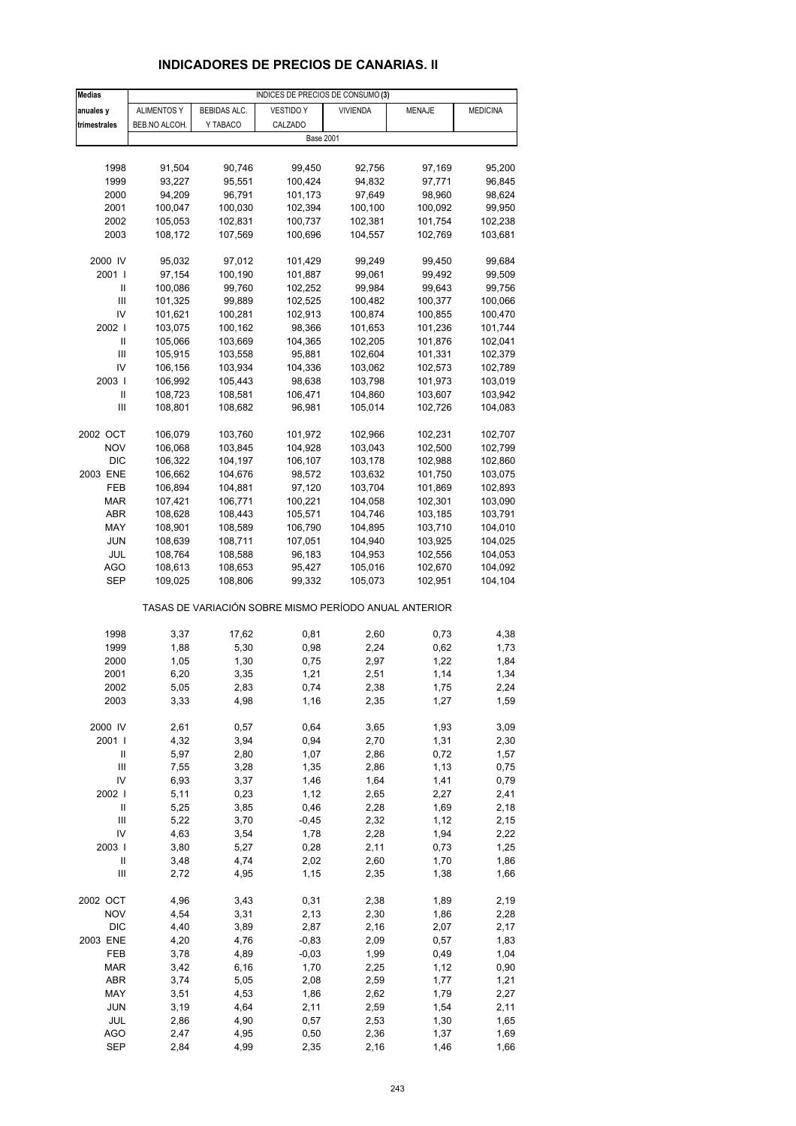# **INDICADORES DE PRECIOS DE CANARIAS. II**

| <b>Medias</b>              | INDICES DE PRECIOS DE CONSUMO (3) |                     |                                                       |                    |                    |                    |  |  |
|----------------------------|-----------------------------------|---------------------|-------------------------------------------------------|--------------------|--------------------|--------------------|--|--|
| anuales y                  | <b>ALIMENTOS Y</b>                | <b>BEBIDAS ALC.</b> | <b>VESTIDO Y</b>                                      | <b>VIVIENDA</b>    | <b>MENAJE</b>      | <b>MEDICINA</b>    |  |  |
| trimestrales               | BEB.NO ALCOH.                     | Y TABACO            | CALZADO                                               |                    |                    |                    |  |  |
|                            |                                   |                     | <b>Base 2001</b>                                      |                    |                    |                    |  |  |
|                            |                                   |                     |                                                       |                    |                    |                    |  |  |
| 1998                       | 91,504                            | 90,746              | 99,450                                                | 92,756             | 97,169             | 95,200             |  |  |
| 1999                       | 93,227                            | 95,551              | 100,424                                               | 94,832             | 97,771             | 96,845             |  |  |
| 2000                       | 94,209                            | 96,791              | 101,173                                               | 97,649             | 98,960             | 98,624             |  |  |
| 2001                       | 100,047                           | 100,030             | 102,394                                               | 100,100            | 100,092            | 99,950             |  |  |
| 2002                       | 105,053                           | 102,831             | 100,737                                               | 102,381            | 101,754            | 102,238            |  |  |
| 2003                       | 108,172                           | 107,569             | 100,696                                               | 104,557            | 102,769            | 103,681            |  |  |
|                            |                                   |                     |                                                       |                    |                    |                    |  |  |
| 2000 IV                    | 95,032                            | 97,012              | 101,429                                               | 99,249             | 99,450             | 99,684             |  |  |
| 2001 l                     | 97,154                            | 100,190             | 101,887                                               | 99,061             | 99,492             | 99,509             |  |  |
| Ш                          | 100,086                           | 99,760              | 102,252                                               | 99,984             | 99,643             | 99,756             |  |  |
| Ш                          | 101,325                           | 99,889              | 102,525                                               | 100,482            | 100,377            | 100,066            |  |  |
| IV                         | 101,621                           | 100,281             | 102,913                                               | 100,874            | 100,855            | 100,470            |  |  |
| 2002                       | 103,075                           | 100,162             | 98,366                                                | 101,653            | 101,236            | 101,744            |  |  |
| Ш                          | 105,066                           | 103,669             | 104,365                                               | 102,205            | 101,876            | 102,041            |  |  |
| Ш                          | 105,915                           | 103,558             | 95,881                                                | 102,604            | 101,331            | 102,379            |  |  |
| IV                         | 106,156                           | 103,934             | 104,336                                               | 103,062            | 102,573            | 102,789            |  |  |
| 2003  <br>Ш                | 106,992                           | 105,443<br>108,581  | 98,638                                                | 103,798            | 101,973            | 103,019            |  |  |
| Ш                          | 108,723<br>108,801                | 108,682             | 106,471<br>96,981                                     | 104,860<br>105,014 | 103,607<br>102,726 | 103,942<br>104,083 |  |  |
|                            |                                   |                     |                                                       |                    |                    |                    |  |  |
| 2002 OCT                   | 106,079                           | 103,760             | 101,972                                               | 102,966            | 102,231            | 102,707            |  |  |
| <b>NOV</b>                 | 106,068                           | 103,845             | 104,928                                               | 103,043            | 102,500            | 102,799            |  |  |
| <b>DIC</b>                 | 106,322                           | 104,197             | 106,107                                               | 103,178            | 102,988            | 102,860            |  |  |
| 2003 ENE                   | 106,662                           | 104,676             | 98,572                                                | 103,632            | 101,750            | 103,075            |  |  |
| FEB                        | 106,894                           | 104,881             | 97,120                                                | 103,704            | 101,869            | 102,893            |  |  |
| MAR                        | 107,421                           | 106,771             | 100,221                                               | 104,058            | 102,301            | 103,090            |  |  |
| ABR                        | 108,628                           | 108,443             | 105,571                                               | 104,746            | 103,185            | 103,791            |  |  |
| MAY                        | 108,901                           | 108,589             | 106,790                                               | 104,895            | 103,710            | 104,010            |  |  |
| <b>JUN</b>                 | 108,639                           | 108,711             | 107,051                                               | 104,940            | 103,925            | 104,025            |  |  |
| JUL                        | 108,764                           | 108,588             | 96,183                                                | 104,953            | 102,556            | 104,053            |  |  |
| <b>AGO</b>                 | 108,613                           | 108,653             | 95,427                                                | 105,016            | 102,670            | 104,092            |  |  |
| SEP                        | 109,025                           | 108,806             | 99,332                                                | 105,073            | 102,951            | 104,104            |  |  |
|                            |                                   |                     | TASAS DE VARIACIÓN SOBRE MISMO PERÍODO ANUAL ANTERIOR |                    |                    |                    |  |  |
| 1998                       | 3,37                              | 17,62               | 0,81                                                  | 2,60               | 0,73               | 4,38               |  |  |
| 1999                       | 1,88                              | 5,30                | 0,98                                                  | 2,24               | 0,62               | 1,73               |  |  |
| 2000                       | 1,05                              | 1,30                | 0,75                                                  | 2,97               | 1,22               | 1,84               |  |  |
| 2001                       | 6,20                              | 3,35                | 1,21                                                  | 2,51               | 1,14               | 1,34               |  |  |
| 2002                       | 5,05                              | 2,83                | 0,74                                                  | 2,38               | 1,75               | 2,24               |  |  |
| 2003                       | 3,33                              | 4,98                | 1,16                                                  | 2,35               | 1,27               | 1,59               |  |  |
|                            |                                   |                     |                                                       |                    |                    |                    |  |  |
| 2000 IV                    | 2,61                              | 0,57                | 0,64                                                  | 3,65               | 1,93               | 3,09               |  |  |
| 2001 l                     | 4,32                              | 3,94                | 0,94                                                  | 2,70               | 1,31               | 2,30               |  |  |
| Ш                          | 5,97                              | 2,80                | 1,07                                                  | 2,86               | 0,72               | 1,57               |  |  |
| $\mathsf{III}$             | 7,55                              | 3,28                | 1,35                                                  | 2,86               | 1,13               | 0,75               |  |  |
| IV<br>2002                 | 6,93                              | 3,37                | 1,46                                                  | 1,64               | 1,41               | 0,79               |  |  |
| $\sf II$                   | 5,11<br>5,25                      | 0,23                | 1,12                                                  | 2,65<br>2,28       | 2,27               | 2,41               |  |  |
| $\mathsf{III}$             | 5,22                              | 3,85<br>3,70        | 0,46<br>$-0,45$                                       | 2,32               | 1,69<br>1,12       | 2,18<br>2,15       |  |  |
| IV                         | 4,63                              | 3,54                | 1,78                                                  | 2,28               | 1,94               | 2,22               |  |  |
| 2003                       | 3,80                              | 5,27                | 0,28                                                  | 2,11               | 0,73               | 1,25               |  |  |
| $\ensuremath{\mathsf{II}}$ | 3,48                              | 4,74                | 2,02                                                  | 2,60               | 1,70               | 1,86               |  |  |
| Ш                          | 2,72                              | 4,95                | 1,15                                                  | 2,35               | 1,38               | 1,66               |  |  |
|                            |                                   |                     |                                                       |                    |                    |                    |  |  |
| 2002 OCT                   | 4,96                              | 3,43                | 0,31                                                  | 2,38               | 1,89               | 2,19               |  |  |
| <b>NOV</b>                 | 4,54                              | 3,31                | 2,13                                                  | 2,30               | 1,86               | 2,28               |  |  |
| <b>DIC</b>                 | 4,40                              | 3,89                | 2,87                                                  | 2,16               | 2,07               | 2,17               |  |  |
| 2003 ENE                   | 4,20                              | 4,76                | $-0,83$                                               | 2,09               | 0,57               | 1,83               |  |  |
| FEB                        | 3,78                              | 4,89                | $-0,03$                                               | 1,99               | 0,49               | 1,04               |  |  |
| <b>MAR</b>                 | 3,42                              | 6,16                | 1,70                                                  | 2,25               | 1,12               | 0,90               |  |  |
| <b>ABR</b>                 | 3,74                              | 5,05                | 2,08                                                  | 2,59               | 1,77               | 1,21               |  |  |
| MAY                        | 3,51                              | 4,53                | 1,86                                                  | 2,62               | 1,79               | 2,27               |  |  |
| <b>JUN</b><br>JUL          | 3,19                              | 4,64<br>4,90        | 2,11                                                  | 2,59               | 1,54               | 2,11<br>1,65       |  |  |
| <b>AGO</b>                 | 2,86<br>2,47                      | 4,95                | 0,57<br>0,50                                          | 2,53<br>2,36       | 1,30<br>1,37       | 1,69               |  |  |
| SEP                        | 2,84                              | 4,99                | 2,35                                                  | 2,16               | 1,46               | 1,66               |  |  |
|                            |                                   |                     |                                                       |                    |                    |                    |  |  |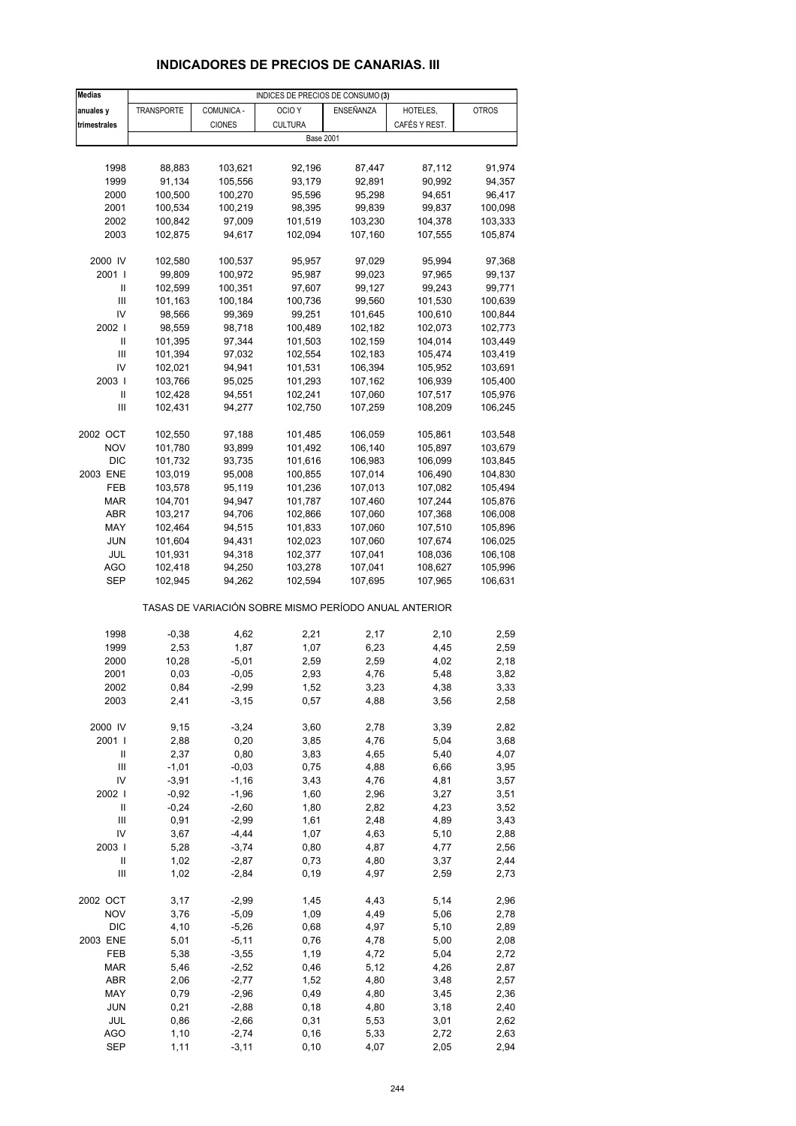# **INDICADORES DE PRECIOS DE CANARIAS. III**

| <b>Medias</b>  |                    |                  | INDICES DE PRECIOS DE CONSUMO (3)                     |                    |                    |                    |
|----------------|--------------------|------------------|-------------------------------------------------------|--------------------|--------------------|--------------------|
| anuales y      | <b>TRANSPORTE</b>  | COMUNICA -       | OCIO <sub>Y</sub>                                     | ENSEÑANZA          | HOTELES,           | <b>OTROS</b>       |
| trimestrales   |                    | <b>CIONES</b>    | <b>CULTURA</b>                                        |                    | CAFÉS Y REST.      |                    |
|                |                    |                  | <b>Base 2001</b>                                      |                    |                    |                    |
|                |                    |                  |                                                       |                    |                    |                    |
| 1998           | 88,883             | 103,621          | 92,196                                                | 87,447             | 87,112             | 91,974             |
| 1999           | 91,134             | 105,556          | 93,179                                                | 92,891             | 90,992             | 94,357             |
| 2000           | 100,500            | 100,270          | 95,596                                                | 95,298             | 94,651             | 96,417             |
| 2001           | 100,534            | 100,219          | 98,395                                                | 99,839             | 99,837             | 100,098            |
| 2002           | 100,842            | 97,009           | 101,519                                               | 103,230            | 104,378            | 103,333            |
| 2003           | 102,875            | 94,617           | 102,094                                               | 107,160            | 107,555            | 105,874            |
|                |                    |                  |                                                       |                    |                    |                    |
| 2000 IV        | 102,580            | 100,537          | 95,957                                                | 97,029             | 95,994             | 97,368             |
| 2001 l         | 99,809             | 100,972          | 95,987                                                | 99,023             | 97,965             | 99,137             |
| Ш              | 102,599            | 100,351          | 97,607                                                | 99,127             | 99,243             | 99,771             |
| Ш              | 101,163            | 100,184          | 100,736                                               | 99,560             | 101,530            | 100,639            |
| IV             | 98,566             | 99,369           | 99,251                                                | 101,645            | 100,610            | 100,844            |
| 2002           | 98,559             | 98,718           | 100,489                                               | 102,182            | 102,073            | 102,773            |
| Ш<br>Ш         | 101,395            | 97,344           | 101,503                                               | 102,159            | 104,014            | 103,449            |
| IV             | 101,394            | 97,032<br>94,941 | 102,554<br>101,531                                    | 102,183<br>106,394 | 105,474<br>105,952 | 103,419<br>103,691 |
| 2003           | 102,021<br>103,766 | 95,025           | 101,293                                               | 107,162            | 106,939            | 105,400            |
| Ш              | 102,428            | 94,551           | 102,241                                               | 107,060            | 107,517            | 105,976            |
| Ш              | 102,431            | 94,277           | 102,750                                               | 107,259            | 108,209            | 106,245            |
|                |                    |                  |                                                       |                    |                    |                    |
| 2002 OCT       | 102,550            | 97,188           | 101,485                                               | 106,059            | 105,861            | 103,548            |
| <b>NOV</b>     | 101,780            | 93,899           | 101,492                                               | 106,140            | 105,897            | 103,679            |
| <b>DIC</b>     | 101,732            | 93,735           | 101,616                                               | 106,983            | 106,099            | 103,845            |
| 2003 ENE       | 103,019            | 95,008           | 100,855                                               | 107,014            | 106,490            | 104,830            |
| FEB            | 103,578            | 95,119           | 101,236                                               | 107,013            | 107,082            | 105,494            |
| <b>MAR</b>     | 104,701            | 94,947           | 101,787                                               | 107,460            | 107,244            | 105,876            |
| ABR            | 103,217            | 94,706           | 102,866                                               | 107,060            | 107,368            | 106,008            |
| MAY            | 102,464            | 94,515           | 101,833                                               | 107,060            | 107,510            | 105,896            |
| JUN            | 101,604            | 94,431           | 102,023                                               | 107,060            | 107,674            | 106,025            |
| JUL            | 101,931            | 94,318           | 102,377                                               | 107,041            | 108,036            | 106,108            |
| AGO            | 102,418            | 94,250           | 103,278                                               | 107,041            | 108,627            | 105,996            |
| SEP            | 102,945            | 94,262           | 102,594                                               | 107,695            | 107,965            | 106,631            |
|                |                    |                  | TASAS DE VARIACIÓN SOBRE MISMO PERÍODO ANUAL ANTERIOR |                    |                    |                    |
| 1998           | $-0,38$            | 4,62             | 2,21                                                  | 2,17               | 2,10               | 2,59               |
| 1999           | 2,53               | 1,87             | 1,07                                                  | 6,23               | 4,45               | 2,59               |
| 2000           | 10,28              | $-5,01$          | 2,59                                                  | 2,59               | 4,02               | 2,18               |
| 2001           | 0,03               | $-0,05$          | 2,93                                                  | 4,76               | 5,48               | 3,82               |
| 2002           | 0,84               | -2,99            | 1,52                                                  | 3,23               | 4,38               | 3,33               |
| 2003           | 2,41               | $-3,15$          | 0,57                                                  | 4,88               | 3,56               | 2,58               |
|                |                    |                  |                                                       |                    |                    |                    |
| 2000 IV        | 9,15               | $-3,24$          | 3,60                                                  | 2,78               | 3,39               | 2,82               |
| 2001 l<br>Ш    | 2,88<br>2,37       | 0,20<br>0,80     | 3,85<br>3,83                                          | 4,76<br>4,65       | 5,04<br>5,40       | 3,68<br>4,07       |
| $\mathsf{III}$ | $-1,01$            | $-0,03$          | 0,75                                                  | 4,88               | 6,66               | 3,95               |
| IV             | $-3,91$            | $-1,16$          | 3,43                                                  | 4,76               | 4,81               | 3,57               |
| 2002           | $-0,92$            | $-1,96$          | 1,60                                                  | 2,96               | 3,27               | 3,51               |
| $\sf II$       | $-0,24$            | $-2,60$          | 1,80                                                  | 2,82               | 4,23               | 3,52               |
| $\mathsf{III}$ | 0,91               | $-2,99$          | 1,61                                                  | 2,48               | 4,89               | 3,43               |
| IV             | 3,67               | $-4,44$          | 1,07                                                  | 4,63               | 5,10               | 2,88               |
| 2003           | 5,28               | $-3,74$          | 0,80                                                  | 4,87               | 4,77               | 2,56               |
| $\sf II$       | 1,02               | $-2,87$          | 0,73                                                  | 4,80               | 3,37               | 2,44               |
| Ш              | 1,02               | $-2,84$          | 0, 19                                                 | 4,97               | 2,59               | 2,73               |
| 2002 OCT       |                    | $-2,99$          |                                                       | 4,43               |                    | 2,96               |
| <b>NOV</b>     | 3,17<br>3,76       | $-5,09$          | 1,45<br>1,09                                          | 4,49               | 5,14<br>5,06       | 2,78               |
| <b>DIC</b>     | 4,10               | $-5,26$          | 0,68                                                  | 4,97               | 5,10               | 2,89               |
| 2003 ENE       | 5,01               | $-5,11$          | 0,76                                                  | 4,78               | 5,00               | 2,08               |
| FEB            | 5,38               | $-3,55$          | 1,19                                                  | 4,72               | 5,04               | 2,72               |
| <b>MAR</b>     | 5,46               | $-2,52$          | 0,46                                                  | 5,12               | 4,26               | 2,87               |
| ABR            | 2,06               | $-2,77$          | 1,52                                                  | 4,80               | 3,48               | 2,57               |
| MAY            | 0,79               | $-2,96$          | 0,49                                                  | 4,80               | 3,45               | 2,36               |
| <b>JUN</b>     | 0,21               | $-2,88$          | 0,18                                                  | 4,80               | 3,18               | 2,40               |
| JUL            | 0,86               | $-2,66$          | 0,31                                                  | 5,53               | 3,01               | 2,62               |
| <b>AGO</b>     | 1,10               | $-2,74$          | 0, 16                                                 | 5,33               | 2,72               | 2,63               |
| <b>SEP</b>     | 1,11               | $-3, 11$         | 0, 10                                                 | 4,07               | 2,05               | 2,94               |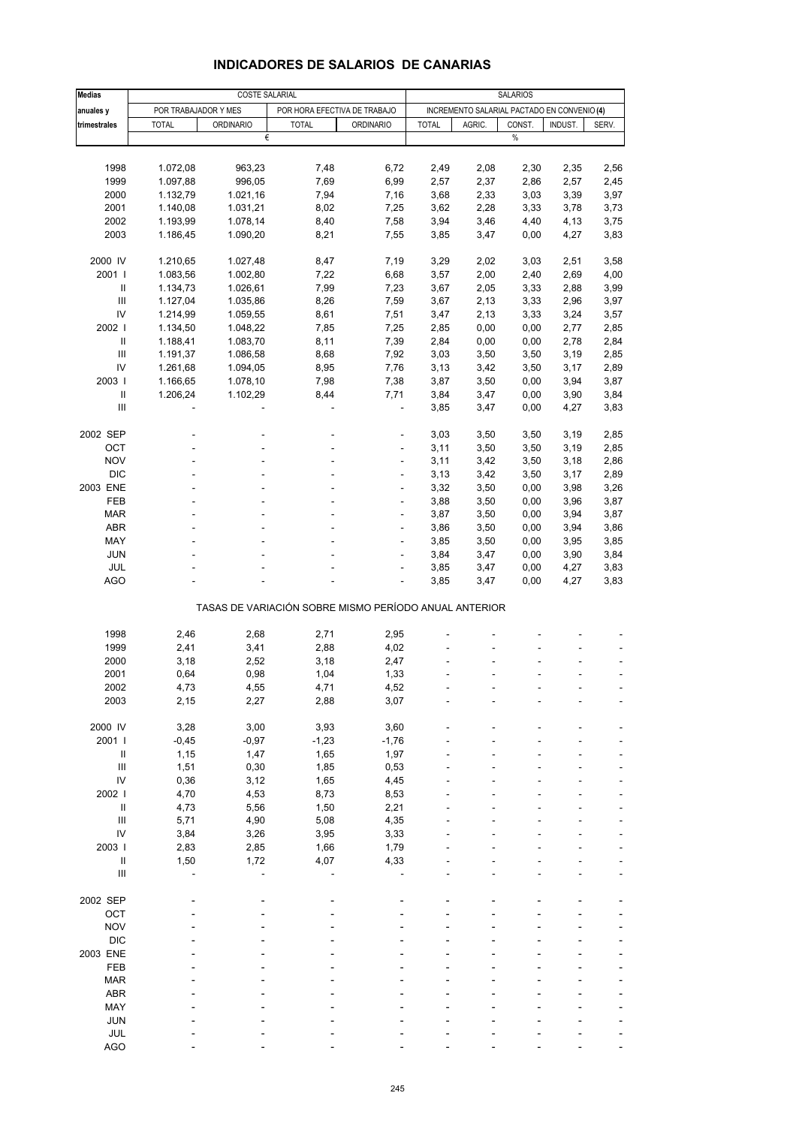| <b>Medias</b>                      |                      | <b>COSTE SALARIAL</b> |                                                       |                  | <b>SALARIOS</b> |                                             |              |              |              |
|------------------------------------|----------------------|-----------------------|-------------------------------------------------------|------------------|-----------------|---------------------------------------------|--------------|--------------|--------------|
| anuales y                          | POR TRABAJADOR Y MES |                       | POR HORA EFECTIVA DE TRABAJO                          |                  |                 | INCREMENTO SALARIAL PACTADO EN CONVENIO (4) |              |              |              |
| trimestrales                       | <b>TOTAL</b>         | <b>ORDINARIO</b>      | <b>TOTAL</b>                                          | <b>ORDINARIO</b> | <b>TOTAL</b>    | AGRIC.                                      | CONST.       | INDUST.      | SERV.        |
|                                    |                      | €                     |                                                       |                  |                 |                                             | $\%$         |              |              |
|                                    |                      |                       |                                                       |                  |                 |                                             |              |              |              |
| 1998                               | 1.072,08             | 963,23                | 7,48                                                  | 6,72             | 2,49            | 2,08                                        | 2,30         | 2,35         | 2,56         |
| 1999                               | 1.097,88             | 996,05                | 7,69                                                  | 6,99             | 2,57            | 2,37                                        | 2,86         | 2,57         | 2,45         |
| 2000                               | 1.132,79             | 1.021,16              | 7,94                                                  | 7,16             | 3,68            | 2,33                                        | 3,03         | 3,39         | 3,97         |
| 2001                               | 1.140,08             | 1.031,21              | 8,02                                                  | 7,25             | 3,62            | 2,28                                        | 3,33         | 3,78         | 3,73         |
| 2002                               | 1.193,99             | 1.078,14              | 8,40                                                  | 7,58             | 3,94            | 3,46                                        | 4,40         | 4,13         | 3,75         |
| 2003                               | 1.186,45             | 1.090,20              | 8,21                                                  | 7,55             | 3,85            | 3,47                                        | 0,00         | 4,27         | 3,83         |
| 2000 IV                            | 1.210,65             | 1.027,48              | 8,47                                                  | 7,19             | 3,29            | 2,02                                        | 3,03         | 2,51         | 3,58         |
| 2001                               | 1.083,56             | 1.002,80              | 7,22                                                  | 6,68             | 3,57            | 2,00                                        | 2,40         | 2,69         | 4,00         |
| Ш                                  | 1.134,73             | 1.026,61              | 7,99                                                  | 7,23             | 3,67            | 2,05                                        | 3,33         | 2,88         | 3,99         |
| Ш                                  | 1.127,04             | 1.035,86              | 8,26                                                  | 7,59             | 3,67            | 2,13                                        | 3,33         | 2,96         | 3,97         |
| IV                                 | 1.214,99             | 1.059,55              | 8,61                                                  | 7,51             | 3,47            | 2,13                                        | 3,33         | 3,24         | 3,57         |
| 2002                               | 1.134,50             | 1.048,22              | 7,85                                                  | 7,25             | 2,85            | 0,00                                        | 0,00         | 2,77         | 2,85         |
| Ш                                  | 1.188,41             | 1.083,70              | 8,11                                                  | 7,39             | 2,84            | 0,00                                        | 0,00         | 2,78         | 2,84         |
| Ш                                  | 1.191,37             | 1.086,58              | 8,68                                                  | 7,92             | 3,03            | 3,50                                        | 3,50         | 3,19         | 2,85         |
| IV                                 | 1.261,68             | 1.094,05              | 8,95                                                  | 7,76             | 3,13            | 3,42                                        | 3,50         | 3,17         | 2,89         |
| 2003                               | 1.166,65             | 1.078,10              | 7,98                                                  | 7,38             | 3,87            | 3,50                                        | 0,00         | 3,94         | 3,87         |
| $\mathbf{II}$                      | 1.206,24             | 1.102,29              | 8,44                                                  | 7,71             | 3,84            | 3,47                                        | 0,00         | 3,90         | 3,84         |
| III                                |                      |                       |                                                       |                  | 3,85            | 3,47                                        | 0,00         | 4,27         | 3,83         |
| 2002 SEP                           |                      |                       |                                                       | ÷,               | 3,03            | 3,50                                        | 3,50         | 3,19         | 2,85         |
| OCT                                |                      |                       |                                                       |                  | 3,11            | 3,50                                        | 3,50         | 3,19         | 2,85         |
| <b>NOV</b>                         |                      |                       | ÷.                                                    | $\overline{a}$   | 3,11            | 3,42                                        | 3,50         | 3,18         | 2,86         |
| <b>DIC</b>                         |                      |                       |                                                       | ÷                | 3,13            | 3,42                                        | 3,50         | 3,17         | 2,89         |
| 2003 ENE                           |                      |                       |                                                       |                  | 3,32            | 3,50                                        | 0,00         | 3,98         | 3,26         |
| FEB                                |                      |                       | ä,                                                    | $\overline{a}$   | 3,88            | 3,50                                        | 0,00         | 3,96         | 3,87         |
| <b>MAR</b>                         |                      |                       |                                                       | ä,               | 3,87            | 3,50                                        | 0,00         | 3,94         | 3,87         |
| ABR                                |                      |                       |                                                       |                  | 3,86            | 3,50                                        | 0,00         | 3,94         | 3,86         |
| MAY                                |                      |                       | ä,                                                    | ÷,               | 3,85            | 3,50                                        | 0,00         | 3,95         | 3,85         |
|                                    |                      |                       |                                                       | ä,               |                 |                                             |              |              |              |
| JUN<br>JUL                         |                      |                       |                                                       | ٠                | 3,84<br>3,85    | 3,47                                        | 0,00<br>0,00 | 3,90<br>4,27 | 3,84<br>3,83 |
| AGO                                |                      |                       |                                                       | ÷,               | 3,85            | 3,47<br>3,47                                | 0,00         | 4,27         | 3,83         |
|                                    |                      |                       |                                                       |                  |                 |                                             |              |              |              |
|                                    |                      |                       | TASAS DE VARIACIÓN SOBRE MISMO PERÍODO ANUAL ANTERIOR |                  |                 |                                             |              |              |              |
| 1998                               | 2,46                 | 2,68                  | 2,71                                                  | 2,95             |                 |                                             |              |              |              |
| 1999                               | 2,41                 | 3,41                  | 2,88                                                  | 4,02             |                 |                                             |              |              |              |
| 2000                               | 3,18                 | 2,52                  | 3,18                                                  | 2,47             |                 |                                             |              |              |              |
| 2001                               | 0,64                 | 0,98                  | 1,04                                                  | 1,33             |                 |                                             |              |              |              |
| 2002                               | 4,73                 | 4,55                  | 4,71                                                  | 4,52             |                 |                                             |              |              |              |
| 2003                               | 2,15                 | 2,27                  | 2,88                                                  | 3,07             |                 |                                             |              |              |              |
| 2000 IV                            | 3,28                 | 3,00                  | 3,93                                                  | 3,60             |                 |                                             |              |              |              |
| 2001 l                             | $-0,45$              | $-0,97$               | $-1,23$                                               | $-1,76$          |                 |                                             |              |              |              |
| $\sf II$                           | 1,15                 | 1,47                  | 1,65                                                  | 1,97             |                 |                                             |              |              |              |
| $\ensuremath{\mathsf{III}}\xspace$ | 1,51                 | 0,30                  | 1,85                                                  | 0,53             |                 |                                             |              |              |              |
| IV                                 | 0,36                 | 3,12                  | 1,65                                                  | 4,45             |                 |                                             |              |              |              |
| 2002                               | 4,70                 | 4,53                  | 8,73                                                  | 8,53             |                 |                                             |              |              |              |
| Ш                                  | 4,73                 | 5,56                  | 1,50                                                  | 2,21             |                 |                                             |              |              |              |
| $\ensuremath{\mathsf{III}}\xspace$ | 5,71                 | 4,90                  | 5,08                                                  | 4,35             |                 |                                             |              |              |              |
| ${\sf IV}$                         | 3,84                 | 3,26                  | 3,95                                                  | 3,33             |                 |                                             |              |              |              |
| 2003                               | 2,83                 | 2,85                  | 1,66                                                  | 1,79             |                 |                                             |              |              |              |
| Ш                                  | 1,50                 | 1,72                  | 4,07                                                  | 4,33             |                 |                                             |              |              |              |
| $\ensuremath{\mathsf{III}}\xspace$ |                      |                       |                                                       |                  |                 |                                             |              |              |              |
| 2002 SEP                           |                      |                       |                                                       |                  |                 |                                             |              |              |              |
| OCT                                |                      |                       |                                                       |                  |                 |                                             |              |              |              |
| <b>NOV</b>                         |                      |                       |                                                       |                  |                 |                                             |              |              |              |
| <b>DIC</b>                         |                      |                       |                                                       |                  |                 |                                             |              |              |              |
| 2003 ENE                           |                      |                       |                                                       |                  |                 |                                             |              |              |              |
| FEB                                |                      |                       |                                                       |                  |                 |                                             |              |              |              |
| <b>MAR</b>                         |                      |                       |                                                       |                  |                 |                                             |              |              |              |
| ABR                                |                      |                       |                                                       |                  |                 |                                             |              |              |              |
| MAY                                |                      |                       |                                                       |                  |                 |                                             |              |              |              |
| <b>JUN</b>                         |                      |                       |                                                       |                  |                 |                                             |              |              |              |
| <b>JUL</b>                         |                      |                       |                                                       |                  |                 |                                             |              |              |              |

#### **INDICADORES DE SALARIOS DE CANARIAS**

AGO - - - - - - ---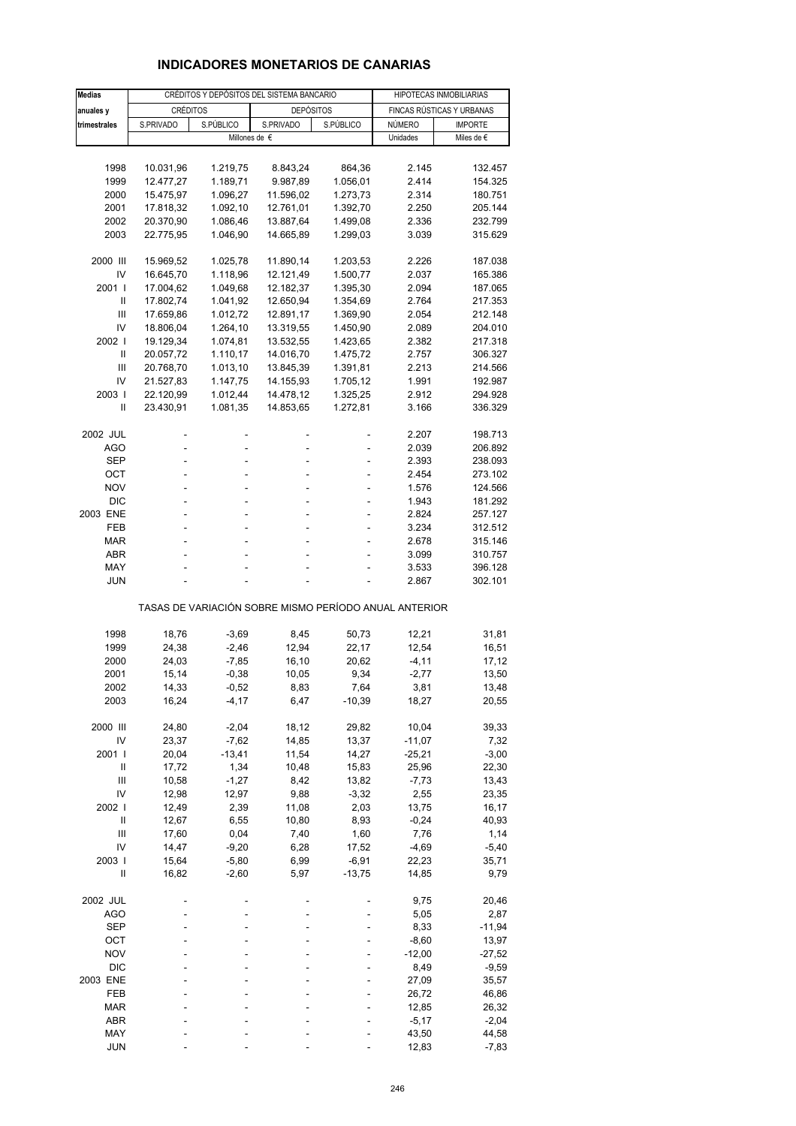# **INDICADORES MONETARIOS DE CANARIAS**

| <b>Medias</b>  |                 | CRÉDITOS Y DEPÓSITOS DEL SISTEMA BANCARIO |                                                       | HIPOTECAS INMOBILIARIAS |                   |                           |
|----------------|-----------------|-------------------------------------------|-------------------------------------------------------|-------------------------|-------------------|---------------------------|
| anuales y      | <b>CRÉDITOS</b> |                                           | <b>DEPÓSITOS</b>                                      |                         |                   | FINCAS RÚSTICAS Y URBANAS |
| trimestrales   | S.PRIVADO       | S.PÚBLICO                                 | S.PRIVADO                                             | S.PÚBLICO               | NÚMERO            | <b>IMPORTE</b>            |
|                |                 |                                           | Millones de €                                         |                         | Unidades          | Miles de €                |
|                |                 |                                           |                                                       |                         |                   |                           |
| 1998           | 10.031,96       | 1.219,75                                  | 8.843,24                                              | 864,36                  | 2.145             | 132.457                   |
| 1999           | 12.477,27       | 1.189,71                                  | 9.987,89                                              | 1.056,01                | 2.414             | 154.325                   |
| 2000           | 15.475,97       | 1.096,27                                  | 11.596,02                                             | 1.273,73                | 2.314             | 180.751                   |
| 2001           | 17.818,32       | 1.092,10                                  | 12.761,01                                             | 1.392,70                | 2.250             | 205.144                   |
| 2002           | 20.370,90       | 1.086,46                                  | 13.887,64                                             | 1.499,08                | 2.336             | 232.799                   |
| 2003           | 22.775,95       | 1.046,90                                  | 14.665,89                                             | 1.299,03                | 3.039             | 315.629                   |
|                |                 |                                           |                                                       |                         |                   |                           |
| 2000 III       | 15.969,52       | 1.025,78                                  | 11.890,14                                             | 1.203,53                | 2.226             | 187.038                   |
| IV             | 16.645,70       | 1.118,96                                  | 12.121,49                                             | 1.500,77                | 2.037             | 165.386                   |
| 2001 l         | 17.004,62       | 1.049,68                                  | 12.182,37                                             | 1.395,30                | 2.094             | 187.065                   |
| Ш              | 17.802,74       | 1.041,92                                  | 12.650,94                                             | 1.354,69                | 2.764             | 217.353                   |
| Ш              | 17.659,86       | 1.012,72                                  | 12.891,17                                             | 1.369,90                | 2.054             | 212.148                   |
| IV             | 18.806,04       | 1.264,10                                  | 13.319,55                                             | 1.450,90                | 2.089             | 204.010                   |
| 2002           | 19.129,34       | 1.074,81                                  | 13.532,55                                             | 1.423,65                | 2.382             | 217.318                   |
| Ш              | 20.057,72       | 1.110,17                                  | 14.016,70                                             | 1.475,72                | 2.757             | 306.327                   |
| Ш              | 20.768,70       | 1.013,10                                  | 13.845,39                                             | 1.391,81                | 2.213             | 214.566                   |
| IV             | 21.527,83       | 1.147,75                                  | 14.155,93                                             | 1.705,12                | 1.991             | 192.987                   |
| 2003           | 22.120,99       | 1.012,44                                  | 14.478,12                                             | 1.325,25                | 2.912             | 294.928                   |
| Ш              | 23.430,91       | 1.081,35                                  | 14.853,65                                             | 1.272,81                | 3.166             | 336.329                   |
| 2002 JUL       |                 |                                           |                                                       |                         | 2.207             | 198.713                   |
| AGO            | L,              | L,                                        | L,                                                    |                         | 2.039             | 206.892                   |
| SEP            |                 |                                           |                                                       |                         | 2.393             | 238.093                   |
| OCT            | ÷               | ä,                                        | $\overline{\phantom{a}}$                              | ٠                       | 2.454             | 273.102                   |
| <b>NOV</b>     |                 | L,                                        |                                                       | ä,                      | 1.576             | 124.566                   |
| <b>DIC</b>     |                 |                                           |                                                       |                         | 1.943             | 181.292                   |
| 2003 ENE       | ÷               | ä,                                        | $\overline{\phantom{a}}$                              | ÷,                      | 2.824             | 257.127                   |
| FEB            |                 | L,                                        |                                                       | ä,                      | 3.234             | 312.512                   |
| <b>MAR</b>     |                 |                                           |                                                       |                         | 2.678             | 315.146                   |
| ABR            |                 | ä,                                        | ÷                                                     | ÷,                      | 3.099             | 310.757                   |
| MAY            |                 |                                           |                                                       |                         | 3.533             | 396.128                   |
| <b>JUN</b>     |                 |                                           |                                                       |                         | 2.867             | 302.101                   |
|                |                 |                                           | TASAS DE VARIACIÓN SOBRE MISMO PERÍODO ANUAL ANTERIOR |                         |                   |                           |
|                |                 |                                           |                                                       |                         |                   |                           |
| 1998           | 18,76           | $-3,69$                                   | 8,45                                                  | 50,73                   | 12,21             | 31,81                     |
| 1999           | 24,38           | $-2,46$                                   | 12,94                                                 | 22,17                   | 12,54             | 16,51                     |
| 2000           | 24,03           | $-7,85$                                   | 16,10                                                 | 20,62                   | $-4, 11$          | 17,12                     |
| 2001           | 15,14           | $-0,38$                                   | 10,05                                                 | 9,34                    | $-2,77$           | 13,50                     |
| 2002           | 14,33           | -0,52                                     | 8,83                                                  | 7,64                    | 3,81              | 13,48                     |
| 2003           | 16,24           | $-4, 17$                                  | 6,47                                                  | $-10,39$                | 18,27             | 20,55                     |
|                |                 |                                           |                                                       |                         |                   |                           |
| 2000 III       | 24,80           | $-2,04$                                   | 18,12                                                 | 29,82                   | 10,04             | 39,33                     |
| IV             | 23,37           | $-7,62$                                   | 14,85                                                 | 13,37                   | $-11,07$          | 7,32                      |
| 2001 l<br>Ш    | 20,04           | $-13,41$                                  | 11,54                                                 | 14,27                   | $-25,21$<br>25,96 | $-3,00$                   |
| Ш              | 17,72<br>10,58  | 1,34<br>$-1,27$                           | 10,48<br>8,42                                         | 15,83<br>13,82          | $-7,73$           | 22,30<br>13,43            |
| IV             | 12,98           | 12,97                                     | 9,88                                                  | $-3,32$                 | 2,55              | 23,35                     |
| 2002 l         | 12,49           | 2,39                                      | 11,08                                                 | 2,03                    | 13,75             | 16,17                     |
| $\sf II$       | 12,67           | 6,55                                      | 10,80                                                 | 8,93                    | $-0,24$           | 40,93                     |
| $\mathsf{III}$ | 17,60           | 0,04                                      | 7,40                                                  | 1,60                    | 7,76              | 1,14                      |
| IV             | 14,47           | $-9,20$                                   | 6,28                                                  | 17,52                   | $-4,69$           | $-5,40$                   |
| 2003           | 15,64           | $-5,80$                                   | 6,99                                                  | $-6,91$                 | 22,23             | 35,71                     |
| Ш              | 16,82           | $-2,60$                                   | 5,97                                                  | $-13,75$                | 14,85             | 9,79                      |
|                |                 |                                           |                                                       |                         |                   |                           |
| 2002 JUL       |                 |                                           |                                                       |                         | 9,75              | 20,46                     |
| <b>AGO</b>     |                 |                                           |                                                       |                         | 5,05              | 2,87                      |
| <b>SEP</b>     |                 |                                           |                                                       |                         | 8,33              | $-11,94$                  |
| ост            |                 |                                           |                                                       |                         | $-8,60$           | 13,97                     |
| <b>NOV</b>     |                 |                                           |                                                       |                         | $-12,00$          | $-27,52$                  |
| <b>DIC</b>     |                 |                                           |                                                       |                         | 8,49              | $-9,59$                   |
| 2003 ENE       |                 |                                           |                                                       |                         | 27,09             | 35,57                     |
| FEB            |                 |                                           |                                                       |                         | 26,72             | 46,86                     |
| <b>MAR</b>     |                 |                                           |                                                       |                         | 12,85             | 26,32                     |
| ABR            |                 |                                           |                                                       |                         | $-5,17$           | $-2,04$                   |
| MAY            |                 |                                           |                                                       |                         | 43,50             | 44,58                     |
| <b>JUN</b>     |                 |                                           |                                                       |                         | 12,83             | $-7,83$                   |